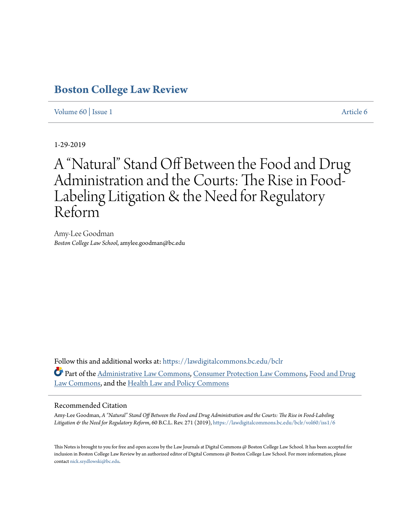# **[Boston College Law Review](https://lawdigitalcommons.bc.edu/bclr?utm_source=lawdigitalcommons.bc.edu%2Fbclr%2Fvol60%2Fiss1%2F6&utm_medium=PDF&utm_campaign=PDFCoverPages)**

[Volume 60](https://lawdigitalcommons.bc.edu/bclr/vol60?utm_source=lawdigitalcommons.bc.edu%2Fbclr%2Fvol60%2Fiss1%2F6&utm_medium=PDF&utm_campaign=PDFCoverPages) | [Issue 1](https://lawdigitalcommons.bc.edu/bclr/vol60/iss1?utm_source=lawdigitalcommons.bc.edu%2Fbclr%2Fvol60%2Fiss1%2F6&utm_medium=PDF&utm_campaign=PDFCoverPages) [Article 6](https://lawdigitalcommons.bc.edu/bclr/vol60/iss1/6?utm_source=lawdigitalcommons.bc.edu%2Fbclr%2Fvol60%2Fiss1%2F6&utm_medium=PDF&utm_campaign=PDFCoverPages)

1-29-2019

# A "Natural" Stand Off Between the Food and Drug Administration and the Courts: The Rise in Food-Labeling Litigation & the Need for Regulatory Reform

Amy-Lee Goodman *Boston College Law School*, amylee.goodman@bc.edu

Follow this and additional works at: [https://lawdigitalcommons.bc.edu/bclr](https://lawdigitalcommons.bc.edu/bclr?utm_source=lawdigitalcommons.bc.edu%2Fbclr%2Fvol60%2Fiss1%2F6&utm_medium=PDF&utm_campaign=PDFCoverPages) Part of the [Administrative Law Commons,](http://network.bepress.com/hgg/discipline/579?utm_source=lawdigitalcommons.bc.edu%2Fbclr%2Fvol60%2Fiss1%2F6&utm_medium=PDF&utm_campaign=PDFCoverPages) [Consumer Protection Law Commons](http://network.bepress.com/hgg/discipline/838?utm_source=lawdigitalcommons.bc.edu%2Fbclr%2Fvol60%2Fiss1%2F6&utm_medium=PDF&utm_campaign=PDFCoverPages), [Food and Drug](http://network.bepress.com/hgg/discipline/844?utm_source=lawdigitalcommons.bc.edu%2Fbclr%2Fvol60%2Fiss1%2F6&utm_medium=PDF&utm_campaign=PDFCoverPages) [Law Commons](http://network.bepress.com/hgg/discipline/844?utm_source=lawdigitalcommons.bc.edu%2Fbclr%2Fvol60%2Fiss1%2F6&utm_medium=PDF&utm_campaign=PDFCoverPages), and the [Health Law and Policy Commons](http://network.bepress.com/hgg/discipline/901?utm_source=lawdigitalcommons.bc.edu%2Fbclr%2Fvol60%2Fiss1%2F6&utm_medium=PDF&utm_campaign=PDFCoverPages)

# Recommended Citation

Amy-Lee Goodman, *A "Natural" Stand Off Between the Food and Drug Administration and the Courts: The Rise in Food-Labeling Litigation & the Need for Regulatory Reform*, 60 B.C.L. Rev. 271 (2019), [https://lawdigitalcommons.bc.edu/bclr/vol60/iss1/6](https://lawdigitalcommons.bc.edu/bclr/vol60/iss1/6?utm_source=lawdigitalcommons.bc.edu%2Fbclr%2Fvol60%2Fiss1%2F6&utm_medium=PDF&utm_campaign=PDFCoverPages)

This Notes is brought to you for free and open access by the Law Journals at Digital Commons @ Boston College Law School. It has been accepted for inclusion in Boston College Law Review by an authorized editor of Digital Commons @ Boston College Law School. For more information, please contact [nick.szydlowski@bc.edu](mailto:nick.szydlowski@bc.edu).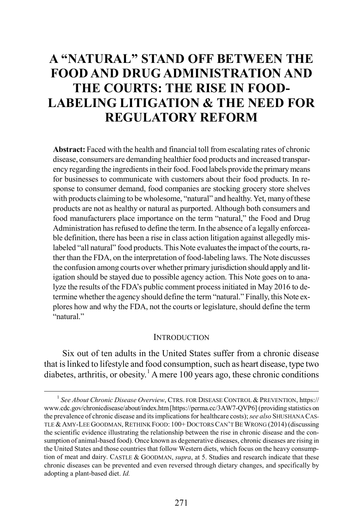# **A "NATURAL" STAND OFF BETWEEN THE FOOD AND DRUG ADMINISTRATION AND THE COURTS: THE RISE IN FOOD-LABELING LITIGATION & THE NEED FOR REGULATORY REFORM**

**Abstract:** Faced with the health and financial toll from escalating rates of chronic disease, consumers are demanding healthier food products and increased transparency regarding the ingredients in their food. Food labels provide the primary means for businesses to communicate with customers about their food products. In response to consumer demand, food companies are stocking grocery store shelves with products claiming to be wholesome, "natural" and healthy. Yet, many of these products are not as healthy or natural as purported. Although both consumers and food manufacturers place importance on the term "natural," the Food and Drug Administration has refused to define the term. In the absence of a legally enforceable definition, there has been a rise in class action litigation against allegedly mislabeled "all natural" food products. This Note evaluates the impact of the courts, rather than the FDA, on the interpretation of food-labeling laws. The Note discusses the confusion among courts over whether primary jurisdiction should apply and litigation should be stayed due to possible agency action. This Note goes on to analyze the results of the FDA's public comment process initiated in May 2016 to determine whether the agency should define the term "natural." Finally, this Note explores how and why the FDA, not the courts or legislature, should define the term "natural."

#### <span id="page-1-1"></span>**INTRODUCTION**

Six out of ten adults in the United States suffer from a chronic disease that is linked to lifestyle and food consumption, such as heart disease, type two diabetes, arthritis, or obesity.<sup>[1](#page-1-0)</sup> A mere 100 years ago, these chronic conditions

<span id="page-1-0"></span> <sup>1</sup> *See About Chronic Disease Overview*, CTRS. FOR DISEASE CONTROL & PREVENTION, https:// www.cdc.gov/chronicdisease/about/index.htm[https://perma.cc/3AW7-QVP6] (providing statistics on the prevalence of chronic disease and its implications for healthcare costs); *see also* SHUSHANA CAS-TLE &AMY-LEE GOODMAN, RETHINK FOOD: 100+ DOCTORS CAN'T BE WRONG (2014) (discussing the scientific evidence illustrating the relationship between the rise in chronic disease and the consumption of animal-based food). Once known as degenerative diseases, chronic diseases are rising in the United States and those countries that follow Western diets, which focus on the heavy consumption of meat and dairy. CASTLE & GOODMAN, *supra*, at 5. Studies and research indicate that these chronic diseases can be prevented and even reversed through dietary changes, and specifically by adopting a plant-based diet. *Id.*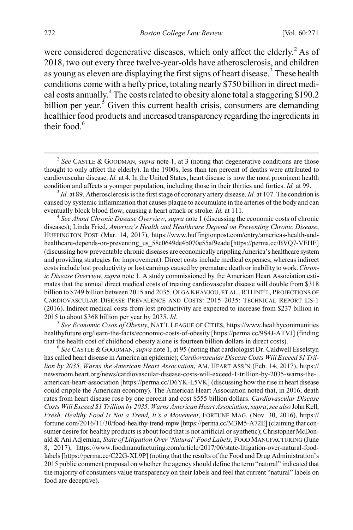were considered degenerative diseases, which only affect the elderly.<sup>[2](#page-2-0)</sup> As of 2018, two out every three twelve-year-olds have atherosclerosis, and children as young as eleven are displaying the first signs of heart disease.<sup>[3](#page-2-1)</sup> These health conditions come with a hefty price, totaling nearly \$750 billion in direct medical costs annually.[4](#page-2-2) The costs related to obesity alone total a staggering \$190.2 billion per year.<sup>[5](#page-2-3)</sup> Given this current health crisis, consumers are demanding healthier food products and increased transparency regarding the ingredients in their food. $6$ 

<span id="page-2-3"></span>healthyfuture.org/learn-the-facts/economic-costs-of-obesity [https://perma.cc/9S4J-ATVJ] (finding

<span id="page-2-4"></span>that the health cost of childhood obesity alone is fourteen billion dollars in direct costs). <sup>6</sup> *See* CASTLE & GOODMAN, *supra* not[e 1,](#page-1-1) at 95 (noting that cardiologist Dr. Caldwell Esselstyn has called heart disease in America an epidemic); *Cardiovascular Disease Costs Will Exceed \$1 Trillion by 2035, Warns the American Heart Association*, AM. HEART ASS'N (Feb. 14, 2017), https:// newsroom.heart.org/news/cardiovascular-disease-costs-will-exceed-1-trillion-by-2035-warns-theamerican-heart-association [https://perma.cc/D6YK-L5VK] (discussing how the rise in heart disease could cripple the American economy). The American Heart Association noted that, in 2016, death rates from heart disease rose by one percent and cost \$555 billion dollars. *Cardiovascular Disease Costs Will Exceed \$1 Trillion by 2035, Warns American Heart Association*, *supra*; *see also* John Kell, *Fresh, Healthy Food Is Not a Trend, It's a Movement*, FORTUNE MAG. (Nov. 30, 2016), https:// fortune.com/2016/11/30/food-healthy-trend-mpw [https://perma.cc/M3M5-A72E] (claiming that consumer desire for healthy products is about food that is not artificial or synthetic); Christopher McDonald & Ani Adjemian, *State of Litigation Over 'Natural' Food Labels*, FOOD MANUFACTURING (June 8, 2017), https://www.foodmanufacturing.com/article/2017/06/state-litigation-over-natural-foodlabels [https://perma.cc/C22G-XL9P] (noting that the results of the Food and Drug Administration's 2015 public comment proposal on whether the agency should define the term "natural" indicated that the majority of consumers value transparency on their labels and feel that current "natural" labels on food are deceptive).

<span id="page-2-5"></span><span id="page-2-0"></span> <sup>2</sup> *See* CASTLE & GOODMAN, *supra* note [1,](#page-1-1) at 3 (noting that degenerative conditions are those thought to only affect the elderly). In the 1900s, less than ten percent of deaths were attributed to cardiovascular disease. *Id.* at 4. In the United States, heart disease is now the most prominent health

<span id="page-2-1"></span>condition and affects a younger population, including those in their thirties and forties. *Id.* at 99.<br> $\frac{3}{1}$  *Id.* at 89. Atherosclerosis is the first stage of coronary artery disease. *Id.* at 107. The condition is caused by systemic inflammation that causes plaque to accumulate in the arteries of the body and can eventually block blood flow, causing a heart attack or stroke. *Id.* at 111. <sup>4</sup> *See About Chronic Disease Overview*, *supra* not[e 1](#page-1-1) (discussing the economic costs of chronic

<span id="page-2-2"></span>diseases); Linda Fried, *America's Health and Healthcare Depend on Preventing Chronic Disease*, HUFFINGTON POST (Mar. 14, 2017), https://www.huffingtonpost.com/entry/americas-health-andhealthcare-depends-on-preventing\_us\_58c0649de4b070e55af9eade [https://perma.cc/BVQ7-VEHE] (discussing how preventable chronic diseases are economically crippling America's healthcare system and providing strategies for improvement). Direct costs include medical expenses, whereas indirect costs include lost productivity or lost earnings caused by premature death or inability to work. *Chronic Disease Overview*, *supra* note [1.](#page-1-1) A study commissioned by the American Heart Association estimates that the annual direct medical costs of treating cardiovascular disease will double from \$318 billion to \$749 billion between 2015 and 2035. OLGA KHAVJOU, ET AL., RTIINT'L, PROJECTIONS OF CARDIOVASCULAR DISEASE PREVALENCE AND COSTS: 2015–2035: TECHNICAL REPORT ES-1 (2016). Indirect medical costs from lost productivity are expected to increase from \$237 billion in 2015 to about \$368 billion per year by 2035. *Id.* <sup>5</sup> *See Economic Costs of Obesity*, NAT'L LEAGUE OF CITIES, https://www.healthycommunities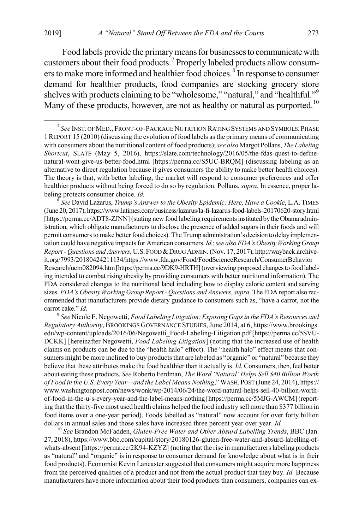<span id="page-3-6"></span><span id="page-3-5"></span>Food labels provide the primary means for businesses to communicate with customers about their food products.[7](#page-3-0) Properly labeled products allow consum-ers to make more informed and healthier food choices.<sup>[8](#page-3-1)</sup> In response to consumer demand for healthier products, food companies are stocking grocery store shelves with products claiming to be "wholesome," "natural," and "healthful."<sup>[9](#page-3-2)</sup> Many of these products, however, are not as healthy or natural as purported.<sup>[10](#page-3-3)</sup>

<span id="page-3-1"></span>(June 20, 2017), https://www.latimes.com/business/lazarus/la-fi-lazarus-food-labels-20170620-story.html [https://perma.cc/ADT8-ZJNN] (stating new food labeling requirements instituted by the Obama administration, which obligate manufacturers to disclose the presence of added sugars in their foods and will permit consumers to make better food choices). The Trump administration's decision to delay implementation could have negative impacts for American consumers. *Id.*; *see alsoFDA's Obesity Working Group Report - Questions and Answers*, U.S.FOOD &DRUG ADMIN. (Nov. 17, 2017), http://wayback.archiveit.org/7993/20180424211134/https://www.fda.gov/Food/FoodScienceResearch/ConsumerBehavior Research/ucm082094.htm [https://perma.cc/9DK9-HRTH] (overviewing proposed changes to food labeling intended to combat rising obesity by providing consumers with better nutritional information). The FDA considered changes to the nutritional label including how to display caloric content and serving sizes. *FDA's Obesity Working Group Report - Questions and Answers*, *supra*. The FDA report also recommended that manufacturers provide dietary guidance to consumers such as, "have a carrot, not the

<span id="page-3-2"></span>carrot cake." *Id.* <sup>9</sup> *See* Nicole E. Negowetti, *Food Labeling Litigation: Exposing Gaps in the FDA's Resources and Regulatory Authority*, BROOKINGS GOVERNANCE STUDIES, June 2014, at 6, https://www.brookings. edu/wp-content/uploads/2016/06/Negowetti\_Food-Labeling-Litigation.pdf [https://perma.cc/5SVU-DCKK] [hereinafter Negowetti, *Food Labeling Litigation*] (noting that the increased use of health claims on products can be due to the "health halo" effect). The "health halo" effect means that consumers might be more inclined to buy products that are labeled as "organic" or "natural" because they believe that these attributes make the food healthier than it actually is. *Id.* Consumers, then, feel better about eating these products. *See* Roberto Ferdman, *The Word 'Natural' Helps Sell \$40 Billion Worth of Food in the U.S. Every Year—and the Label Means Nothing*," WASH. POST (June 24, 2014), https:// www.washingtonpost.com/news/wonk/wp/2014/06/24/the-word-natural-helps-sell-40-billion-worthof-food-in-the-u-s-every-year-and-the-label-means-nothing [https://perma.cc/5MJG-AWCM] (reporting that the thirty-five most used health claims helped the food industry sell more than \$377 billion in food items over a one-year period). Foods labelled as "natural" now account for over forty billion dollars in annual sales and those sales have increased three percent year over year. *Id.* <sup>10</sup> *See* Brandon McFadden, *Gluten-Free Water and Other Absurd Labelling Trends*, BBC (Jan.

<span id="page-3-3"></span>27, 2018), https://www.bbc.com/capital/story/20180126-gluten-free-water-and-absurd-labelling-ofwhats-absent [https://perma.cc/2K94-KZYZ] (noting that the rise in manufacturers labeling products as "natural" and "organic" is in response to consumer demand for knowledge about what is in their food products). Economist Kevin Lancaster suggested that consumers might acquire more happiness from the perceived qualities of a product and not from the actual product that they buy. *Id.* Because manufacturers have more information about their food products than consumers, companies can ex-

<span id="page-3-4"></span><span id="page-3-0"></span> <sup>7</sup> *See* INST. OF MED., FRONT-OF-PACKAGE NUTRITION RATING SYSTEMS AND SYMBOLS:PHASE 1REPORT 15 (2010) (discussing the evolution of food labels as the primary means of communicating with consumers about the nutritional content of food products); *see also* Margot Pollans, *The Labeling Shortcut*, SLATE (May 5, 2016), https://slate.com/technology/2016/05/the-fdas-quest-to-definenatural-wont-give-us-better-food.html [https://perma.cc/S5UC-BRQM] (discussing labeling as an alternative to direct regulation because it gives consumers the ability to make better health choices). The theory is that, with better labeling, the market will respond to consumer preferences and offer healthier products without being forced to do so by regulation. Pollans, *supra*. In essence, proper labeling protects consumer choice. *Id.* <sup>8</sup> *See* David Lazarus, *Trump's Answer to the Obesity Epidemic: Here, Have a Cookie*, L.A. TIMES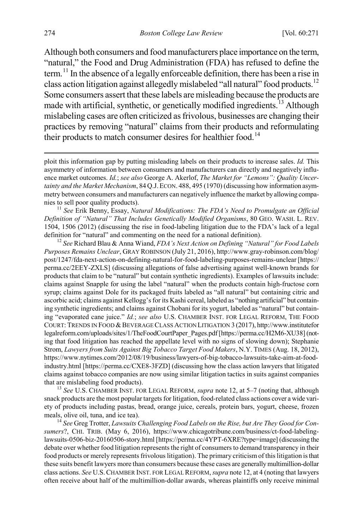<span id="page-4-6"></span><span id="page-4-0"></span>Although both consumers and food manufacturers place importance on the term, "natural," the Food and Drug Administration (FDA) has refused to define the term.<sup>[11](#page-4-1)</sup> In the absence of a legally enforceable definition, there has been a rise in class action litigation against allegedly mislabeled "all natural" food products.<sup>12</sup> Some consumers assert that these labels are misleading because the products are made with artificial, synthetic, or genetically modified ingredients.<sup>[13](#page-4-3)</sup> Although mislabeling cases are often criticized as frivolous, businesses are changing their practices by removing "natural" claims from their products and reformulating their products to match consumer desires for healthier food.<sup>[14](#page-4-4)</sup>

<span id="page-4-1"></span>*Definition of "Natural" That Includes Genetically Modified Organisms*, 80 GEO. WASH. L. REV. 1504, 1506 (2012) (discussing the rise in food-labeling litigation due to the FDA's lack of a legal definition for "natural" and commenting on the need for a national definition). <sup>12</sup> *See* Richard Blau & Anna Wiand, *FDA's Next Action on Defining "Natural" for Food Labels* 

<span id="page-4-2"></span>*Purposes Remains Unclear*, GRAY ROBINSON (July 21, 2016), http://www.gray-robinson.com/blog/ post/1247/fda-next-action-on-defining-natural-for-food-labeling-purposes-remains-unclear [https:// perma.cc/2EEY-ZXLS] (discussing allegations of false advertising against well-known brands for products that claim to be "natural" but contain synthetic ingredients). Examples of lawsuits include: claims against Snapple for using the label "natural" when the products contain high-fructose corn syrup; claims against Dole for its packaged fruits labeled as "all natural" but containing citric and ascorbic acid; claims against Kellogg's for its Kashi cereal, labeled as "nothing artificial" but containing synthetic ingredients; and claims against Chobani for its yogurt, labeled as "natural" but containing "evaporated cane juice." *Id.*; *see also* U.S. CHAMBER INST. FOR LEGAL REFORM, THE FOOD COURT: TRENDS IN FOOD &BEVERAGE CLASS ACTION LITIGATION 3 (2017), http://www.institutefor legalreform.com/uploads/sites/1/TheFoodCourtPaper\_Pages.pdf [https://perma.cc/H2M6-XU38] (noting that food litigation has reached the appellate level with no signs of slowing down); Stephanie Strom, *Lawyers from Suits Against Big Tobacco Target Food Makers*, N.Y. TIMES (Aug. 18, 2012), https://www.nytimes.com/2012/08/19/business/lawyers-of-big-tobacco-lawsuits-take-aim-at-foodindustry.html [https://perma.cc/CXE8-3FZD] (discussing how the class action lawyers that litigated claims against tobacco companies are now using similar litigation tactics in suits against companies that are mislabeling food products). <sup>13</sup> *See* U.S. CHAMBER INST. FOR LEGAL REFORM, *supra* not[e 12,](#page-4-0) at 5–7 (noting that, although

<span id="page-4-3"></span>snack products are the most popular targets for litigation, food-related class actions cover a wide variety of products including pastas, bread, orange juice, cereals, protein bars, yogurt, cheese, frozen meals, olive oil, tuna, and ice tea). <sup>14</sup> *See* Greg Trotter, *Lawsuits Challenging Food Labels on the Rise, but Are They Good for Con-*

<span id="page-4-4"></span>*sumers*?, CHI. TRIB. (May 6, 2016), https://www.chicagotribune.com/business/ct-food-labelinglawsuits-0506-biz-20160506-story.html [https://perma.cc/4YPT-6XRE?type=image] (discussing the debate over whether food litigation represents the right of consumers to demand transparency in their food products or merely represents frivolous litigation). The primary criticism of this litigation is that these suits benefit lawyers more than consumers because these cases are generally multimillion-dollar class actions. *See* U.S.CHAMBER INST. FOR LEGAL REFORM, *supra* not[e 12,](#page-4-0) at 4 (noting that lawyers often receive about half of the multimillion-dollar awards, whereas plaintiffs only receive minimal

<span id="page-4-5"></span>ploit this information gap by putting misleading labels on their products to increase sales. *Id.* This asymmetry of information between consumers and manufacturers can directly and negatively influence market outcomes. *Id.*; *see also* George A. Akerlof, *The Market for "Lemons": Quality Uncertainty and the Market Mechanism*, 84 Q.J.ECON. 488, 495 (1970) (discussing how information asymmetry between consumers and manufacturers can negatively influence the market by allowing companies to sell poor quality products).<br><sup>11</sup> *See* Erik Benny, Essay, *Natural Modifications: The FDA's Need to Promulgate an Official*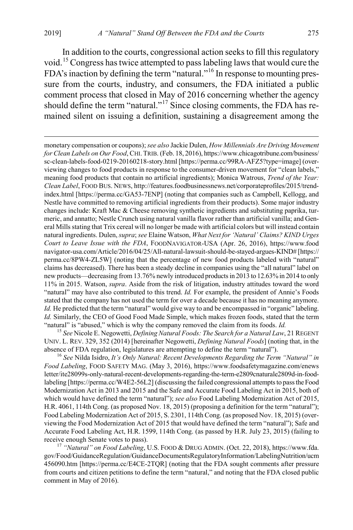<span id="page-5-4"></span><span id="page-5-3"></span>In addition to the courts, congressional action seeks to fill this regulatory void.[15](#page-5-0) Congress has twice attempted to pass labeling laws that would cure the FDA's inaction by defining the term "natural."<sup>[16](#page-5-1)</sup> In response to mounting pressure from the courts, industry, and consumers, the FDA initiated a public comment process that closed in May of 2016 concerning whether the agency should define the term "natural."<sup>[17](#page-5-2)</sup> Since closing comments, the FDA has remained silent on issuing a definition, sustaining a disagreement among the

<span id="page-5-0"></span>UNIV. L. REV. 329, 352 (2014) [hereinafter Negowetti, *Defining Natural Foods*] (noting that, in the absence of FDA regulation, legislatures are attempting to define the term "natural"). <sup>16</sup> *See* Nilda Isidro, *It's Only Natural: Recent Developments Regarding the Term "Natural" in* 

<span id="page-5-1"></span>*Food Labeling*, FOOD SAFETY MAG. (May 3, 2016), https://www.foodsafetymagazine.com/enews letter/ite28099s-only-natural-recent-developments-regarding-the-term-e2809cnaturale2809d-in-foodlabeling [https://perma.cc/W4E2-56L2] (discussing the failed congressional attempts to passthe Food Modernization Act in 2013 and 2015 and the Safe and Accurate Food Labeling Act in 2015, both of which would have defined the term "natural"); *see also* Food Labeling Modernization Act of 2015, H.R. 4061, 114th Cong. (as proposed Nov. 18, 2015) (proposing a definition for the term "natural"); Food Labeling Modernization Act of 2015, S. 2301, 114th Cong. (as proposed Nov. 18, 2015) (overviewing the Food Modernization Act of 2015 that would have defined the term "natural"); Safe and Accurate Food Labeling Act, H.R. 1599, 114th Cong. (as passed by H.R. July 23, 2015) (failing to

<span id="page-5-2"></span>receive enough Senate votes to pass). <sup>17</sup> *"Natural" on Food Labeling*, U.S. FOOD & DRUG ADMIN. (Oct. 22, 2018), https://www.fda. gov/Food/GuidanceRegulation/GuidanceDocumentsRegulatoryInformation/LabelingNutrition/ucm 456090.htm [https://perma.cc/E4CE-2TQR] (noting that the FDA sought comments after pressure from courts and citizen petitions to define the term "natural," and noting that the FDA closed public comment in May of 2016).

<span id="page-5-5"></span>monetary compensation or coupons);*see also* Jackie Dulen, *How Millennials Are Driving Movement for Clean Labels on Our Food*, CHI. TRIB. (Feb. 18, 2016), https://www.chicagotribune.com/business/ sc-clean-labels-food-0219-20160218-story.html [https://perma.cc/99RA-AFZ5?type=image] (overviewing changes to food products in response to the consumer-driven movement for "clean labels," meaning food products that contain no artificial ingredients); Monica Watrous, *Trend of the Year: Clean Label*, FOOD BUS. NEWS, http://features.foodbusinessnews.net/corporateprofiles/2015/trendindex.html [https://perma.cc/GA53-7ENP] (noting that companies such as Campbell, Kellogg, and Nestle have committed to removing artificial ingredients from their products). Some major industry changes include: Kraft Mac & Cheese removing synthetic ingredients and substituting paprika, turmeric, and annatto; Nestle Crunch using natural vanilla flavor rather than artificial vanilla; and General Mills stating that Trix cereal will no longer be made with artificial colors but will instead contain natural ingredients. Dulen, *supra*; *see* Elaine Watson, *What Next for 'Natural' Claims? KIND Urges Court to Leave Issue with the FDA*, FOODNAVIGATOR-USA (Apr. 26, 2016), https://www.food navigator-usa.com/Article/2016/04/25/All-natural-lawsuit-should-be-stayed-argues-KIND# [https:// perma.cc/8PW4-ZL5W] (noting that the percentage of new food products labeled with "natural" claims has decreased). There has been a steady decline in companies using the "all natural" label on new products—decreasing from 13.76% newly introduced products in 2013 to 12.63% in 2014 to only 11% in 2015. Watson, *supra*. Aside from the risk of litigation, industry attitudes toward the word "natural" may have also contributed to this trend. *Id.* For example, the president of Annie's Foods stated that the company has not used the term for over a decade because it has no meaning anymore. *Id.* He predicted that the term "natural" would give way to and be encompassed in "organic" labeling. *Id.* Similarly, the CEO of Good Food Made Simple, which makes frozen foods, stated that the term "natural" is "abused," which is why the company removed the claim from its foods. *Id.* <sup>15</sup> *See* Nicole E. Negowetti, *Defining Natural Foods: The Search for a Natural Law*, 21 REGENT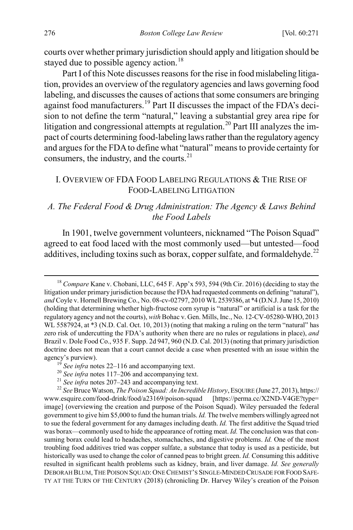courts over whether primary jurisdiction should apply and litigation should be stayed due to possible agency action.<sup>[18](#page-6-1)</sup>

Part I of this Note discusses reasons for the rise in food mislabeling litigation, provides an overview of the regulatory agencies and laws governing food labeling, and discusses the causes of actions that some consumers are bringing against food manufacturers.<sup>[19](#page-6-2)</sup> Part II discusses the impact of the FDA's decision to not define the term "natural," leaving a substantial grey area ripe for litigation and congressional attempts at regulation.<sup>[20](#page-6-3)</sup> Part III analyzes the impact of courts determining food-labeling laws rather than the regulatory agency and argues for the FDA to define what "natural" means to provide certainty for consumers, the industry, and the courts.<sup>[21](#page-6-4)</sup>

## <span id="page-6-0"></span>I. OVERVIEW OF FDA FOOD LABELING REGULATIONS & THE RISE OF FOOD-LABELING LITIGATION

## *A. The Federal Food & Drug Administration: The Agency & Laws Behind the Food Labels*

In 1901, twelve government volunteers, nicknamed "The Poison Squad" agreed to eat food laced with the most commonly used—but untested—food additives, including toxins such as borax, copper sulfate, and formaldehyde.<sup>[22](#page-6-5)</sup>

<span id="page-6-1"></span><sup>&</sup>lt;sup>18</sup> *Compare* Kane v. Chobani, LLC, 645 F. App'x 593, 594 (9th Cir. 2016) (deciding to stay the litigation under primary jurisdiction because the FDA had requested comments on defining "natural"), *and* Coyle v. Hornell Brewing Co., No. 08-cv-02797, 2010 WL 2539386, at \*4 (D.N.J. June 15, 2010) (holding that determining whether high-fructose corn syrup is "natural" or artificial is a task for the regulatory agency and not the courts), *with* Bohac v. Gen. Mills, Inc., No. 12-CV-05280-WHO, 2013 WL 5587924, at \*3 (N.D. Cal. Oct. 10, 2013) (noting that making a ruling on the term "natural" has zero risk of undercutting the FDA's authority when there are no rules or regulations in place), *and* Brazil v. Dole Food Co., 935 F. Supp. 2d 947, 960 (N.D. Cal. 2013) (noting that primary jurisdiction doctrine does not mean that a court cannot decide a case when presented with an issue within the agency's purview).<br>
<sup>19</sup> See infra note[s 22–](#page-6-0)[116](#page-24-0) and accompanying text.<br>
<sup>20</sup> See infra note[s 117](#page-24-1)[–206](#page-39-0) and accompanying text.<br>
<sup>21</sup> See infra note[s 207](#page-39-1)[–243](#page-44-0) and accompanying text.<br>
<sup>22</sup> See Bruce Watson, *The Poison Squad: A* 

<span id="page-6-5"></span><span id="page-6-4"></span><span id="page-6-3"></span><span id="page-6-2"></span>www.esquire.com/food-drink/food/a23169/poison-squad [https://perma.cc/X2ND-V4GE?type= image] (overviewing the creation and purpose of the Poison Squad). Wiley persuaded the federal government to give him \$5,000 to fund the human trials. *Id.* The twelve members willingly agreed not to sue the federal government for any damages including death. *Id.* The first additive the Squad tried was borax—commonly used to hide the appearance of rotting meat. *Id.* The conclusion was that consuming borax could lead to headaches, stomachaches, and digestive problems. *Id.* One of the most troubling food additives tried was copper sulfate, a substance that today is used as a pesticide, but historically was used to change the color of canned peas to bright green. *Id.* Consuming this additive resulted in significant health problems such as kidney, brain, and liver damage. *Id. See generally*  DEBORAH BLUM, THE POISON SQUAD: ONE CHEMIST'S SINGLE-MINDED CRUSADE FOR FOOD SAFE-TY AT THE TURN OF THE CENTURY (2018) (chronicling Dr. Harvey Wiley's creation of the Poison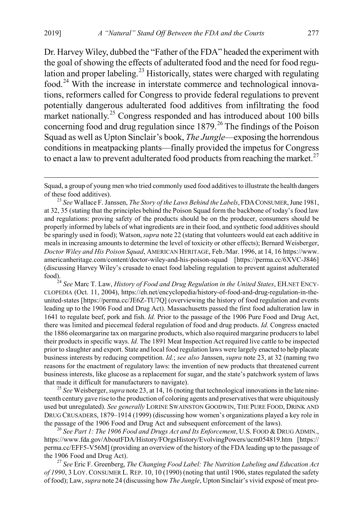<span id="page-7-1"></span><span id="page-7-0"></span>Dr. Harvey Wiley, dubbed the "Father of the FDA" headed the experiment with the goal of showing the effects of adulterated food and the need for food regu-lation and proper labeling.<sup>[23](#page-7-2)</sup> Historically, states were charged with regulating food.[24](#page-7-3) With the increase in interstate commerce and technological innovations, reformers called for Congress to provide federal regulations to prevent potentially dangerous adulterated food additives from infiltrating the food market nationally.<sup>[25](#page-7-4)</sup> Congress responded and has introduced about 100 bills concerning food and drug regulation since  $1879<sup>26</sup>$  $1879<sup>26</sup>$  $1879<sup>26</sup>$  The findings of the Poison Squad as well as Upton Sinclair's book, *The Jungle*—exposing the horrendous conditions in meatpacking plants—finally provided the impetus for Congress to enact a law to prevent adulterated food products from reaching the market.<sup>[27](#page-7-6)</sup>

<span id="page-7-3"></span>CLOPEDIA (Oct. 11, 2004), https://eh.net/encyclopedia/history-of-food-and-drug-regulation-in-theunited-states [https://perma.cc/JE6Z-TU7Q] (overviewing the history of food regulation and events leading up to the 1906 Food and Drug Act). Massachusetts passed the first food adulteration law in 1641 to regulate beef, pork and fish. *Id.* Prior to the passage of the 1906 Pure Food and Drug Act, there was limited and piecemeal federal regulation of food and drug products. *Id.* Congress enacted the 1886 oleomargarine tax on margarine products, which also required margarine producers to label their products in specific ways. *Id.* The 1891 Meat Inspection Act required live cattle to be inspected prior to slaughter and export. State and local food regulation laws were largely enacted to help placate business interests by reducing competition. *Id.*; *see also* Janssen, *supra* note [23,](#page-7-0) at 32 (naming two reasons for the enactment of regulatory laws: the invention of new products that threatened current business interests, like glucose as a replacement for sugar, and the state's patchwork system of laws that made it difficult for manufacturers to navigate). <sup>25</sup> *See* Weisberger, *supra* not[e 23,](#page-7-0) at 14, 16 (noting that technological innovations in the late nine-

<span id="page-7-4"></span>teenth century gave rise to the production of coloring agents and preservatives that were ubiquitously used but unregulated). *See generally* LORINE SWAINSTON GOODWIN, THE PURE FOOD, DRINK AND DRUG CRUSADERS, 1879–1914 (1999) (discussing how women's organizations played a key role in the passage of the 1906 Food and Drug Act and subsequent enforcement of the laws). <sup>26</sup> *See Part 1: The 1906 Food and Drugs Act and Its Enforcement*, U.S. FOOD & DRUG ADMIN.,

<span id="page-7-5"></span>https://www.fda.gov/AboutFDA/History/FOrgsHistory/EvolvingPowers/ucm054819.htm [https:// perma.cc/EFF5-V56M] (providing an overview of the history of the FDA leading up to the passage of the 1906 Food and Drug Act). <sup>27</sup> *See* Eric F. Greenberg, *The Changing Food Label: The Nutrition Labeling and Education Act* 

<span id="page-7-6"></span>*of 1990*, 3 LOY. CONSUMER L. REP. 10, 10 (1990) (noting that until 1906, states regulated the safety of food); Law,*supra* not[e 24](#page-7-1) (discussing how *The Jungle*, Upton Sinclair's vivid exposé of meat pro-

<span id="page-7-7"></span>Squad, a group of young men who tried commonly used food additives to illustrate the health dangers

<span id="page-7-2"></span>of these food additives). <sup>23</sup> *See* Wallace F. Janssen, *The Story of the Laws Behind the Labels*, FDACONSUMER, June 1981, at 32, 35 (stating that the principles behind the Poison Squad form the backbone of today's food law and regulations: proving safety of the products should be on the producer, consumers should be properly informed by labels of what ingredients are in their food, and synthetic food additives should be sparingly used in food); Watson, *supra* not[e 22](#page-6-0) (stating that volunteers would eat each additive in meals in increasing amounts to determine the level of toxicity or other effects); Bernard Weisberger, *Doctor Wiley and His Poison Squad*, AMERICAN HERITAGE, Feb./Mar. 1996, at 14, 16 https://www. americanheritage.com/content/doctor-wiley-and-his-poison-squad [https://perma.cc/6XVC-J846] (discussing Harvey Wiley's crusade to enact food labeling regulation to prevent against adulterated food).24 *See* Marc T. Law, *History of Food and Drug Regulation in the United States*, EH.NET ENCY-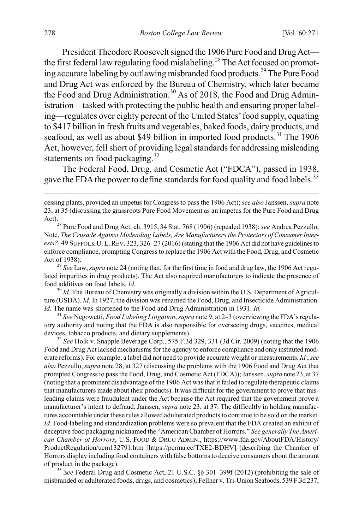<span id="page-8-0"></span>President Theodore Roosevelt signed the 1906 Pure Food and Drug Act— the first federal law regulating food mislabeling.<sup>[28](#page-8-1)</sup> The Act focused on promoting accurate labeling by outlawing misbranded food products.[29](#page-8-2) The Pure Food and Drug Act was enforced by the Bureau of Chemistry, which later became the Food and Drug Administration.<sup>[30](#page-8-3)</sup> As of 2018, the Food and Drug Administration—tasked with protecting the public health and ensuring proper labeling—regulates over eighty percent of the United States' food supply, equating to \$417 billion in fresh fruits and vegetables, baked foods, dairy products, and seafood, as well as about \$49 billion in imported food products.<sup>[31](#page-8-4)</sup> The 1906 Act, however, fell short of providing legal standards for addressing misleading statements on food packaging. $32$ 

The Federal Food, Drug, and Cosmetic Act ("FDCA"), passed in 1938, gave the FDA the power to define standards for food quality and food labels.<sup>[33](#page-8-6)</sup>

<span id="page-8-3"></span>ture (USDA). *Id.* In 1927, the division was renamed the Food, Drug, and Insecticide Administration. *Id.* The name was shortened to the Food and Drug Administration in 1931. *Id.* <sup>31</sup> *See* Negowetti, *Food Labeling Litigation*, *supra* not[e 9,](#page-3-4) at 2–3 (overviewing the FDA's regula-

<span id="page-8-4"></span>tory authority and noting that the FDA is also responsible for overseeing drugs, vaccines, medical devices, tobacco products, and dietary supplements). <sup>32</sup> *See* Holk v. Snapple Beverage Corp., 575 F.3d 329, 331 (3d Cir. 2009) (noting that the 1906

<span id="page-8-5"></span>Food and Drug Act lacked mechanisms for the agency to enforce compliance and only instituted moderate reforms). For example, a label did not need to provide accurate weight or measurements. *Id.*; *see also* Pezzullo, *supra* not[e 28,](#page-8-0) at 327 (discussing the problems with the 1906 Food and Drug Act that prompted Congress to pass the Food, Drug, and Cosmetic Act (FDCA)); Janssen, *supra* not[e 23,](#page-7-0) at 37 (noting that a prominent disadvantage of the 1906 Act was that it failed to regulate therapeutic claims that manufacturers made about their products). It was difficult for the government to prove that misleading claims were fraudulent under the Act because the Act required that the government prove a manufacturer's intent to defraud. Janssen, *supra* not[e 23,](#page-7-0) at 37. The difficultly in holding manufactures accountable under these rules allowed adulterated products to continue to be sold on the market. *Id.* Food-labeling and standardization problems were so prevalent that the FDA created an exhibit of deceptive food packaging nicknamed the "American Chamber of Horrors." *See generally The American Chamber of Horrors*, U.S. FOOD & DRUG ADMIN., https://www.fda.gov/AboutFDA/History/ ProductRegulation/ucm132791.htm [https://perma.cc/TXE2-BDHV] (describing the Chamber of Horrors display including food containers with false bottoms to deceive consumers about the amount of product in the package). <sup>33</sup> *See* Federal Drug and Cosmetic Act, 21 U.S.C. §§ 301–399f (2012) (prohibiting the sale of

<span id="page-8-6"></span>misbranded or adulterated foods, drugs, and cosmetics); Fellner v. Tri-Union Seafoods, 539 F.3d 237,

cessing plants, provided an impetus for Congress to pass the 1906 Act); *see also* Janssen, *supra* note [23,](#page-7-0) at 35 (discussing the grassroots Pure Food Movement as an impetus for the Pure Food and Drug

<span id="page-8-1"></span>Act).28 Pure Food and Drug Act, ch. 3915, <sup>34</sup> Stat. 768 (1906) (repealed 1938); *see* Andrea Pezzullo, Note, *The Crusade Against Misleading Labels, Are Manufacturers the Protectors of Consumer Interests?*, 49 SUFFOLK U. L.REV. 323, 326–27 (2016) (stating that the 1906 Act did not have guidelines to enforce compliance, prompting Congress to replace the 1906 Act with the Food, Drug, and Cosmetic

<span id="page-8-2"></span>Act of 1938). <sup>29</sup> *See* Law, *supra* not[e 24](#page-7-1) (noting that, for the first time in food and drug law, the 1906 Act regulated impurities in drug products). The Act also required manufacturers to indicate the presence of food additives on food labels. *Id.*<br><sup>30</sup> *Id.* The Bureau of Chemistry was originally a division within the U.S. Department of Agricul-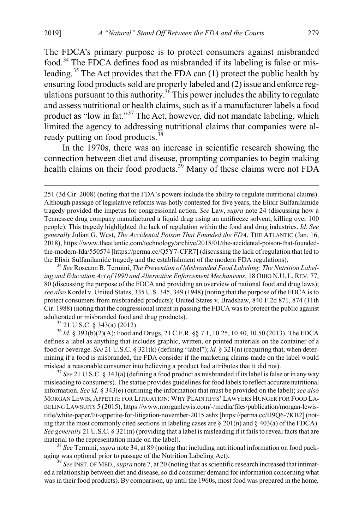<span id="page-9-0"></span>The FDCA's primary purpose is to protect consumers against misbranded food.[34](#page-9-1) The FDCA defines food as misbranded if its labeling is false or mis-leading.<sup>[35](#page-9-2)</sup> The Act provides that the FDA can (1) protect the public health by ensuring food products sold are properly labeled and (2) issue and enforce reg-ulations pursuant to this authority.<sup>[36](#page-9-3)</sup> This power includes the ability to regulate and assess nutritional or health claims, such as if a manufacturer labels a food product as "low in fat."<sup>[37](#page-9-4)</sup> The Act, however, did not mandate labeling, which limited the agency to addressing nutritional claims that companies were al-ready putting on food products.<sup>[38](#page-9-5)</sup>

<span id="page-9-7"></span>In the 1970s, there was an increase in scientific research showing the connection between diet and disease, prompting companies to begin making health claims on their food products.<sup>[39](#page-9-6)</sup> Many of these claims were not FDA

<span id="page-9-1"></span>*ing and Education Act of 1990 and Alternative Enforcement Mechanisms*, 18 OHIO N.U. L. REV. 77, 80 (discussing the purpose of the FDCA and providing an overview of national food and drug laws); *see also* Kordel v. United States, 335 U.S. 345, 349 (1948) (noting that the purpose of the FDCA is to protect consumers from misbranded products); United States v. Bradshaw, 840 F.2d 871, 874 (11th Cir. 1988) (noting that the congressional intent in passing the FDCA was to protect the public against adulterated or misbranded food and drug products).<br><sup>35</sup> 21 U.S.C. § 343(a) (2012).<br><sup>36</sup> *Id.* § 393(b)(2)(A); Food and Drugs, 21 C.F.R. §§ 7.1, 10.25, 10.40, 10.50 (2013). The FDCA

<span id="page-9-3"></span><span id="page-9-2"></span>defines a label as anything that includes graphic, written, or printed materials on the container of a food or beverage. *See* 21 U.S.C. § 321(k) (defining "label"); *id.* § 321(n) (requiring that, when determining if a food is misbranded, the FDA consider if the marketing claims made on the label would mislead a reasonable consumer into believing a product had attributes that it did not). <sup>37</sup> *See* 21 U.S.C. § 343(a) (defining a food product as misbranded if its label is false or in any way

<span id="page-9-4"></span>misleading to consumers). The statue provides guidelines for food labels to reflect accurate nutritional information. *See id*. § 343(e) (outlining the information that must be provided on the label); *see also* MORGAN LEWIS, APPETITE FOR LITIGATION: WHY PLAINTIFFS' LAWYERS HUNGER FOR FOOD LA-BELING LAWSUITS 5 (2015), https://www.morganlewis.com/-/media/files/publication/morgan-lewistitle/white-paper/lit-appetite-for-litigation-november-2015.ashx [https://perma.cc/H9Q6-7KB2] (noting that the most commonly cited sections in labeling cases are  $\S 201(n)$  and  $\S 403(a)$  of the FDCA). *See generally* 21 U.S.C. § 321(n) (providing that a label is misleading if it fails to reveal facts that are material to the representation made on the label).

<span id="page-9-5"></span><sup>38</sup> See Termini, *supra* not[e 34,](#page-9-0) at 89 (noting that including nutritional information on food packaging was optional prior to passage of the Nutrition Labeling Act).<br><sup>39</sup> *See* INST. OF MED., *supra* not[e 7,](#page-3-5) at 20 (noting that as scientific research increased that intimat-

<span id="page-9-6"></span>ed a relationship between diet and disease, so did consumer demand for information concerning what was in their food products). By comparison, up until the 1960s, most food was prepared in the home,

 <sup>251 (3</sup>d Cir. 2008) (noting that the FDA's powers include the ability to regulate nutritional claims). Although passage of legislative reforms was hotly contested for five years, the Elixir Sulfanilamide tragedy provided the impetus for congressional action. *See* Law, *supra* note [24](#page-7-1) (discussing how a Tennessee drug company manufactured a liquid drug using an antifreeze solvent, killing over 100 people). This tragedy highlighted the lack of regulation within the food and drug industries. *Id. See generally* Julian G. West, *The Accidental Poison That Founded the FDA*, THE ATLANTIC (Jan. 16, 2018), https://www.theatlantic.com/technology/archive/2018/01/the-accidental-poison-that-foundedthe-modern-fda/550574 [https://perma.cc/Q5Y7-CFR7] (discussing the lack of regulation that led to the Elixir Sulfanilamide tragedy and the establishment of the modern FDA regulations). <sup>34</sup> *See* Roseann B. Termini, *The Prevention of Misbranded Food Labeling: The Nutrition Label-*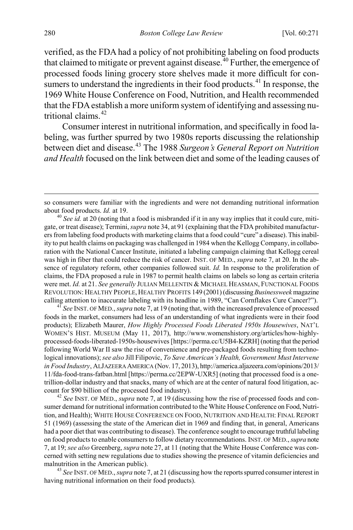verified, as the FDA had a policy of not prohibiting labeling on food products that claimed to mitigate or prevent against disease.<sup>[40](#page-10-0)</sup> Further, the emergence of processed foods lining grocery store shelves made it more difficult for con-sumers to understand the ingredients in their food products.<sup>[41](#page-10-1)</sup> In response, the 1969 White House Conference on Food, Nutrition, and Health recommended that the FDA establish a more uniform system of identifying and assessing nutritional claims.[42](#page-10-2)

Consumer interest in nutritional information, and specifically in food labeling, was further spurred by two 1980s reports discussing the relationship between diet and disease.[43](#page-10-3) The 1988 *Surgeon's General Report on Nutrition and Health* focused on the link between diet and some of the leading causes of

<span id="page-10-1"></span>foods in the market, consumers had less of an understanding of what ingredients were in their food products); Elizabeth Maurer, *How Highly Processed Foods Liberated 1950s Housewives*, NAT'L WOMEN'S HIST. MUSEUM (May 11, 2017), http://www.womenshistory.org/articles/how-highlyprocessed-foods-liberated-1950s-housewives [https://perma.cc/U5B4-KZRH] (noting that the period following World War II saw the rise of convenience and pre-packaged foods resulting from technological innovations); *see also* Jill Filipovic, *To Save American's Health, Government Must Intervene in Food Industry*, ALJAZEERA AMERICA (Nov. 17, 2013), http://america.aljazeera.com/opinions/2013/ 11/fda-food-trans-fatban.html [https://perma.cc/2EPW-UXR5] (noting that processed food is a onetrillion-dollar industry and that snacks, many of which are at the center of natural food litigation, account for \$90 billion of the processed food industry).<br><sup>42</sup> *See* INST. OF MED., *supra* not[e 7,](#page-3-5) at 19 (discussing how the rise of processed foods and con-

<span id="page-10-2"></span>sumer demand for nutritional information contributed to the White House Conference on Food, Nutrition, and Health); WHITE HOUSE CONFERENCE ON FOOD, NUTRITION AND HEALTH: FINAL REPORT 51 (1969) (assessing the state of the American diet in 1969 and finding that, in general, Americans had a poor diet that was contributing to disease). The conference sought to encourage truthful labeling on food products to enable consumers to follow dietary recommendations. INST. OF MED., *supra* note [7,](#page-3-5) at 19; *see also* Greenberg, *supra* not[e 27,](#page-7-7) at 11 (noting that the White House Conference was concerned with setting new regulations due to studies showing the presence of vitamin deficiencies and malnutrition in the American public).<br><sup>43</sup> *See* INST. OF MED., *supra* not[e 7,](#page-3-5) at 21 (discussing how the reports spurred consumer interest in

<span id="page-10-3"></span>having nutritional information on their food products).

so consumers were familiar with the ingredients and were not demanding nutritional information about food products. *Id.* at 19.<br><sup>40</sup> *See id.* at 20 (noting that a food is misbranded if it in any way implies that it could cure, miti-

<span id="page-10-0"></span>gate, or treat disease); Termini, *supra* not[e 34,](#page-9-0) at 91 (explaining that the FDA prohibited manufacturers from labeling food products with marketing claims that a food could "cure" a disease). This inability to put health claims on packaging was challenged in 1984 when the Kellogg Company, in collaboration with the National Cancer Institute, initiated a labeling campaign claiming that Kellogg cereal was high in fiber that could reduce the risk of cancer. INST. OF MED., *supra* not[e 7,](#page-3-5) at 20. In the absence of regulatory reform, other companies followed suit. *Id.* In response to the proliferation of claims, the FDA proposed a rule in 1987 to permit health claims on labels so long as certain criteria were met. *Id.* at 21. *See generally* JULIAN MELLENTIN & MICHAEL HEASMAN, FUNCTIONAL FOODS REVOLUTION: HEALTHY PEOPLE, HEALTHY PROFITS 149 (2001) (discussing *Businessweek* magazine calling attention to inaccurate labeling with its headline in 1989, "Can Cornflakes Cure Cancer?"). <sup>41</sup> *See* INST. OF MED., *supra* not[e 7,](#page-3-5) at 19 (noting that, with the increased prevalence of processed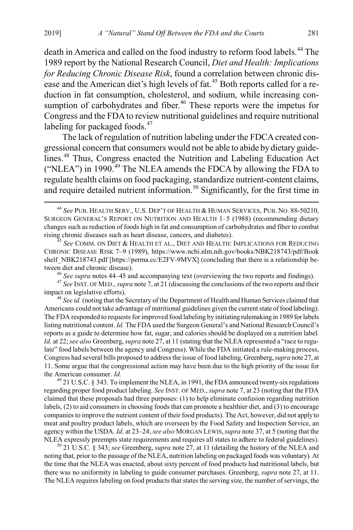<span id="page-11-1"></span><span id="page-11-0"></span>death in America and called on the food industry to reform food labels.<sup>[44](#page-11-2)</sup> The 1989 report by the National Research Council, *Diet and Health: Implications for Reducing Chronic Disease Risk*, found a correlation between chronic dis-ease and the American diet's high levels of fat.<sup>[45](#page-11-3)</sup> Both reports called for a reduction in fat consumption, cholesterol, and sodium, while increasing con-sumption of carbohydrates and fiber.<sup>[46](#page-11-4)</sup> These reports were the impetus for Congress and the FDA to review nutritional guidelines and require nutritional labeling for packaged foods.<sup>[47](#page-11-5)</sup>

The lack of regulation of nutrition labeling under the FDCA created congressional concern that consumers would not be able to abide by dietary guide-lines.<sup>[48](#page-11-6)</sup> Thus, Congress enacted the Nutrition and Labeling Education Act ("NLEA") in 1990.<sup>[49](#page-11-7)</sup> The NLEA amends the FDCA by allowing the FDA to regulate health claims on food packaging, standardize nutrient-content claims, and require detailed nutrient information.<sup>[50](#page-11-8)</sup> Significantly, for the first time in

<span id="page-11-4"></span>tween diet and chronic disease).<br>
<sup>46</sup> See supra notes [44](#page-11-0)[–45](#page-11-1) and accompanying text (overviewing the two reports and findings).<br>
<sup>47</sup> See INST. OF MED., *supra* not[e 7,](#page-3-5) at 21 (discussing the conclusions of the two reports

<span id="page-11-6"></span><span id="page-11-5"></span><sup>48</sup> See id. (noting that the Secretary of the Department of Health and Human Services claimed that Americans could not take advantage of nutritional guidelines given the current state of food labeling). The FDA responded to requests for improved food labeling by initiating rulemaking in 1989 for labels listing nutritional content. *Id.* The FDA used the Surgeon General's and National Research Council's reports as a guide to determine how fat, sugar, and calories should be displayed on a nutrition label. *Id.* at 22; *see also* Greenberg, *supra* not[e 27,](#page-7-7) at 11 (stating that the NLEA represented a "race to regulate" food labels between the agency and Congress). While the FDA initiated a rule-making process, Congress had several bills proposed to address the issue of food labeling. Greenberg, *supra* not[e 27,](#page-7-7) at 11. Some argue that the congressional action may have been due to the high priority of the issue for the American consumer. *Id.* 49 21 U.S.C. § 343. To implement the NLEA, in 1991, the FDA announced twenty-six regulations

<span id="page-11-7"></span>regarding proper food product labeling. *See* INST. OF MED., *supra* not[e 7,](#page-3-5) at 23 (noting that the FDA claimed that these proposals had three purposes: (1) to help eliminate confusion regarding nutrition labels, (2) to aid consumers in choosing foods that can promote a healthier diet, and (3) to encourage companies to improve the nutrient content of their food products). The Act, however, did not apply to meat and poultry product labels, which are overseen by the Food Safety and Inspection Service, an agency within the USDA. *Id.* at 23–24; *see also* MORGAN LEWIS,*supra* not[e 37,](#page-9-7) at 5 (noting that the NLEA expressly preempts state requirements and requires all states to adhere to federal guidelines). <sup>50</sup> 21 U.S.C. § 343; *see* Greenberg, *supra* not[e 27,](#page-7-7) at 11 (detailing the history of the NLEA and

<span id="page-11-8"></span>noting that, prior to the passage of the NLEA, nutrition labeling on packaged foods was voluntary). At the time that the NLEA was enacted, about sixty percent of food products had nutritional labels, but there was no uniformity in labeling to guide consumer purchases. Greenberg, *supra* not[e 27,](#page-7-7) at 11. The NLEA requires labeling on food products that states the serving size, the number of servings, the

<span id="page-11-2"></span> <sup>44</sup> *See* PUB. HEALTH SERV., U.S. DEP'T OF HEALTH & HUMAN SERVICES, PUB. NO. 88-50210, SURGEON GENERAL'S REPORT ON NUTRITION AND HEALTH 1–5 (1988) (recommending dietary changes such as reduction of foods high in fat and consumption of carbohydrates and fiber to combat rising chronic diseases such as heart disease, cancers, and diabetes). <sup>45</sup> *See* COMM. ON DIET & HEALTH ET AL., DIET AND HEALTH: IMPLICATIONS FOR REDUCING

<span id="page-11-3"></span>CHRONIC DISEASE RISK 7–9 (1989), https://www.ncbi.nlm.nih.gov/books/NBK218743/pdf/Book shelf NBK218743.pdf [https://perma.cc/E2FV-9MVX] (concluding that there is a relationship be-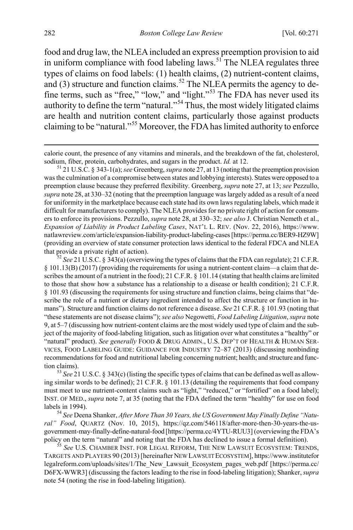food and drug law, the NLEA included an express preemption provision to aid in uniform compliance with food labeling  $\frac{1}{2}$  aws.<sup>[51](#page-12-1)</sup> The NLEA regulates three types of claims on food labels: (1) health claims, (2) nutrient-content claims, and (3) structure and function claims.<sup>[52](#page-12-2)</sup> The NLEA permits the agency to define terms, such as "free," "low," and "light."[53](#page-12-3) The FDA has never used its authority to define the term "natural."[54](#page-12-4) Thus, the most widely litigated claims are health and nutrition content claims, particularly those against products claiming to be "natural."[55](#page-12-5) Moreover, the FDA has limited authority to enforce

<span id="page-12-3"></span>ing similar words to be defined); 21 C.F.R. § 101.13 (detailing the requirements that food company must meet to use nutrient-content claims such as "light," "reduced," or "fortified" on a food label); INST. OF MED., *supra* not[e 7,](#page-3-5) at 35 (noting that the FDA defined the term "healthy" for use on food

<span id="page-12-4"></span>labels in 1994).<br><sup>54</sup> *See* Deena Shanker, *After More Than 30 Years, the US Government May Finally Define "Natural" Food*, QUARTZ (Nov. 10, 2015), https://qz.com/546118/after-more-then-30-years-the-usgovernment-may-finally-define-natural-food [https://perma.cc/4YTU-RUU3] (overviewing the FDA's policy on the term "natural" and noting that the FDA has declined to issue a formal definition). <sup>55</sup> *See* U.S. CHAMBER INST. FOR LEGAL REFORM, THE NEW LAWSUIT ECOSYSTEM: TRENDS,

<span id="page-12-5"></span>TARGETS AND PLAYERS 90 (2013) [hereinafter NEW LAWSUIT ECOSYSTEM], https://www.institutefor legalreform.com/uploads/sites/1/The\_New\_Lawsuit\_Ecosystem\_pages\_web.pdf [https://perma.cc/ D6FX-WWR3] (discussing the factors leading to the rise in food-labeling litigation); Shanker, *supra* note [54](#page-12-0) (noting the rise in food-labeling litigation).

<span id="page-12-6"></span><span id="page-12-0"></span>calorie count, the presence of any vitamins and minerals, and the breakdown of the fat, cholesterol, sodium, fiber, protein, carbohydrates, and sugars in the product. *Id.* at 12.<br><sup>51</sup> 21 U.S.C. § 343-1(a); *see* Greenberg, *supra* not[e 27](#page-7-7), at 13 (noting that the preemption provision

<span id="page-12-1"></span>was the culmination of a compromise between states and lobbying interests). States were opposed to a preemption clause because they preferred flexibility. Greenberg, *supra* not[e 27,](#page-7-7) at 13; *see* Pezzullo, *supra* not[e 28,](#page-8-0) at 330–32 (noting that the preemption language was largely added as a result of a need for uniformity in the marketplace because each state had its own laws regulating labels, which made it difficult for manufacturers to comply). The NLEA provides for no private right of action for consumers to enforce its provisions. Pezzullo, *supra* note [28,](#page-8-0) at 330–32; *see also* J. Christian Nemeth et al., *Expansion of Liability in Product Labeling Cases*, NAT'L L. REV. (Nov. 22, 2016), https://www. natlawreview.com/article/expansion-liability-product-labeling-cases [https://perma.cc/BER9-HZ9W] (providing an overview of state consumer protection laws identical to the federal FDCA and NLEA that provide a private right of action).<br><sup>52</sup> *See* 21 U.S.C. § 343(a) (overviewing the types of claims that the FDA can regulate); 21 C.F.R.

<span id="page-12-2"></span> $\S$  101.13(B) (2017) (providing the requirements for using a nutrient-content claim—a claim that describes the amount of a nutrient in the food); 21 C.F.R. § 101.14 (stating that health claims are limited to those that show how a substance has a relationship to a disease or health condition); 21 C.F.R. § 101.93 (discussing the requirements for using structure and function claims, being claims that "describe the role of a nutrient or dietary ingredient intended to affect the structure or function in humans"). Structure and function claims do not reference a disease. *See* 21 C.F.R. § 101.93 (noting that "these statements are not disease claims"); *see also* Negowetti, *Food Labeling Litigation*, *supra* note [9,](#page-3-4) at 5–7 (discussing how nutrient-content claims are the most widely used type of claim and the subject of the majority of food-labeling litigation, such as litigation over what constitutes a "healthy" or "natural" product). *See generally* FOOD & DRUG ADMIN., U.S. DEP'T OF HEALTH & HUMAN SER-VICES, FOOD LABELING GUIDE: GUIDANCE FOR INDUSTRY 72–87 (2013) (discussing nonbinding recommendations for food and nutritional labeling concerning nutrient; health; and structure and function claims).<br><sup>53</sup> *See* 21 U.S.C. § 343(c) (listing the specific types of claims that can be defined as well as allow-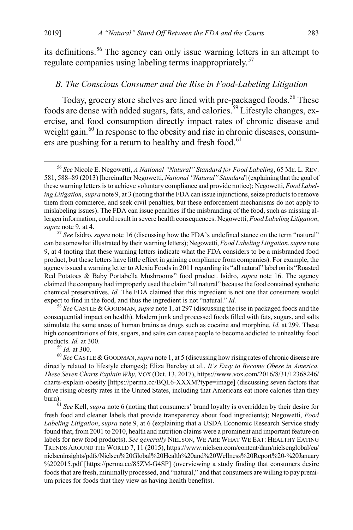<span id="page-13-6"></span>its definitions.<sup>[56](#page-13-0)</sup> The agency can only issue warning letters in an attempt to regulate companies using labeling terms inappropriately.<sup>[57](#page-13-1)</sup>

#### <span id="page-13-7"></span>*B. The Conscious Consumer and the Rise in Food-Labeling Litigation*

Today, grocery store shelves are lined with pre-packaged foods.<sup>[58](#page-13-2)</sup> These foods are dense with added sugars, fats, and calories.[59](#page-13-3) Lifestyle changes, exercise, and food consumption directly impact rates of chronic disease and weight gain.<sup>[60](#page-13-4)</sup> In response to the obesity and rise in chronic diseases, consum-ers are pushing for a return to healthy and fresh food.<sup>[61](#page-13-5)</sup>

<span id="page-13-2"></span>consequential impact on health). Modern junk and processed foods filled with fats, sugars, and salts stimulate the same areas of human brains as drugs such as cocaine and morphine. *Id.* at 299. These high concentrations of fats, sugars, and salts can cause people to become addicted to unhealthy food products. *Id.* at 300.<br><sup>59</sup> *Id.* at 300.<br><sup>60</sup> *See* CASTLE & GOODMAN, *supra* not[e 1,](#page-1-1) at 5 (discussing how rising rates of chronic disease are

<span id="page-13-0"></span> <sup>56</sup> *See* Nicole E. Negowetti, *A National "Natural" Standard for Food Labeling*, 65 ME. L. REV. 581, 588–89 (2013) [hereinafter Negowetti, *National "Natural" Standard*] (explaining that the goal of these warning letters is to achieve voluntary compliance and provide notice); Negowetti, *Food Labeling Litigation*,*supra* not[e 9,](#page-3-4) at 3 (noting that the FDA can issue injunctions, seize products to remove them from commerce, and seek civil penalties, but these enforcement mechanisms do not apply to mislabeling issues). The FDA can issue penalties if the misbranding of the food, such as missing allergen information, could result in severe health consequences. Negowetti, *Food Labeling Litigation*, *supra* note 9, at 4. 57 *See* Isidro, *supra* not[e 16](#page-5-3) (discussing how the FDA's undefined stance on the term "natural"

<span id="page-13-1"></span>can be somewhat illustrated by their warning letters); Negowetti, *Food Labeling Litigation*, *supra* note [9,](#page-3-4) at 4 (noting that these warning letters indicate what the FDA considers to be a misbranded food product, but these letters have little effect in gaining compliance from companies). For example, the agency issued a warning letter to Alexia Foods in 2011 regarding its "all natural" label on its "Roasted Red Potatoes & Baby Portabella Mushrooms" food product. Isidro, *supra* note [16.](#page-5-3) The agency claimed the company had improperly used the claim "all natural" because the food contained synthetic chemical preservatives. *Id.* The FDA claimed that this ingredient is not one that consumers would expect to find in the food, and thus the ingredient is not "natural." *Id.* <sup>58</sup> *See* CASTLE & GOODMAN, *supra* not[e 1,](#page-1-1) at 297 (discussing the rise in packaged foods and the

<span id="page-13-4"></span><span id="page-13-3"></span>directly related to lifestyle changes); Eliza Barclay et al., *It's Easy to Become Obese in America. These Seven Charts Explain Why*, VOX (Oct. 13, 2017), https://www.vox.com/2016/8/31/12368246/ charts-explain-obesity [https://perma.cc/BQL6-XXXM?type=image] (discussing seven factors that drive rising obesity rates in the United States, including that Americans eat more calories than they burn).<br><sup>61</sup> *See* Kell, *supra* note [6](#page-2-5) (noting that consumers' brand loyalty is overridden by their desire for

<span id="page-13-5"></span>fresh food and cleaner labels that provide transparency about food ingredients); Negowetti, *Food Labeling Litigation*, *supra* note [9,](#page-3-4) at 6 (explaining that a USDA Economic Research Service study found that, from 2001 to 2010, health and nutrition claims were a prominent and important feature on labels for new food products). *See generally* NIELSON, WE ARE WHAT WE EAT: HEALTHY EATING TRENDS AROUND THE WORLD 7, 11 (2015), https://www.nielsen.com/content/dam/nielsenglobal/eu/ nielseninsights/pdfs/Nielsen%20Global%20Health%20and%20Wellness%20Report%20-%20January %202015.pdf [https://perma.cc/85ZM-G4SP] (overviewing a study finding that consumers desire foods that are fresh, minimally processed, and "natural," and that consumers are willing to pay premium prices for foods that they view as having health benefits).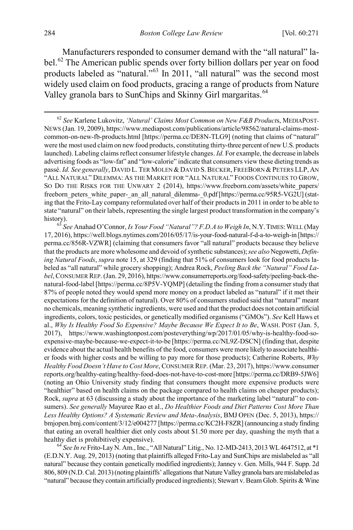<span id="page-14-4"></span><span id="page-14-3"></span>Manufacturers responded to consumer demand with the "all natural" la-bel.<sup>[62](#page-14-0)</sup> The American public spends over forty billion dollars per year on food products labeled as "natural."[63](#page-14-1) In 2011, "all natural" was the second most widely used claim on food products, gracing a range of products from Nature Valley granola bars to SunChips and Skinny Girl margaritas.<sup>[64](#page-14-2)</sup>

<span id="page-14-1"></span>17, 2016), https://well.blogs.nytimes.com/2016/05/17/is-your-food-natural-f-d-a-to-weigh-in [https:// perma.cc/856R-VZWR] (claiming that consumers favor "all natural" products because they believe that the products are more wholesome and devoid of synthetic substances); *see also* Negowetti, *Defining Natural Foods*, *supra* not[e 15,](#page-5-4) at 329 (finding that 51% of consumers look for food products labeled as "all natural" while grocery shopping); Andrea Rock, *Peeling Back the "Natural" Food Label*, CONSUMER REP.(Jan. 29, 2016), https://www.consumerreports.org/food-safety/peeling-back-thenatural-food-label [https://perma.cc/8P5V-YQMP] (detailing the finding from a consumer study that 87% of people noted they would spend more money on a product labeled as "natural" if it met their expectations for the definition of natural). Over 80% of consumers studied said that "natural" meant no chemicals, meaning synthetic ingredients, were used and that the product does not contain artificial ingredients, colors, toxic pesticides, or genetically modified organisms ("GMOs"). *See* Kell Haws et al., Why Is Healthy Food So Expensive? Maybe Because We Expect It to Be, WASH. POST (Jan. 5, 2017), https://www.washingtonpost.com/posteverything/wp/2017/01/05/why-is-healthy-food-soexpensive-maybe-because-we-expect-it-to-be [https://perma.cc/NL9Z-DSCN] (finding that, despite evidence about the actual health benefits of the food, consumers were more likely to associate healthier foods with higher costs and be willing to pay more for those products); Catherine Roberts, *Why Healthy Food Doesn't Have to Cost More*, CONSUMER REP. (Mar. 23, 2017), https://www.consumer reports.org/healthy-eating/healthy-food-does-not-have-to-cost-more [https://perma.cc/DRB9-5JW6] (noting an Ohio University study finding that consumers thought more expensive products were "healthier" based on health claims on the package compared to health claims on cheaper products); Rock, *supra* at 63 (discussing a study about the importance of the marketing label "natural" to consumers). *See generally* Mayuree Rao et al., *Do Healthier Foods and Diet Patterns Cost More Than Less Healthy Options? A Systematic Review and Meta-Analysis*, BMJ OPEN (Dec. 5, 2013), https:// bmjopen.bmj.com/content/3/12/e004277 [https://perma.cc/KC2H-F8ZR] (announcing a study finding that eating an overall healthier diet only costs about \$1.50 more per day, quashing the myth that a healthy diet is prohibitively expensive).<br><sup>64</sup> *See In re* Frito-Lay N. Am., Inc., "All Natural" Litig., No. 12-MD-2413, 2013 WL 4647512, at \*1

<span id="page-14-2"></span>(E.D.N.Y. Aug. 29, 2013) (noting that plaintiffs alleged Frito-Lay and SunChips are mislabeled as "all natural" because they contain genetically modified ingredients); Janney v. Gen. Mills, 944 F. Supp. 2d 806, 809 (N.D. Cal. 2013) (noting plaintiffs' allegations that Nature Valley granola bars are mislabeled as "natural" because they contain artificially produced ingredients); Stewart v. Beam Glob. Spirits & Wine

<span id="page-14-5"></span><span id="page-14-0"></span> <sup>62</sup> *See* Karlene Lukovitz, *'Natural' Claims Most Common on New F&B Product*s, MEDIAPOST-NEWS (Jan. 19, 2009), https://www.mediapost.com/publications/article/98562/natural-claims-mostcommon-on-new-fb-products.html [https://perma.cc/DE8N-TLG9] (noting that claims of "natural" were the most used claim on new food products, constituting thirty-three percent of new U.S. products launched). Labeling claims reflect consumer lifestyle changes. *Id.* For example, the decrease in labels advertising foods as "low-fat" and "low-calorie" indicate that consumers view these dieting trends as passé. *Id. See generally*, DAVID L. TER MOLEN & DAVID S. BECKER, FREEBORN & PETERS LLP, AN "ALL NATURAL" DILEMMA: AS THE MARKET FOR "ALL NATURAL" FOODS CONTINUES TO GROW, SO DO THE RISKS FOR THE UNWARY 2 (2014), https://www.freeborn.com/assets/white\_papers/ freeborn peters white paper- an all natural dilemma- 0.pdf [https://perma.cc/95R5-VG2U] (stating that the Frito-Lay company reformulated over half of their products in 2011 in order to be able to state "natural" on their labels, representing the single largest product transformation in the company's history). <sup>63</sup> *See* Anahad O'Connor, *Is Your Food "Natural"? F.D.A to Weigh In*, N.Y.TIMES:WELL (May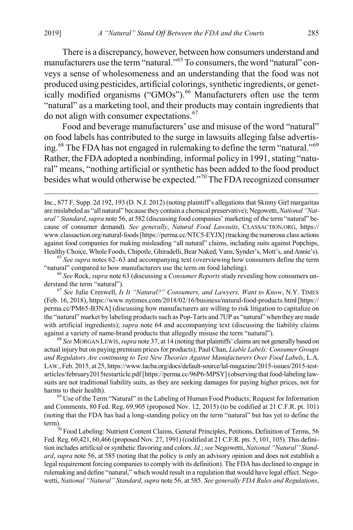There is a discrepancy, however, between how consumers understand and manufacturers use the term "natural."<sup>[65](#page-15-0)</sup> To consumers, the word "natural" conveys a sense of wholesomeness and an understanding that the food was not produced using pesticides, artificial colorings, synthetic ingredients, or genetically modified organisms ("GMOs").<sup>66</sup> Manufacturers often use the term "natural" as a marketing tool, and their products may contain ingredients that do not align with consumer expectations.[67](#page-15-2)

<span id="page-15-7"></span>Food and beverage manufacturers' use and misuse of the word "natural" on food labels has contributed to the surge in lawsuits alleging false advertising.[68](#page-15-3) The FDA has not engaged in rulemaking to define the term "natural."[69](#page-15-4) Rather, the FDA adopted a nonbinding, informal policy in 1991, stating "natural" means, "nothing artificial or synthetic has been added to the food product besides what would otherwise be expected."[70](#page-15-5) The FDA recognized consumer

<span id="page-15-0"></span>Healthy Choice, Whole Foods, Chipotle, Ghiradelli, Bear Naked, Vans, Synder's, Mott's, and Annie's). <sup>65</sup> *See supra* note[s 62](#page-14-3)[–63](#page-14-4) and accompanying text (overviewing how consumers define the term "natural" compared to how manufacturers use the term on food labeling). <sup>66</sup> *See* Rock, *supra* not[e 63](#page-14-4) (discussing a *Consumer Reports* study revealing how consumers un-

<span id="page-15-1"></span>derstand the term "natural").<br><sup>67</sup> *See* Julie Creswell, *Is It "Natural?" Consumers, and Lawyers, Want to Know*, N.Y. TIMES

<span id="page-15-2"></span>(Feb. 16, 2018), https://www.nytimes.com/2018/02/16/business/natural-food-products.html [https:// perma.cc/PM65-B3NA] (discussing how manufacturers are willing to risk litigation to capitalize on the "natural" market by labeling products such as Pop-Tarts and 7UP as "natural" when they are made with artificial ingredients); *supra* note [64](#page-14-5) and accompanying text (discussing the liability claims against a variety of name-brand products that allegedly misuse the term "natural"). <sup>68</sup> *See* MORGAN LEWIS, *supra* not[e 37,](#page-9-7) at 14 (noting that plaintiffs' claims are not generally based on

<span id="page-15-3"></span>actual injury but on paying premium prices for products); Paul Chan, *Liable Labels: Consumer Groups and Regulators Are continuing to Test New Theories Against Manufacturers Over Food Labels*, L.A. LAW., Feb. 2015, at 25, https://www.lacba.org/docs/default-source/lal-magazine/2015-issues/2015-testarticles/february2015testarticle.pdf [https://perma.cc/96P6-MPSY] (observing that food-labeling lawsuits are not traditional liability suits, as they are seeking damages for paying higher prices, not for

<span id="page-15-4"></span>harms to their health).<br><sup>69</sup> Use of the Term "Natural" in the Labeling of Human Food Products; Request for Information and Comments, 80 Fed. Reg. 69,905 (proposed Nov. 12, 2015) (to be codified at 21 C.F.R. pt. 101) (noting that the FDA has had a long-standing policy on the term "natural" but has yet to define the

<span id="page-15-5"></span>term).<br><sup>70</sup> Food Labeling: Nutrient Content Claims, General Principles, Petitions, Definition of Terms, 56 Fed. Reg. 60,421, 60,466 (proposed Nov. 27, 1991) (codified at 21 C.F.R. pts. 5, 101, 105). This definition includes artificial or synthetic flavoring and colors. *Id.*; *see* Negowetti, *National "Natural" Standard*, *supra* not[e 56,](#page-13-6) at 585 (noting that the policy is only an advisory opinion and does not establish a legal requirement forcing companies to comply with its definition). The FDA has declined to engage in rulemaking and define "natural," which would result in a regulation that would have legal effect. Negowetti, *National "Natural" Standard*, *supra* not[e 56,](#page-13-6) at 585. *See generally FDA Rules and Regulations*,

<span id="page-15-6"></span>Inc., 877 F. Supp. 2d 192, 193 (D. N.J. 2012) (noting plaintiff's allegations that Skinny Girl margaritas are mislabeled as "all natural" because they contain a chemical preservative); Negowetti, *National "Natural" Standard*, *supra* not[e 56,](#page-13-6) at 582 (discussing food companies' marketing of the term "natural" because of consumer demand). *See generally*, *Natural Food Lawsuits*, CLASSACTION.ORG, https:// www.classaction.org/natural-foods [https://perma.cc/NTC5-EYJX] (tracking the numerous class actions against food companies for making misleading "all natural" claims, including suits against Popchips,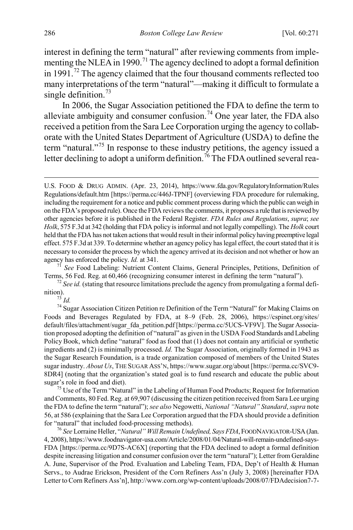interest in defining the term "natural" after reviewing comments from imple-menting the NLEA in 1990.<sup>[71](#page-16-0)</sup> The agency declined to adopt a formal definition in 1991.<sup>[72](#page-16-1)</sup> The agency claimed that the four thousand comments reflected too many interpretations of the term "natural"—making it difficult to formulate a single definition.<sup>[73](#page-16-2)</sup>

In 2006, the Sugar Association petitioned the FDA to define the term to alleviate ambiguity and consumer confusion.<sup>[74](#page-16-3)</sup> One year later, the FDA also received a petition from the Sara Lee Corporation urging the agency to collaborate with the United States Department of Agriculture (USDA) to define the term "natural."[75](#page-16-4) In response to these industry petitions, the agency issued a letter declining to adopt a uniform definition.<sup>[76](#page-16-5)</sup> The FDA outlined several rea-

<span id="page-16-3"></span><span id="page-16-2"></span>Foods and Beverages Regulated by FDA, at 8–9 (Feb. 28, 2006), https://cspinet.org/sites/ default/files/attachment/sugar\_fda\_petition.pdf [https://perma.cc/5UCS-VF9V]. The Sugar Association proposed adopting the definition of "natural" as given in the USDA Food Standards and Labeling Policy Book, which define "natural" food as food that (1) does not contain any artificial or synthetic ingredients and (2) is minimally processed. *Id.* The Sugar Association, originally formed in 1943 as the Sugar Research Foundation, is a trade organization composed of members of the United States sugar industry. *About Us*, THE SUGAR ASS'N, https://www.sugar.org/about [https://perma.cc/SVC9- 8DR4] (noting that the organization's stated goal is to fund research and educate the public about sugar's role in food and diet).

<span id="page-16-4"></span> $\frac{75}{15}$  Use of the Term "Natural" in the Labeling of Human Food Products; Request for Information and Comments, 80 Fed. Reg. at 69,907 (discussing the citizen petition received from Sara Lee urging the FDA to define the term "natural"); *see also* Negowetti, *National "Natural" Standard*, *supra* note [56,](#page-13-6) at 586 (explaining that the Sara Lee Corporation argued that the FDA should provide a definition for "natural" that included food-processing methods). <sup>76</sup> *See* Lorraine Heller, "*Natural" Will Remain Undefined, Says FDA*, FOODNAVIGATOR-USA(Jan.

<span id="page-16-5"></span>4, 2008), https://www.foodnavigator-usa.com/Article/2008/01/04/Natural-will-remain-undefined-says-FDA [https://perma.cc/9D7S-AC6X] (reporting that the FDA declined to adopt a formal definition despite increasing litigation and consumer confusion over the term "natural"); Letter from Geraldine A. June, Supervisor of the Prod. Evaluation and Labeling Team, FDA, Dep't of Health & Human Servs., to Audrae Erickson, President of the Corn Refiners Ass'n (July 3, 2008) [hereinafter FDA Letter to Corn Refiners Ass'n], http://www.corn.org/wp-content/uploads/2008/07/FDAdecision7-7-

<span id="page-16-6"></span>U.S. FOOD & DRUG ADMIN. (Apr. 23, 2014), https://www.fda.gov/RegulatoryInformation/Rules Regulations/default.htm [https://perma.cc/446J-TPNF] (overviewing FDA procedure for rulemaking, including the requirement for a notice and public comment process during which the public can weigh in on the FDA's proposed rule). Once the FDA reviews the comments, it proposes a rule that is reviewed by other agencies before it is published in the Federal Register. *FDA Rules and Regulations*, *supra*; *see Holk*, 575 F.3d at 342 (holding that FDA policy is informal and not legally compelling). The *Holk* court held that the FDA has not taken actions that would result in their informal policy having preemptive legal effect. 575 F.3d at 339. To determine whether an agency policy has legal effect, the court stated that it is necessary to consider the process by which the agency arrived at its decision and not whether or how an agency has enforced the policy. *Id.* at 341.<br><sup>71</sup> *See* Food Labeling: Nutrient Content Claims, General Principles, Petitions, Definition of

<span id="page-16-0"></span>

<span id="page-16-1"></span>Terms, 56 Fed. Reg. at 60,466 (recognizing consumer interest in defining the term "natural"). <sup>72</sup> *See id.* (stating that resource limitations preclude the agency from promulgating a formal definition).<br><sup>73</sup> *Id.*<br><sup>74</sup> Sugar Association Citizen Petition re Definition of the Term "Natural" for Making Claims on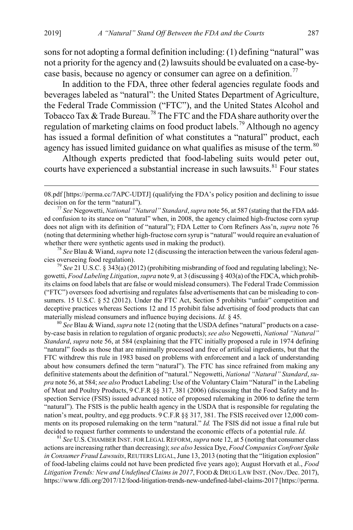sons for not adopting a formal definition including: (1) defining "natural" was not a priority for the agency and (2) lawsuits should be evaluated on a case-by-case basis, because no agency or consumer can agree on a definition.<sup>[77](#page-17-0)</sup>

In addition to the FDA, three other federal agencies regulate foods and beverages labeled as "natural": the United States Department of Agriculture, the Federal Trade Commission ("FTC"), and the United States Alcohol and Tobacco Tax  $&$  Trade Bureau.<sup>[78](#page-17-1)</sup> The FTC and the FDA share authority over the regulation of marketing claims on food product labels.<sup>[79](#page-17-2)</sup> Although no agency has issued a formal definition of what constitutes a "natural" product, each agency has issued limited guidance on what qualifies as misuse of the term.<sup>[80](#page-17-3)</sup>

<span id="page-17-5"></span>Although experts predicted that food-labeling suits would peter out, courts have experienced a substantial increase in such lawsuits.<sup>[81](#page-17-4)</sup> Four states

<span id="page-17-1"></span>cies overseeing food regulation).

<span id="page-17-2"></span><sup>79</sup> *See* 21 U.S.C. § 343(a) (2012) (prohibiting misbranding of food and regulating labeling); Negowetti, *Food Labeling Litigation*, *supra* not[e 9](#page-3-4), at 3 (discussing § 403(a) of the FDCA, which prohibits claims on food labels that are false or would mislead consumers). The Federal Trade Commission ("FTC") oversees food advertising and regulates false advertisements that can be misleading to consumers. 15 U.S.C. § 52 (2012). Under the FTC Act, Section 5 prohibits "unfair" competition and deceptive practices whereas Sections 12 and 15 prohibit false advertising of food products that can materially mislead consumers and influence buying decisions. *Id.* § 45.<br><sup>80</sup> *See* Blau & Wiand, *supra* not[e 12](#page-4-0) (noting that the USDA defines "natural" products on a case-

<span id="page-17-3"></span>by-case basis in relation to regulation of organic products); *see also* Negowetti, *National "Natural" Standard*, *supra* note [56,](#page-13-6) at 584 (explaining that the FTC initially proposed a rule in 1974 defining "natural" foods as those that are minimally processed and free of artificial ingredients, but that the FTC withdrew this rule in 1983 based on problems with enforcement and a lack of understanding about how consumers defined the term "natural"). The FTC has since refrained from making any definitive statements about the definition of "natural." Negowetti, *National "Natural" Standard*, *supra* not[e 56,](#page-13-6) at 584; *see also* Product Labeling: Use of the Voluntary Claim "Natural" in the Labeling of Meat and Poultry Products, 9 C.F.R §§ 317, 381 (2006) (discussing that the Food Safety and Inspection Service (FSIS) issued advanced notice of proposed rulemaking in 2006 to define the term "natural"). The FSIS is the public health agency in the USDA that is responsible for regulating the nation's meat, poultry, and egg products. 9 C.F.R §§ 317, 381. The FSIS received over 12,000 comments on its proposed rulemaking on the term "natural." *Id.* The FSIS did not issue a final rule but decided to request further comments to understand the economic effects of a potential rule. *Id.* 81 *See* U.S. CHAMBER INST. FOR LEGAL REFORM, *supra* not[e 12,](#page-4-0) at 5 (noting that consumer class

<span id="page-17-4"></span>actions are increasing rather than decreasing); *see also* Jessica Dye, *Food Companies Confront Spike in Consumer Fraud Lawsuits*, REUTERS LEGAL, June 13, 2013 (noting that the "litigation explosion" of food-labeling claims could not have been predicted five years ago); August Horvath et al., *Food Litigation Trends: New and Undefined Claims in 2017*, FOOD &DRUG LAW INST. (Nov./Dec. 2017), https://www.fdli.org/2017/12/food-litigation-trends-new-undefined-label-claims-2017 [https://perma.

 <sup>08.</sup>pdf [https://perma.cc/7APC-UDTJ] (qualifying the FDA's policy position and declining to issue decision on for the term "natural").<br><sup>77</sup> *See* Negowetti, *National "Natural" Standard*, *supra* not[e 56,](#page-13-6) at 587 (stating that the FDA add-

<span id="page-17-0"></span>ed confusion to its stance on "natural" when, in 2008, the agency claimed high-fructose corn syrup does not align with its definition of "natural"); FDA Letter to Corn Refiners Ass'n, *supra* note [76](#page-16-6) (noting that determining whether high-fructose corn syrup is "natural" would require an evaluation of whether there were synthetic agents used in making the product).<br><sup>78</sup> *See* Blau & Wiand, *supra* not[e 12](#page-4-0) (discussing the interaction between the various federal agen-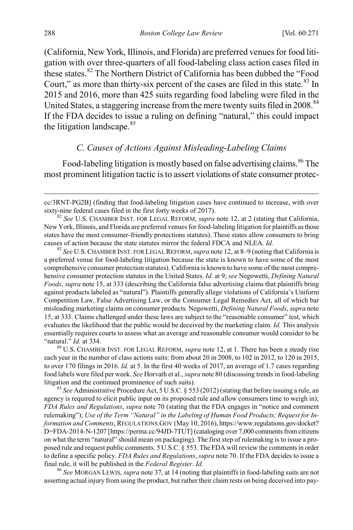(California, New York, Illinois, and Florida) are preferred venues for food litigation with over three-quarters of all food-labeling class action cases filed in these states.<sup>[82](#page-18-0)</sup> The Northern District of California has been dubbed the "Food Court," as more than thirty-six percent of the cases are filed in this state. $83 \text{ In}$  $83 \text{ In}$ 2015 and 2016, more than 425 suits regarding food labeling were filed in the United States, a staggering increase from the mere twenty suits filed in 2008.<sup>[84](#page-18-2)</sup> If the FDA decides to issue a ruling on defining "natural," this could impact the litigation landscape.<sup>[85](#page-18-3)</sup>

#### <span id="page-18-5"></span>*C. Causes of Actions Against Misleading-Labeling Claims*

Food-labeling litigation is mostly based on false advertising claims.<sup>[86](#page-18-4)</sup> The most prominent litigation tactic is to assert violations of state consumer protec-

<span id="page-18-1"></span>a preferred venue for food-labeling litigation because the state is known to have some of the most comprehensive consumer protection statutes). California is known to have some of the most comprehensive consumer protection statutes in the United States. *Id.* at 9; *see* Negowetti, *Defining Natural Foods*, *supra* not[e 15,](#page-5-4) at 333 (describing the California false advertising claims that plaintiffs bring against products labeled as "natural"). Plaintiffs generally allege violations of California's Uniform Competition Law, False Advertising Law, or the Consumer Legal Remedies Act, all of which bar misleading marketing claims on consumer products*.* Negowetti, *Defining Natural Foods*, *supra* note [15,](#page-5-4) at 333. Claims challenged under these laws are subject to the "reasonable consumer" test, which evaluates the likelihood that the public would be deceived by the marketing claim. *Id.* This analysis essentially requires courts to assess what an average and reasonable consumer would consider to be "natural." *Id.* at 334.

<span id="page-18-2"></span><sup>84</sup> U.S. CHAMBER INST. FOR LEGAL REFORM, *supra* note [12,](#page-4-0) at 1. There has been a steady rise each year in the number of class actions suits: from about 20 in 2008, to 102 in 2012, to 120 in 2015, to over 170 filings in 2016. *Id.* at 5. In the first 40 weeks of 2017, an average of 1.7 cases regarding food labels were filed per week. *See* Horvath et al., *supra* not[e 80](#page-17-5) (discussing trends in food-labeling litigation and the continued prominence of such suits). <sup>85</sup> *See* Administrative Procedure Act, <sup>5</sup> U.S.C. § 553 (2012) (stating that before issuing a rule, an

<span id="page-18-3"></span>agency is required to elicit public input on its proposed rule and allow consumers time to weigh in); *FDA Rules and Regulations*, *supra* note [70](#page-15-6) (stating that the FDA engages in "notice and comment rulemaking"); *Use of the Term "Natural" in the Labeling of Human Food Products; Request for Information and Comments*, REGULATIONS.GOV (May 10, 2016), https://www.regulations.gov/docket? D=FDA-2014-N-1207 [https://perma.cc/94JD-7TUT] (cataloging over 7,000 comments from citizens on what the term "natural" should mean on packaging). The first step of rulemaking is to issue a proposed rule and request public comments. 5 U.S.C. § 553. The FDA will review the comments in order to define a specific policy. *FDA Rules and Regulations*, *supra* not[e 70.](#page-15-6) If the FDA decides to issue a final rule, it will be published in the *Federal Register*. *Id.* <sup>86</sup> *See* MORGAN LEWIS, *supra* not[e 37,](#page-9-7) at 14 (noting that plaintiffs in food-labeling suits are not

<span id="page-18-4"></span>asserting actual injury from using the product, but rather their claim rests on being deceived into pay-

cc/3RNT-PG2B] (finding that food-labeling litigation cases have continued to increase, with over sixty-nine federal cases filed in the first forty weeks of 2017).

<span id="page-18-0"></span><sup>82</sup> *See* U.S. CHAMBER INST. FOR LEGAL REFORM, *supra* note [12,](#page-4-0) at 2 (stating that California, New York, Illinois, and Florida are preferred venues for food-labeling litigation for plaintiffs as those states have the most consumer-friendly protections statutes). These states allow consumers to bring causes of action because the state statutes mirror the federal FDCA and NLEA. *Id.* <sup>83</sup> *See* U.S.CHAMBER INST. FOR LEGAL REFORM, *supra* not[e 12,](#page-4-0) at 8–9 (noting that California is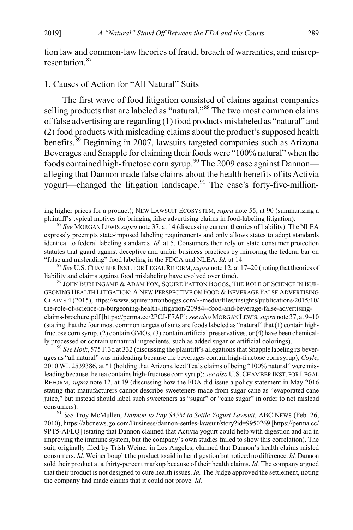tion law and common-law theories of fraud, breach of warranties, and misrep-resentation<sup>[87](#page-19-0)</sup>

#### 1. Causes of Action for "All Natural" Suits

<span id="page-19-5"></span>The first wave of food litigation consisted of claims against companies selling products that are labeled as "natural."<sup>[88](#page-19-1)</sup> The two most common claims of false advertising are regarding (1) food products mislabeled as "natural" and (2) food products with misleading claims about the product's supposed health benefits.<sup>[89](#page-19-2)</sup> Beginning in 2007, lawsuits targeted companies such as Arizona Beverages and Snapple for claiming their foods were "100% natural" when the foods contained high-fructose corn syrup.<sup>[90](#page-19-3)</sup> The 2009 case against Dannon alleging that Dannon made false claims about the health benefits of its Activia yogurt—changed the litigation landscape.<sup>[91](#page-19-4)</sup> The case's forty-five-million-

<span id="page-19-1"></span>"false and misleading" food labeling in the FDCA and NLEA. *Id.* at 14. <sup>88</sup> *See* U.S.CHAMBER INST. FOR LEGAL REFORM,*supra* not[e 12,](#page-4-0) at 17–20 (noting that theories of liability and claims against food mislabeling have evolved over time).<br><sup>89</sup> JOHN BURLINGAME & ADAM FOX, SQUIRE PATTON BOGGS, THE ROLE OF SCIENCE IN BUR-

<span id="page-19-2"></span>GEONING HEALTH LITIGATION: A NEW PERSPECTIVE ON FOOD & BEVERAGE FALSE ADVERTISING CLAIMS 4 (2015), https://www.squirepattonboggs.com/~/media/files/insights/publications/2015/10/ the-role-of-science-in-burgeoning-health-litigation/20984--food-and-beverage-false-advertisingclaims-brochure.pdf [https://perma.cc/2PCJ-F7AP]; *see also* MORGAN LEWIS, *supra* not[e 37,](#page-9-7) at 9–10 (stating that the four most common targets of suits are foods labeled as "natural" that (1) contain highfructose corn syrup, (2) contain GMOs, (3) contain artificial preservatives, or (4) have been chemical-

<span id="page-19-3"></span>ly processed or contain unnatural ingredients, such as added sugar or artificial colorings).<br><sup>90</sup> *See Holk*, 575 F.3d at 332 (discussing the plaintiff's allegations that Snapple labeling its beverages as "all natural" was misleading because the beverages contain high-fructose corn syrup); *Coyle*, 2010 WL 2539386, at \*1 (holding that Arizona Iced Tea's claims of being "100% natural" were misleading because the tea contains high-fructose corn syrup); *see also* U.S.CHAMBER INST. FOR LEGAL REFORM, *supra* note [12,](#page-4-0) at 19 (discussing how the FDA did issue a policy statement in May 2016 stating that manufacturers cannot describe sweeteners made from sugar cane as "evaporated cane juice," but instead should label such sweeteners as "sugar" or "cane sugar" in order to not mislead

<span id="page-19-4"></span>consumers). <sup>91</sup> *See* Troy McMullen, *Dannon to Pay \$45M to Settle Yogurt Lawsuit*, ABC NEWS (Feb. 26, 2010), https://abcnews.go.com/Business/dannon-settles-lawsuit/story?id=9950269 [https://perma.cc/ 9PT5-AFLQ] (stating that Dannon claimed that Activia yogurt could help with digestion and aid in improving the immune system, but the company's own studies failed to show this correlation). The suit, originally filed by Trish Weiner in Los Angeles, claimed that Dannon's health claims misled consumers. *Id.* Weiner bought the product to aid in her digestion but noticed no difference. *Id.* Dannon sold their product at a thirty-percent markup because of their health claims. *Id.* The company argued that their product is not designed to cure health issues. *Id.* The Judge approved the settlement, noting the company had made claims that it could not prove. *Id.*

ing higher prices for a product); NEW LAWSUIT ECOSYSTEM, *supra* not[e 55,](#page-12-6) at 90 (summarizing a plaintiff's typical motives for bringing false advertising claims in food-labeling litigation). <sup>87</sup> *See* MORGAN LEWIS *supra* not[e 37,](#page-9-7) at 14 (discussing current theories of liability). The NLEA

<span id="page-19-0"></span>expressly preempts state-imposed labeling requirements and only allows states to adopt standards identical to federal labeling standards*. Id.* at 5. Consumers then rely on state consumer protection statutes that guard against deceptive and unfair business practices by mirroring the federal bar on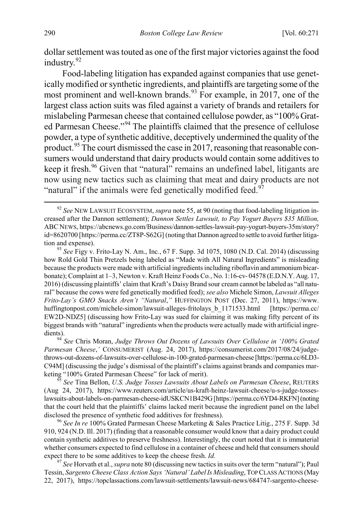dollar settlement was touted as one of the first major victories against the food industry.<sup>[92](#page-20-0)</sup>

Food-labeling litigation has expanded against companies that use genetically modified or synthetic ingredients, and plaintiffs are targeting some of the most prominent and well-known brands.<sup>[93](#page-20-1)</sup> For example, in 2017, one of the largest class action suits was filed against a variety of brands and retailers for mislabeling Parmesan cheese that contained cellulose powder, as "100% Grat-ed Parmesan Cheese."<sup>[94](#page-20-2)</sup> The plaintiffs claimed that the presence of cellulose powder, a type of synthetic additive, deceptively undermined the quality of the product.<sup>[95](#page-20-3)</sup> The court dismissed the case in 2017, reasoning that reasonable consumers would understand that dairy products would contain some additives to keep it fresh.<sup>[96](#page-20-4)</sup> Given that "natural" remains an undefined label, litigants are now using new tactics such as claiming that meat and dairy products are not "natural" if the animals were fed genetically modified feed.<sup>9</sup>

<span id="page-20-0"></span> <sup>92</sup> *See* NEW LAWSUIT ECOSYSTEM, *supra* not[e 55,](#page-12-6) at 90 (noting that food-labeling litigation increased after the Dannon settlement); *Dannon Settles Lawsuit, to Pay Yogurt Buyers \$35 Million,* ABC NEWS, https://abcnews.go.com/Business/dannon-settles-lawsuit-pay-yogurt-buyers-35m/story? id=8620700 [https://perma.cc/ZT8P-S62G] (noting that Dannon agreed to settle to avoid further litigation and expense). <sup>93</sup> *See* Figy v. Frito-Lay N. Am., Inc*.*, 67 F. Supp. 3d 1075, 1080 (N.D. Cal. 2014) (discussing

<span id="page-20-1"></span>how Rold Gold Thin Pretzels being labeled as "Made with All Natural Ingredients" is misleading because the products were made with artificial ingredients including riboflavin and ammonium bicarbonate); Complaint at 1–3, Newton v. Kraft Heinz Foods Co*.*, No. 1:16-cv- 04578 (E.D.N.Y. Aug. 17, 2016) (discussing plaintiffs' claim that Kraft's Daisy Brand sour cream cannot be labeled as "all natural" because the cows were fed genetically modified feed); *see also* Michele Simon, *Lawsuit Alleges Frito-Lay's GMO Snacks Aren't "Natural*,*"* HUFFINGTON POST (Dec. 27, 2011), https://www. huffingtonpost.com/michele-simon/lawsuit-alleges-fritolays b 1171533.html [https://perma.cc/ EW2D-NDZ5] (discussing how Frito-Lay was sued for claiming it was making fifty percent of its biggest brands with "natural" ingredients when the products were actually made with artificial ingredients). <sup>94</sup> *See* Chris Moran, *Judge Throws Out Dozens of Lawsuits Over Cellulose in '100% Grated* 

<span id="page-20-2"></span>*Parmesan Cheese*,*'* CONSUMERIST (Aug. 24, 2017), https://consumerist.com/2017/08/24/judgethrows-out-dozens-of-lawsuits-over-cellulose-in-100-grated-parmesan-cheese [https://perma.cc/6LD3- C94M] (discussing the judge's dismissal of the plaintiff's claims against brands and companies marketing "100% Grated Parmesan Cheese" for lack of merit). <sup>95</sup> *See* Tina Bellon, *U.S. Judge Tosses Lawsuits About Labels on Parmesan Cheese*, REUTERS

<span id="page-20-3"></span><sup>(</sup>Aug 24, 2017), https://www.reuters.com/article/us-kraft-heinz-lawsuit-cheese/u-s-judge-tosseslawsuits-about-labels-on-parmesan-cheese-idUSKCN1B429G [https://perma.cc/6YD4-RKFN] (noting that the court held that the plaintiffs' claims lacked merit because the ingredient panel on the label disclosed the presence of synthetic food additives for freshness). <sup>96</sup> *See In re* 100% Grated Parmesan Cheese Marketing & Sales Practice Litig., 275 F. Supp. 3d

<span id="page-20-4"></span><sup>910, 924 (</sup>N.D. Ill. 2017) (finding that a reasonable consumer would know that a dairy product could contain synthetic additives to preserve freshness). Interestingly, the court noted that it is immaterial whether consumers expected to find cellulose in a container of cheese and held that consumers should expect there to be some additives to keep the cheese fresh. *Id.* 97 *See* Horvath et al., *supra* not[e 80](#page-17-5) (discussing new tactics in suits over the term "natural"); Paul

<span id="page-20-5"></span>Tessin, *Sargento Cheese Class Action Says 'Natural' Label Is Misleading*, TOP CLASS ACTIONS (May 22, 2017), https://topclassactions.com/lawsuit-settlements/lawsuit-news/684747-sargento-cheese-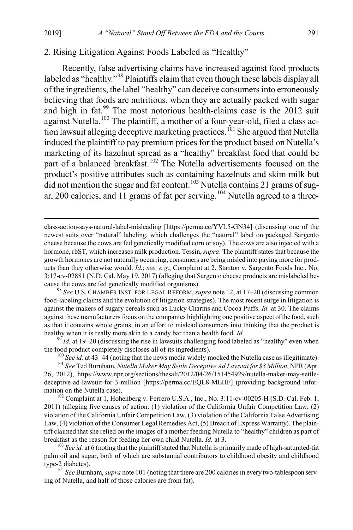#### 2. Rising Litigation Against Foods Labeled as "Healthy"

<span id="page-21-0"></span>Recently, false advertising claims have increased against food products labeled as "healthy."<sup>[98](#page-21-1)</sup> Plaintiffs claim that even though these labels display all of the ingredients, the label "healthy" can deceive consumers into erroneously believing that foods are nutritious, when they are actually packed with sugar and high in fat.<sup>[99](#page-21-2)</sup> The most notorious health-claims case is the 2012 suit against Nutella.[100](#page-21-3) The plaintiff, a mother of a four-year-old, filed a class ac-tion lawsuit alleging deceptive marketing practices.<sup>[101](#page-21-4)</sup> She argued that Nutella induced the plaintiff to pay premium prices for the product based on Nutella's marketing of its hazelnut spread as a "healthy" breakfast food that could be part of a balanced breakfast.<sup>[102](#page-21-5)</sup> The Nutella advertisements focused on the product's positive attributes such as containing hazelnuts and skim milk but  $\overline{d}$  did not mention the sugar and fat content.<sup>[103](#page-21-6)</sup> Nutella contains 21 grams of sug-ar, 200 calories, and 11 grams of fat per serving.<sup>[104](#page-21-7)</sup> Nutella agreed to a three-

class-action-says-natural-label-misleading [https://perma.cc/YVL5-GN34] (discussing one of the newest suits over "natural" labeling, which challenges the "natural" label on packaged Sargento cheese because the cows are fed genetically modified corn or soy). The cows are also injected with a hormone, rbST, which increases milk production. Tessin, *supra*. The plaintiff states that because the growth hormones are not naturally occurring, consumers are being misled into paying more for products than they otherwise would. *Id.*; *see, e.g*., Complaint at 2, Stanton v. Sargento Foods Inc., No. 3:17-cv-02881 (N.D. Cal. May 19, 2017) (alleging that Sargento cheese products are mislabeled because the cows are fed genetically modified organisms).

<span id="page-21-1"></span><sup>98</sup> *See* U.S. CHAMBER INST. FOR LEGAL REFORM, *supra* note [12,](#page-4-0) at 17–20 (discussing common food-labeling claims and the evolution of litigation strategies). The most recent surge in litigation is against the makers of sugary cereals such as Lucky Charms and Cocoa Puffs. *Id.* at 30. The claims against these manufacturers focus on the companies highlighting one positive aspect of the food, such as that it contains whole grains, in an effort to mislead consumers into thinking that the product is healthy when it is really more akin to a candy bar than a health food. *Id.* <sup>99</sup> *Id.* at 19–20 (discussing the rise in lawsuits challenging food labeled as "healthy" even when

<span id="page-21-2"></span>the food product completely discloses all of its ingredients).<br><sup>100</sup> *See id.* at 43–44 (noting that the news media widely mocked the Nutella case as illegitimate).<br><sup>101</sup> *See* Ted Burnham, *Nutella Maker May Settle Decep* 

<span id="page-21-4"></span><span id="page-21-3"></span><sup>26, 2012),</sup> https://www.npr.org/sections/thesalt/2012/04/26/151454929/nutella-maker-may-settledeceptive-ad-lawsuit-for-3-million [https://perma.cc/EQL8-MEHF] (providing background information on the Nutella case). 102 Complaint at 1, Hohenberg v. Ferrero U.S.A., Inc., No. 3:11-cv-00205-H (S.D. Cal. Feb. 1,

<span id="page-21-5"></span><sup>2011) (</sup>alleging five causes of action: (1) violation of the California Unfair Competition Law, (2) violation of the California Unfair Competition Law, (3) violation of the California False Advertising Law, (4) violation of the Consumer Legal Remedies Act, (5) Breach of Express Warranty). The plaintiff claimed that she relied on the images of a mother feeding Nutella to "healthy" children as part of breakfast as the reason for feeding her own child Nutella. *Id.* at 3.<br><sup>103</sup> *See id.* at 6 (noting that the plaintiff stated that Nutella is primarily made of high-saturated-fat

<span id="page-21-6"></span>palm oil and sugar, both of which are substantial contributors to childhood obesity and childhood type-2 diabetes).

<span id="page-21-7"></span><sup>&</sup>lt;sup>104</sup> *See* Burnham, *supra* not[e 101](#page-21-0) (noting that there are 200 calories in every two-tablespoon serving of Nutella, and half of those calories are from fat).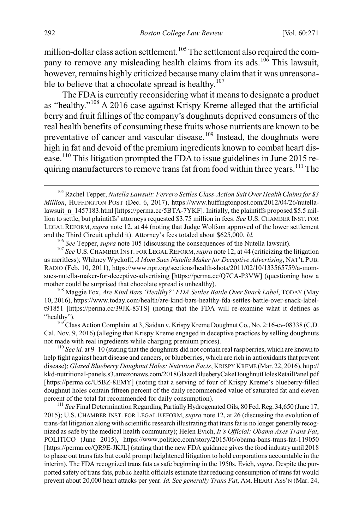<span id="page-22-0"></span>million-dollar class action settlement.<sup>[105](#page-22-1)</sup> The settlement also required the com-pany to remove any misleading health claims from its ads.<sup>[106](#page-22-2)</sup> This lawsuit, however, remains highly criticized because many claim that it was unreasona-ble to believe that a chocolate spread is healthy.<sup>[107](#page-22-3)</sup>

<span id="page-22-8"></span>The FDA is currently reconsidering what it means to designate a product as "healthy."[108](#page-22-4) A 2016 case against Krispy Kreme alleged that the artificial berry and fruit fillings of the company's doughnuts deprived consumers of the real health benefits of consuming these fruits whose nutrients are known to be preventative of cancer and vascular disease.<sup>[109](#page-22-5)</sup> Instead, the doughnuts were high in fat and devoid of the premium ingredients known to combat heart disease.[110](#page-22-6) This litigation prompted the FDA to issue guidelines in June 2015 re-quiring manufacturers to remove trans fat from food within three years.<sup>[111](#page-22-7)</sup> The

<span id="page-22-3"></span><span id="page-22-2"></span>and the Third Circuit upheld it). Attorney's fees totaled about \$625,000. *Id.*<br><sup>106</sup> See Tepper, *supra* not[e 105](#page-22-0) (discussing the consequences of the Nutella lawsuit).<br><sup>107</sup> See U.S. CHAMBER INST. FOR LEGAL REFORM, *supr* as meritless); Whitney Wyckoff, *A Mom Sues Nutella Maker for Deceptive Advertising*, NAT'L PUB. RADIO (Feb. 10, 2011), https://www.npr.org/sections/health-shots/2011/02/10/133565759/a-momsues-nutella-maker-for-deceptive-advertising [https://perma.cc/Q7CA-P3VW] (questioning how a

<span id="page-22-4"></span>mother could be surprised that chocolate spread is unhealthy).<br><sup>108</sup> Maggie Fox, *Are Kind Bars 'Healthy?' FDA Settles Battle Over Snack Label*, TODAY (May 10, 2016), https://www.today.com/health/are-kind-bars-healthy-fda-settles-battle-over-snack-labelt91851 [https://perma.cc/39JK-83TS] (noting that the FDA will re-examine what it defines as "healthy"). <sup>109</sup> Class Action Complaint at 3, Saidan v. Krispy Kreme Doughnut Co., No. 2:16-cv-08338 (C.D.

<span id="page-22-5"></span>Cal. Nov. 9, 2016) (alleging that Krispy Kreme engaged in deceptive practices by selling doughnuts not made with real ingredients while charging premium prices).<br><sup>110</sup> *See id.* at 9–10 (stating that the doughnuts did not contain real raspberries, which are known to

<span id="page-22-6"></span>help fight against heart disease and cancers, or blueberries, which are rich in antioxidants that prevent disease); *Glazed Blueberry Doughnut Holes: Nutrition Facts*, KRISPY KREME (Mar. 22, 2016), http:// kkd-nutritional-panels.s3.amazonaws.com/2018GlazedBlueberyCakeDoughnutHolesRetailPanel.pdf [https://perma.cc/U5BZ-8EMY] (noting that a serving of four of Krispy Kreme's blueberry-filled doughnut holes contain fifteen percent of the daily recommended value of saturated fat and eleven percent of the total fat recommended for daily consumption). <sup>111</sup> *See* Final Determination Regarding Partially Hydrogenated Oils, 80Fed. Reg. 34,650 (June 17,

<span id="page-22-7"></span>2015); U.S. CHAMBER INST. FOR LEGAL REFORM, *supra* not[e 12,](#page-4-0) at 26 (discussing the evolution of trans-fat litigation along with scientific research illustrating that trans fat is no longer generally recognized as safe by the medical health community); Helen Evich, *It's Official: Obama Axes Trans Fat*, POLITICO (June 2015), https://www.politico.com/story/2015/06/obama-bans-trans-fat-119050 [https://perma.cc/QR9E-JKJL] (stating that the new FDA guidance gives the food industry until 2018 to phase out trans fats but could prompt heightened litigation to hold corporations accountable in the interim). The FDA recognized trans fats as safe beginning in the 1950s. Evich, *supra*. Despite the purported safety of trans fats, public health officials estimate that reducing consumption of trans fat would prevent about 20,000 heart attacks per year. *Id. See generally Trans Fat*, AM. HEART ASS'N (Mar. 24,

<span id="page-22-1"></span> <sup>105</sup> Rachel Tepper, *Nutella Lawsuit: Ferrero Settles Class-Action Suit Over Health Claims for \$3 Million*, HUFFINGTON POST (Dec. 6, 2017), https://www.huffingtonpost.com/2012/04/26/nutellalawsuit n 1457183.html [https://perma.cc/5BTA-7YKF]. Initially, the plaintiffs proposed \$5.5 million to settle, but plaintiffs' attorneys requested \$3.75 million in fees. *See* U.S. CHAMBER INST. FOR LEGAL REFORM, *supra* not[e 12,](#page-4-0) at 44 (noting that Judge Wolfson approved of the lower settlement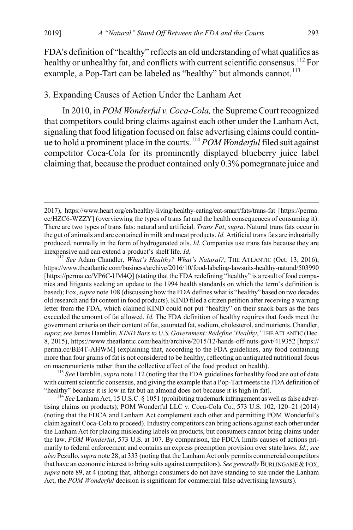<span id="page-23-0"></span>FDA's definition of "healthy" reflects an old understanding of what qualifies as healthy or unhealthy fat, and conflicts with current scientific consensus.<sup>[112](#page-23-1)</sup> For example, a Pop-Tart can be labeled as "healthy" but almonds cannot.<sup>[113](#page-23-2)</sup>

# 3. Expanding Causes of Action Under the Lanham Act

In 2010, in *POM Wonderful v. Coca-Cola,* the Supreme Court recognized that competitors could bring claims against each other under the Lanham Act, signaling that food litigation focused on false advertising claims could continue to hold a prominent place in the courts.[114](#page-23-3) *POM Wonderful* filed suit against competitor Coca-Cola for its prominently displayed blueberry juice label claiming that, because the product contained only 0.3% pomegranate juice and

<span id="page-23-1"></span>https://www.theatlantic.com/business/archive/2016/10/food-labeling-lawsuits-healthy-natural/503990 [https://perma.cc/VP6C-UM4Q] (stating that the FDA redefining "healthy" is a result of food companies and litigants seeking an update to the 1994 health standards on which the term's definition is based); Fox, *supra* not[e 108](#page-22-8) (discussing how the FDA defines what is "healthy" based on two decades old research and fat content in food products). KIND filed a citizen petition after receiving a warning letter from the FDA, which claimed KIND could not put "healthy" on their snack bars as the bars exceeded the amount of fat allowed. *Id.* The FDA definition of healthy requires that foods meet the government criteria on their content of fat, saturated fat, sodium, cholesterol, and nutrients. Chandler, *supra*; *see* James Hamblin, *KIND Bars to U.S. Government: Redefine 'Healthy*,*'* THE ATLANTIC (Dec. 8, 2015), https://www.theatlantic.com/health/archive/2015/12/hands-off-nuts-govt/419352 [https:// perma.cc/BE4T-AHWM] (explaining that, according to the FDA guidelines, any food containing more than four grams of fat is not considered to be healthy, reflecting an antiquated nutritional focus on macronutrients rather than the collective effect of the food product on health). <sup>113</sup> *See* Hamblin, *supra* not[e 112](#page-23-0) (noting that the FDA guidelines for healthy food are out of date

<span id="page-23-2"></span>with current scientific consensus, and giving the example that a Pop-Tart meets the FDA definition of

<span id="page-23-3"></span>"healthy" because it is low in fat but an almond does not because it is high in fat). 114 *See* Lanham Act, 15 U.S.C. § 1051 (prohibiting trademark infringement as well as false advertising claims on products); POM Wonderful LLC v. Coca-Cola Co., 573 U.S. 102, 120–21 (2014) (noting that the FDCA and Lanham Act complement each other and permitting POM Wonderful's claim against Coca-Cola to proceed). Industry competitors can bring actions against each other under the Lanham Act for placing misleading labels on products, but consumers cannot bring claims under the law. *POM Wonderful*, 573 U.S. at 107. By comparison, the FDCA limits causes of actions primarily to federal enforcement and contains an express preemption provision over state laws. *Id*.; *see also* Pezullo, *supra* not[e 28,](#page-8-0) at 333 (noting that the Lanham Act only permits commercial competitors that have an economic interest to bring suits against competitors). *See generally* BURLINGAME &FOX, *supra* not[e 89,](#page-19-5) at 4 (noting that, although consumers do not have standing to sue under the Lanham Act, the *POM Wonderful* decision is significant for commercial false advertising lawsuits).

 <sup>2017),</sup> https://www.heart.org/en/healthy-living/healthy-eating/eat-smart/fats/trans-fat [https://perma. cc/HZC6-WZZY] (overviewing the types of trans fat and the health consequences of consuming it). There are two types of trans fats: natural and artificial. *Trans Fat*, *supra*. Natural trans fats occur in the gut of animals and are contained in milk and meat products. *Id.* Artificial trans fats are industrially produced, normally in the form of hydrogenated oils. *Id.* Companies use trans fats because they are inexpensive and can extend a product's shelf life. *Id. Id.* 112 *See Adam Chandler, <i>What's Healthy? What's Natural?*, THE ATLANTIC (Oct. 13, 2016),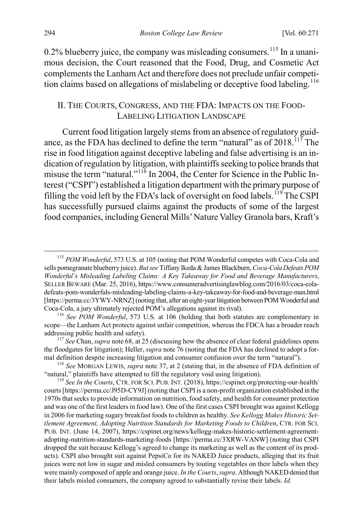$0.2\%$  blueberry juice, the company was misleading consumers.<sup>[115](#page-24-2)</sup> In a unanimous decision, the Court reasoned that the Food, Drug, and Cosmetic Act complements the Lanham Act and therefore does not preclude unfair competi-tion claims based on allegations of mislabeling or deceptive food labeling.<sup>[116](#page-24-3)</sup>

# <span id="page-24-7"></span><span id="page-24-1"></span><span id="page-24-0"></span>II. THE COURTS, CONGRESS, AND THE FDA: IMPACTS ON THE FOOD-LABELING LITIGATION LANDSCAPE

Current food litigation largely stems from an absence of regulatory guidance, as the FDA has declined to define the term "natural" as of  $2018$ .<sup>117</sup> The rise in food litigation against deceptive labeling and false advertising is an indication of regulation by litigation, with plaintiffs seeking to police brands that misuse the term "natural."<sup>[118](#page-24-5)</sup> In 2004, the Center for Science in the Public Interest ("CSPI") established a litigation department with the primary purpose of filling the void left by the FDA's lack of oversight on food labels.<sup>[119](#page-24-6)</sup> The CSPI has successfully pursued claims against the products of some of the largest food companies, including General Mills' Nature Valley Granola bars, Kraft's

<span id="page-24-2"></span> <sup>115</sup> *POM Wonderful*, 573 U.S. at 105 (noting that POM Wonderful competes with Coca-Cola and sells pomegranate blueberry juice). *But see* Tiffany Ikeda & James Blackburn, *Coca-Cola Defeats POM Wonderful's Misleading Labeling Claims: A Key Takeaway for Food and Beverage Manufacturers*, SELLER BEWARE (Mar. 25, 2016), https://www.consumeradvertisinglawblog.com/2016/03/coca-coladefeats-pom-wonderfuls-misleading-labeling-claims-a-key-takeaway-for-food-and-beverage-man.html [https://perma.cc/3YWY-NRNZ] (noting that, after an eight-year litigation between POM Wonderful and Coca-Cola, a jury ultimately rejected POM's allegations against its rival).

<span id="page-24-3"></span><sup>116</sup> *See POM Wonderful*, 573 U.S. at 106 (holding that both statutes are complementary in scope—the Lanham Act protects against unfair competition, whereas the FDCA has a broader reach addressing public health and safety).<br><sup>117</sup> *See* Chan, *supra* not[e 68,](#page-15-7) at 25 (discussing how the absence of clear federal guidelines opens

<span id="page-24-4"></span>the floodgates for litigation); Heller, *supra* not[e 76](#page-16-6) (noting that the FDA has declined to adopt a formal definition despite increasing litigation and consumer confusion over the term "natural").<br><sup>118</sup> *See* MORGAN LEWIS, *supra* not[e 37,](#page-9-7) at 2 (stating that, in the absence of FDA definition of

<span id="page-24-5"></span><sup>&</sup>quot;natural," plaintiffs have attempted to fill the regulatory void using litigation). <sup>119</sup> *See In the Courts*, CTR. FOR SCI. PUB. INT. (2018), https://cspinet.org/protecting-our-health/

<span id="page-24-6"></span>courts [https://perma.cc/J95D-CY9J] (noting that CSPI is a non-profit organization established in the 1970s that seeks to provide information on nutrition, food safety, and health for consumer protection and was one of the first leaders in food law). One of the first cases CSPI brought was against Kellogg in 2006 for marketing sugary breakfast foods to children as healthy. *See Kellogg Makes Historic Settlement Agreement, Adopting Nutrition Standards for Marketing Foods to Children*, CTR. FOR SCI. PUB. INT. (June 14, 2007), https://cspinet.org/news/kellogg-makes-historic-settlement-agreementadopting-nutrition-standards-marketing-foods [https://perma.cc/3XRW-VANW] (noting that CSPI dropped the suit because Kellogg's agreed to change its marketing as well as the content of its products). CSPI also brought suit against PepsiCo for its NAKED Juice products, alleging that its fruit juices were not low in sugar and misled consumers by touting vegetables on their labels when they were mainly composed of apple and orange juice. *In the Courts*, *supra*. Although NAKED denied that their labels misled consumers, the company agreed to substantially revise their labels. *Id.*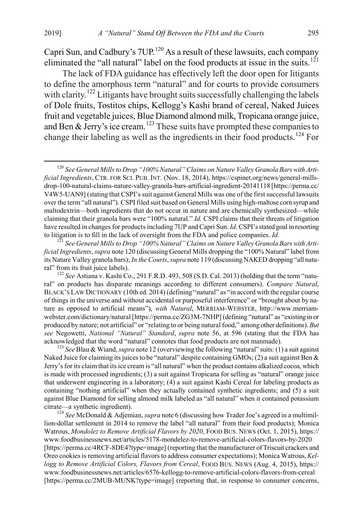<span id="page-25-0"></span>Capri Sun, and Cadbury's 7UP.<sup>[120](#page-25-1)</sup> As a result of these lawsuits, each company eliminated the "all natural" label on the food products at issue in the suits.<sup>[121](#page-25-2)</sup>

The lack of FDA guidance has effectively left the door open for litigants to define the amorphous term "natural" and for courts to provide consumers with clarity.<sup>[122](#page-25-3)</sup> Litigants have brought suits successfully challenging the labels of Dole fruits, Tostitos chips, Kellogg's Kashi brand of cereal, Naked Juices fruit and vegetable juices, Blue Diamond almond milk, Tropicana orange juice, and Ben  $\&$  Jerry's ice cream.<sup>[123](#page-25-4)</sup> These suits have prompted these companies to change their labeling as well as the ingredients in their food products.[124](#page-25-5) For

<span id="page-25-2"></span>*ficial Ingredients*, *supra* not[e 120](#page-25-0) (discussing General Mills dropping the "100% Natural" label from its Nature Valley granola bars); *In the Courts*, *supra* not[e 119](#page-24-7) (discussing NAKED dropping "all natural" from its fruit juice labels).

<span id="page-25-3"></span><sup>122</sup> *See* Astiana v. Kashi Co., 291 F.R.D. 493, 508 (S.D. Cal. 2013) (holding that the term "natural" on products has disparate meanings according to different consumers). *Compare Natural*, BLACK'S LAW DICTIONARY (10th ed. 2014) (defining "natural" as "in accord with the regular course of things in the universe and without accidental or purposeful interference" or "brought about by nature as opposed to artificial means"), *with Natural*, MERRIAM-WEBSTER, http://www.merriamwebster.com/dictionary/natural [https://perma.cc/ZG3M-7NHP] (defining "natural" as "existing in or produced by nature; not artificial" or "relating to or being natural food," among other definitions). *But see* Negowetti, *National "Natural" Standard*, *supra* note [56,](#page-13-6) at 596 (stating that the FDA has acknowledged that the word "natural" connotes that food products are not manmade). <sup>123</sup> *See* Blau & Wiand, *supra* not[e 12](#page-4-0) (overviewing the following "natural" suits: (1) a suit against

<span id="page-25-4"></span>Naked Juice for claiming its juices to be "natural" despite containing GMOs; (2) a suit against Ben & Jerry's for its claim that its ice cream is "all natural" when the product contains alkalized cocoa, which is made with processed ingredients; (3) a suit against Tropicana for selling as "natural" orange juice that underwent engineering in a laboratory; (4) a suit against Kashi Cereal for labeling products as containing "nothing artificial" when they actually contained synthetic ingredients; and (5) a suit against Blue Diamond for selling almond milk labeled as "all natural" when it contained potassium citrate—a synthetic ingredient). <sup>124</sup> *See* McDonald & Adjemian, *supra* not[e 6](#page-2-5) (discussing how Trader Joe's agreed in a multimil-

<span id="page-25-5"></span>lion-dollar settlement in 2014 to remove the label "all natural" from their food products); Monica Watrous, Mondolez to Remove Artificial Flavors by 2020, FOOD BUS. NEWS (Oct. 1, 2015), https:// www.foodbusinessnews.net/articles/5178-mondelez-to-remove-artificial-colors-flavors-by-2020 [https://perma.cc/4RCF-8DE4?type=image] (reporting that the manufacturer of Triscuit crackers and Oreo cookies is removing artificial flavorsto address consumer expectations); Monica Watrous, *Kellogg to Remove Artificial Colors, Flavors from Cereal*, FOOD BUS. NEWS (Aug. 4, 2015), https:// www.foodbusinessnews.net/articles/6576-kellogg-to-remove-artificial-colors-flavors-from-cereal [https://perma.cc/2MUB-MUNK?type=image] (reporting that, in response to consumer concerns,

<span id="page-25-1"></span> <sup>120</sup> *See General Mills to Drop "100% Natural" Claims on Nature Valley Granola Bars with Artificial Ingredients*, CTR. FOR SCI. PUB. INT. (Nov. 18, 2014), https://cspinet.org/news/general-millsdrop-100-natural-claims-nature-valley-granola-bars-artificial-ingredient-20141118 [https://perma.cc/ V4W5-UAN9] (stating that CSPI's suit against General Mills was one of the first successful lawsuits over the term "all natural"). CSPI filed suit based on General Mills using high-maltose corn syrup and maltodextrin—both ingredients that do not occur in nature and are chemically synthesized—while claiming that their granola bars were "100% natural." *Id.* CSPI claims that their threats of litigation have resulted in changes for products including 7UP and Capri Sun. *Id.* CSPI's stated goal in resorting to litigation is to fill in the lack of oversight from the FDA and police companies. *Id.* <sup>121</sup> *See General Mills to Drop "100% Natural" Claims on Nature Valley Granola Bars with Arti-*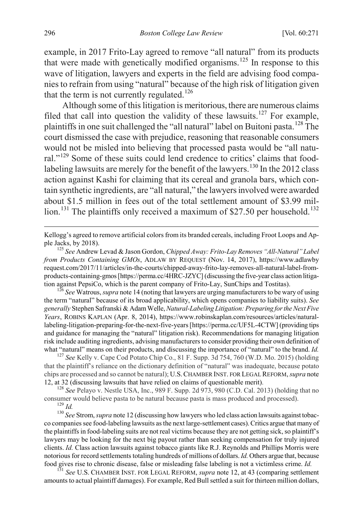example, in 2017 Frito-Lay agreed to remove "all natural" from its products that were made with genetically modified organisms.<sup>[125](#page-26-0)</sup> In response to this wave of litigation, lawyers and experts in the field are advising food companies to refrain from using "natural" because of the high risk of litigation given that the term is not currently regulated.<sup>[126](#page-26-1)</sup>

Although some of this litigation is meritorious, there are numerous claims filed that call into question the validity of these lawsuits.<sup>[127](#page-26-2)</sup> For example, plaintiffs in one suit challenged the "all natural" label on Buitoni pasta.<sup>[128](#page-26-3)</sup> The court dismissed the case with prejudice, reasoning that reasonable consumers would not be misled into believing that processed pasta would be "all natu-ral."<sup>[129](#page-26-4)</sup> Some of these suits could lend credence to critics' claims that food-labeling lawsuits are merely for the benefit of the lawyers.<sup>[130](#page-26-5)</sup> In the 2012 class action against Kashi for claiming that its cereal and granola bars, which contain synthetic ingredients, are "all natural," the lawyers involved were awarded about \$1.5 million in fees out of the total settlement amount of \$3.99 mil-lion.<sup>[131](#page-26-6)</sup> The plaintiffs only received a maximum of \$27.50 per household.<sup>[132](#page-26-7)</sup>

<span id="page-26-2"></span>that the plaintiff's reliance on the dictionary definition of "natural" was inadequate, because potato chips are processed and so cannot be natural); U.S.CHAMBER INST. FOR LEGAL REFORM, *supra* note [12,](#page-4-0) at 32 (discussing lawsuits that have relied on claims of questionable merit). <sup>128</sup> *See* Pelayo v. Nestle USA, Inc., 989 F. Supp. 2d 973, 980 (C.D. Cal. 2013) (holding that no

<span id="page-26-3"></span>consumer would believe pasta to be natural because pasta is mass produced and processed).<br><sup>129</sup> *Id.* <sup>130</sup> *See* Strom, *supra* not[e 12](#page-4-0) (discussing how lawyers who led class action lawsuits against tobac-

<span id="page-26-5"></span><span id="page-26-4"></span>co companies see food-labeling lawsuits as the next large-settlement cases). Critics argue that many of the plaintiffs in food-labeling suits are not real victims because they are not getting sick, so plaintiff's lawyers may be looking for the next big payout rather than seeking compensation for truly injured clients. *Id.* Class action lawsuits against tobacco giants like R.J. Reynolds and Phillips Morris were notorious for record settlements totaling hundreds of millions of dollars. *Id.* Others argue that, because food gives rise to chronic disease, false or misleading false labeling is not a victimless crime. *Id.* 

<span id="page-26-6"></span>food gives rise to chronic disease, false or misleading false labeling is not a victimless crime. *Id.* <sup>131</sup> *See* U.S. CHAMBER INST. FOR LEGAL REFORM, *supra* not[e 12,](#page-4-0) at 43 (comparing settlement amounts to actual plaintiff damages). For example, Red Bull settled a suit for thirteen million dollars,

<span id="page-26-7"></span>Kellogg's agreed to remove artificial colors from its branded cereals, including Froot Loops and Ap-<br>ple Jacks, by 2018).

<span id="page-26-0"></span><sup>&</sup>lt;sup>125</sup> See Andrew Levad & Jason Gordon, *Chipped Away: Frito-Lay Removes "All-Natural" Label from Products Containing GMOs*, ADLAW BY REQUEST (Nov. 14, 2017), https://www.adlawby request.com/2017/11/articles/in-the-courts/chipped-away-frito-lay-removes-all-natural-label-fromproducts-containing-gmos [https://perma.cc/4HRC-JZYC] (discussing the five-year class action litigation against PepsiCo, which is the parent company of Frito-Lay, SunChips and Tostitas). <sup>126</sup> *See* Watrous, *supra* not[e 14](#page-4-5) (noting that lawyers are urging manufacturers to be wary of using

<span id="page-26-1"></span>the term "natural" because of its broad applicability, which opens companies to liability suits). *See generally* Stephen Safranski & Adam Welle, *Natural-Labeling Litigation: Preparing for the Next Five Years*, ROBINS KAPLAN (Apr. 8, 2014), https://www.robinskaplan.com/resources/articles/naturallabeling-litigation-preparing-for-the-next-five-years [https://perma.cc/UF5L-4CTW] (providing tips and guidance for managing the "natural" litigation risk). Recommendations for managing litigation risk include auditing ingredients, advising manufacturers to consider providing their own definition of what "natural" means on their products, and discussing the importance of "natural" to the brand. *Id.* <sup>127</sup> *See* Kelly v. Cape Cod Potato Chip Co., 81 F. Supp. 3d 754, 760 (W.D. Mo. 2015) (holding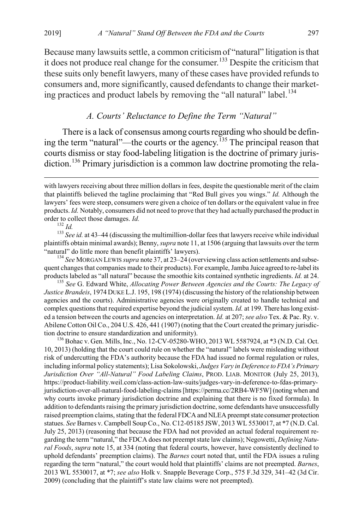Because many lawsuits settle, a common criticism of "natural" litigation is that it does not produce real change for the consumer.<sup>[133](#page-27-0)</sup> Despite the criticism that these suits only benefit lawyers, many of these cases have provided refunds to consumers and, more significantly, caused defendants to change their market-ing practices and product labels by removing the "all natural" label.<sup>[134](#page-27-1)</sup>

# *A. Courts' Reluctance to Define the Term "Natural"*

There is a lack of consensus among courts regarding who should be defin-ing the term "natural"—the courts or the agency.<sup>[135](#page-27-2)</sup> The principal reason that courts dismiss or stay food-labeling litigation is the doctrine of primary juris-diction.<sup>[136](#page-27-3)</sup> Primary jurisdiction is a common law doctrine promoting the rela-

<span id="page-27-0"></span>order to collect those damages. *Id.* 132 *Id.* 133 *Id.* 133 *See id.* at 43–44 (discussing the multimillion-dollar fees that lawyers receive while individual 133 *See id.* at 43–44 (discussing the multimillion-dollar fee plaintiffs obtain minimal awards); Benny, *supra* not[e 11,](#page-4-6) at 1506 (arguing that lawsuits over the term "natural" do little more than benefit plaintiffs' lawyers). <sup>134</sup> *See* MORGAN LEWIS *supra* not[e 37,](#page-9-7) at 23–24 (overviewing class action settlements and subse-

<span id="page-27-1"></span>quent changes that companies made to their products). For example, Jamba Juice agreed to re-label its products labeled as "all natural" because the smoothie kits contained synthetic ingredients. *Id.* at 24. <sup>135</sup> *See* G. Edward White, *Allocating Power Between Agencies and the Courts: The Legacy of* 

<span id="page-27-2"></span>*Justice Brandeis*, 1974 DUKE L.J. 195, 198 (1974) (discussing the history of the relationship between agencies and the courts). Administrative agencies were originally created to handle technical and complex questions that required expertise beyond the judicial system. *Id.* at 199. There has long existed a tension between the courts and agencies on interpretation. *Id.* at 207; *see also* Tex. & Pac. Ry. v. Abilene Cotton Oil Co., 204 U.S. 426, 441 (1907) (noting that the Court created the primary jurisdiction doctrine to ensure standardization and uniformity).<br><sup>136</sup> Bohac v. Gen. Mills, Inc., No. 12-CV-05280-WHO, 2013 WL 5587924, at \*3 (N.D. Cal. Oct.

<span id="page-27-3"></span>10, 2013) (holding that the court could rule on whether the "natural" labels were misleading without risk of undercutting the FDA's authority because the FDA had issued no formal regulation or rules, including informal policy statements); Lisa Sokolowski, *Judges Vary in Deference to FDA's Primary Jurisdiction Over "All-Natural" Food Labeling Claims*, PROD. LIAB. MONITOR (July 25, 2013), https://product-liability.weil.com/class-action-law-suits/judges-vary-in-deference-to-fdas-primaryjurisdiction-over-all-natural-food-labeling-claims [https://perma.cc/2RB4-WF5W] (noting when and why courts invoke primary jurisdiction doctrine and explaining that there is no fixed formula). In addition to defendants raising the primary jurisdiction doctrine, some defendants have unsuccessfully raised preemption claims, stating that the federal FDCA and NLEA preempt state consumer protection statues. *See* Barnes v. Campbell Soup Co., No. C12-05185 JSW, 2013 WL 5530017, at \*7 (N.D. Cal. July 25, 2013) (reasoning that because the FDA had not provided an actual federal requirement regarding the term "natural," the FDCA does not preempt state law claims); Negowetti, *Defining Natural Foods*, *supra* note [15,](#page-5-4) at 334 (noting that federal courts, however, have consistently declined to uphold defendants' preemption claims). The *Barnes* court noted that, until the FDA issues a ruling regarding the term "natural," the court would hold that plaintiffs' claims are not preempted. *Barnes*, 2013 WL 5530017, at \*7; *see also* Holk v. Snapple Beverage Corp., 575 F.3d 329, 341–42 (3d Cir. 2009) (concluding that the plaintiff's state law claims were not preempted).

<span id="page-27-4"></span>with lawyers receiving about three million dollars in fees, despite the questionable merit of the claim that plaintiffs believed the tagline proclaiming that "Red Bull gives you wings." *Id.* Although the lawyers' fees were steep, consumers were given a choice of ten dollars or the equivalent value in free products. *Id.* Notably, consumers did not need to prove that they had actually purchased the product in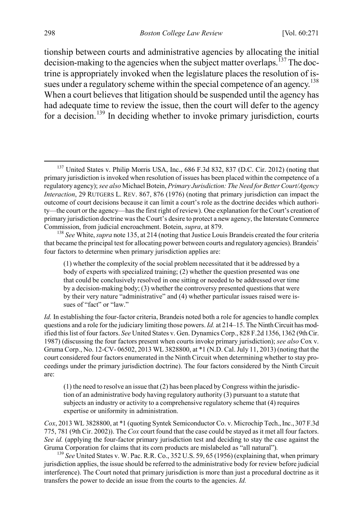<span id="page-28-3"></span>tionship between courts and administrative agencies by allocating the initial decision-making to the agencies when the subject matter overlaps.<sup>[137](#page-28-0)</sup> The doctrine is appropriately invoked when the legislature places the resolution of is-sues under a regulatory scheme within the special competence of an agency.<sup>[138](#page-28-1)</sup> When a court believes that litigation should be suspended until the agency has had adequate time to review the issue, then the court will defer to the agency for a decision.<sup>[139](#page-28-2)</sup> In deciding whether to invoke primary jurisdiction, courts

*Cox*, 2013 WL 3828800, at \*1 (quoting Syntek Semiconductor Co. v. Microchip Tech., Inc., 307 F.3d 775, 781 (9th Cir. 2002)). The *Cox* court found that the case could be stayed as it met all four factors. *See id.* (applying the four-factor primary jurisdiction test and deciding to stay the case against the Gruma Corporation for claims that its corn products are mislabeled as "all natural").<br><sup>139</sup> *See* United States v. W. Pac. R.R. Co., 352 U.S. 59, 65 (1956) (explaining that, when primary

<span id="page-28-2"></span>jurisdiction applies, the issue should be referred to the administrative body for review before judicial interference). The Court noted that primary jurisdiction is more than just a procedural doctrine as it transfers the power to decide an issue from the courts to the agencies. *Id.*

<span id="page-28-0"></span><sup>&</sup>lt;sup>137</sup> United States v. Philip Morris USA, Inc., 686 F.3d 832, 837 (D.C. Cir. 2012) (noting that primary jurisdiction is invoked when resolution of issues has been placed within the competence of a regulatory agency); *see also* Michael Botein, *Primary Jurisdiction: The Need for Better Court/Agency Interaction*, 29 RUTGERS L. REV. 867, 876 (1976) (noting that primary jurisdiction can impact the outcome of court decisions because it can limit a court's role as the doctrine decides which authority—the court or the agency—has the first right of review). One explanation for the Court's creation of primary jurisdiction doctrine was the Court's desire to protect a new agency, the Interstate Commerce Commission, from judicial encroachment. Botein, *supra*, at 879.<br><sup>138</sup> *See* White, *supra* note 135, at 214 (noting that Justice Louis Brandeis created the four criteria

<span id="page-28-1"></span>that became the principal test for allocating power between courts and regulatory agencies). Brandeis' four factors to determine when primary jurisdiction applies are:

<sup>(1)</sup> whether the complexity of the social problem necessitated that it be addressed by a body of experts with specialized training; (2) whether the question presented was one that could be conclusively resolved in one sitting or needed to be addressed over time by a decision-making body; (3) whether the controversy presented questions that were by their very nature "administrative" and (4) whether particular issues raised were issues of "fact" or "law."

*Id.* In establishing the four-factor criteria, Brandeis noted both a role for agencies to handle complex questions and a role for the judiciary limiting those powers. *Id.* at 214–15. The Ninth Circuit has modified this list of four factors. *See* United States v. Gen. Dynamics Corp., 828 F.2d 1356, 1362 (9th Cir. 1987) (discussing the four factors present when courts invoke primary jurisdiction); *see also* Cox v. Gruma Corp., No. 12-CV- 06502, 2013 WL 3828800, at \*1 (N.D. Cal. July 11, 2013) (noting that the court considered four factors enumerated in the Ninth Circuit when determining whether to stay proceedings under the primary jurisdiction doctrine). The four factors considered by the Ninth Circuit are:

<sup>(1)</sup> the need to resolve an issue that (2) has been placed by Congress within the jurisdiction of an administrative body having regulatory authority (3) pursuant to a statute that subjects an industry or activity to a comprehensive regulatory scheme that (4) requires expertise or uniformity in administration.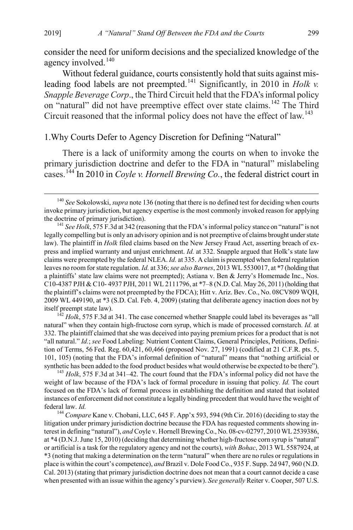consider the need for uniform decisions and the specialized knowledge of the agency involved.<sup>[140](#page-29-0)</sup>

Without federal guidance, courts consistently hold that suits against mis-leading food labels are not preempted.<sup>[141](#page-29-1)</sup> Significantly, in 2010 in *Holk v. Snapple Beverage Corp*., the Third Circuit held that the FDA's informal policy on "natural" did not have preemptive effect over state claims.<sup>[142](#page-29-2)</sup> The Third Circuit reasoned that the informal policy does not have the effect of law.<sup>[143](#page-29-3)</sup>

# 1.Why Courts Defer to Agency Discretion for Defining "Natural"

There is a lack of uniformity among the courts on when to invoke the primary jurisdiction doctrine and defer to the FDA in "natural" mislabeling cases.[144](#page-29-4) In 2010 in *Coyle v. Hornell Brewing Co.*, the federal district court in

<span id="page-29-2"></span>natural" when they contain high-fructose corn syrup, which is made of processed cornstarch. *Id.* at 332. The plaintiff claimed that she was deceived into paying premium prices for a product that is not "all natural." *Id.*; *see* Food Labeling: Nutrient Content Claims, General Principles, Petitions, Definition of Terms, 56 Fed. Reg. 60,421, 60,466 (proposed Nov. 27, 1991) (codified at 21 C.F.R. pts. 5, 101, 105) (noting that the FDA's informal definition of "natural" means that "nothing artificial or

<span id="page-29-3"></span>synthetic has been added to the food product besides what would otherwise be expected to be there"). <sup>143</sup> *Holk*, 575 F.3d at 341–42. The court found that the FDA's informal policy did not have the weight of law because of the FDA's lack of formal procedure in issuing that policy. *Id.* The court focused on the FDA's lack of formal process in establishing the definition and stated that isolated instances of enforcement did not constitute a legally binding precedent that would have the weight of federal law. *Id.* <sup>144</sup> *Compare* Kane v. Chobani, LLC, 645 F. App'x 593, 594 (9th Cir. 2016) (deciding to stay the

<span id="page-29-4"></span>litigation under primary jurisdiction doctrine because the FDA has requested comments showing interest in defining "natural"), *and* Coyle v. Hornell Brewing Co., No. 08-cv-02797, 2010 WL 2539386, at \*4 (D.N.J. June 15, 2010) (deciding that determining whether high-fructose corn syrup is "natural" or artificial is a task for the regulatory agency and not the courts), *with Bohac*, 2013 WL 5587924, at \*3 (noting that making a determination on the term "natural" when there are no rules or regulations in place is within the court's competence), *and* Brazil v. Dole Food Co., 935 F. Supp. 2d 947, 960 (N.D. Cal. 2013) (stating that primary jurisdiction doctrine does not mean that a court cannot decide a case when presented with an issue within the agency's purview). *See generally* Reiter v. Cooper, 507 U.S.

<span id="page-29-0"></span> <sup>140</sup> *See* Sokolowski, *supra* not[e 136](#page-27-4) (noting that there is no defined test for deciding when courts invoke primary jurisdiction, but agency expertise is the most commonly invoked reason for applying

<span id="page-29-1"></span><sup>&</sup>lt;sup>141</sup> See Holk, 575 F.3d at 342 (reasoning that the FDA's informal policy stance on "natural" is not legally compelling but is only an advisory opinion and is not preemptive of claims brought under state law). The plaintiff in *Holk* filed claims based on the New Jersey Fraud Act, asserting breach of express and implied warranty and unjust enrichment. *Id.* at 332. Snapple argued that Holk's state law claims were preempted by the federal NLEA. *Id.* at 335. A claim is preempted when federal regulation leaves no room for state regulation. *Id.* at 336; *see also Barnes*, 2013 WL 5530017, at \*7 (holding that a plaintiffs' state law claims were not preempted); Astiana v. Ben & Jerry's Homemade Inc., Nos. C10-4387 PJH & C10- 4937 PJH, 2011 WL 2111796, at \*7–8 (N.D. Cal. May 26, 2011) (holding that the plaintiff's claims were not preempted by the FDCA); Hitt v. Ariz. Bev. Co., No. 08CV809 WQH, 2009 WL 449190, at \*3 (S.D. Cal. Feb. 4, 2009) (stating that deliberate agency inaction does not by itself preempt state law). <sup>142</sup> *Holk*, 575 F.3d at 341. The case concerned whether Snapple could label its beverages as "all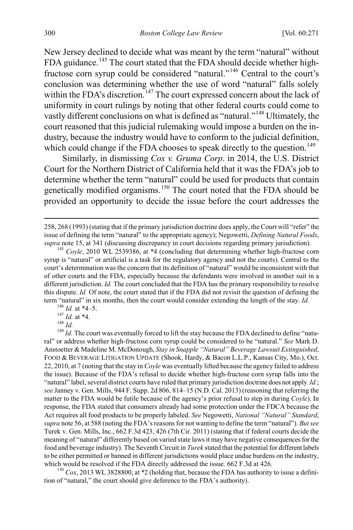New Jersey declined to decide what was meant by the term "natural" without FDA guidance.<sup>[145](#page-30-0)</sup> The court stated that the FDA should decide whether highfructose corn syrup could be considered "natural."[146](#page-30-1) Central to the court's conclusion was determining whether the use of word "natural" falls solely within the FDA's discretion.<sup>[147](#page-30-2)</sup> The court expressed concern about the lack of uniformity in court rulings by noting that other federal courts could come to vastly different conclusions on what is defined as "natural."[148](#page-30-3) Ultimately, the court reasoned that this judicial rulemaking would impose a burden on the industry, because the industry would have to conform to the judicial definition, which could change if the FDA chooses to speak directly to the question.<sup>[149](#page-30-4)</sup>

<span id="page-30-6"></span>Similarly, in dismissing *Cox v. Gruma Corp*. in 2014, the U.S. District Court for the Northern District of California held that it was the FDA's job to determine whether the term "natural" could be used for products that contain genetically modified organisms.<sup>[150](#page-30-5)</sup> The court noted that the FDA should be provided an opportunity to decide the issue before the court addresses the

<span id="page-30-4"></span><span id="page-30-3"></span><span id="page-30-2"></span><span id="page-30-1"></span>term "natural" in six months, then the court would consider extending the length of the stay. *Id*.<br>
<sup>146</sup> *Id.* at \*4–5.<br>
<sup>147</sup> *Id.* at \*4.<br>
<sup>148</sup> *Id.*<br>
<sup>148</sup> *Id.*<br>
<sup>149</sup> *Id.* The court was eventually forced to lift ral" or address whether high-fructose corn syrup could be considered to be "natural." *See* Mark D. Anstoetter & Madeline M. McDonough, *Stay in Snapple "Natural" Beverage Lawsuit Extinguished*, FOOD & BEVERAGE LITIGATION UPDATE (Shook, Hardy, & Bacon L.L.P., Kansas City, Mo.), Oct. 22, 2010, at 7 (noting that the stay in *Coyle* was eventually lifted because the agency failed to address the issue). Because of the FDA's refusal to decide whether high-fructose corn syrup falls into the "natural" label, several district courts have ruled that primary jurisdiction doctrine does not apply. *Id.*; *see* Janney v. Gen. Mills, 944 F. Supp. 2d 806, 814–15 (N.D. Cal. 2013) (reasoning that referring the matter to the FDA would be futile because of the agency's prior refusal to step in during *Coyle*). In response, the FDA stated that consumers already had some protection under the FDCA because the Act requires all food products to be properly labeled. *See* Negowetti, *National "Natural" Standard*, *supra* not[e 56,](#page-13-6) at 588 (noting the FDA's reasons for not wanting to define the term "natural"). *But see*  Turek v. Gen. Mills, Inc., 662 F.3d 423, 426 (7th Cir. 2011) (stating that if federal courts decide the meaning of "natural" differently based on varied state laws it may have negative consequences for the food and beverage industry). The Seventh Circuit in *Turek* stated that the potential for different labels to be either permitted or banned in different jurisdictions would place undue burdens on the industry, which would be resolved if the FDA directly addressed the issue. 662 F.3d at 426.

<span id="page-30-5"></span> $^{150}$  Cox, 2013 WL 3828800, at  $*2$  (holding that, because the FDA has authority to issue a definition of "natural," the court should give deference to the FDA's authority).

 <sup>258, 268 (1993) (</sup>stating that if the primary jurisdiction doctrine does apply, the Court will "refer" the issue of defining the term "natural" to the appropriate agency); Negowetti, *Defining Natural Foods*, *supra* not[e 15,](#page-5-4) at 341 (discussing discrepancy in court decisions regarding primary jurisdiction). <sup>145</sup> *Coyle*, 2010 WL 2539386, at \*4 (concluding that determining whether high-fructose corn

<span id="page-30-0"></span>syrup is "natural" or artificial is a task for the regulatory agency and not the courts). Central to the court's determination was the concern that its definition of "natural" would be inconsistent with that of other courts and the FDA, especially because the defendants were involved in another suit in a different jurisdiction. *Id.* The court concluded that the FDA has the primary responsibility to resolve this dispute. *Id.* Of note, the court stated that if the FDA did not revisit the question of defining the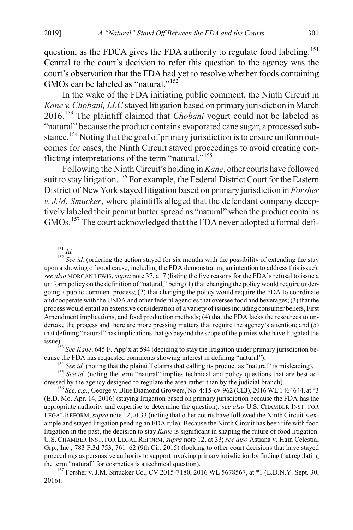question, as the FDCA gives the FDA authority to regulate food labeling.<sup>[151](#page-31-0)</sup> Central to the court's decision to refer this question to the agency was the court's observation that the FDA had yet to resolve whether foods containing GMOs can be labeled as "natural."<sup>[152](#page-31-1)</sup>

In the wake of the FDA initiating public comment, the Ninth Circuit in *Kane v. Chobani, LLC* stayed litigation based on primary jurisdiction in March 2016.[153](#page-31-2) The plaintiff claimed that *Chobani* yogurt could not be labeled as "natural" because the product contains evaporated cane sugar, a processed sub-stance.<sup>[154](#page-31-3)</sup> Noting that the goal of primary jurisdiction is to ensure uniform outcomes for cases, the Ninth Circuit stayed proceedings to avoid creating con-flicting interpretations of the term "natural."<sup>[155](#page-31-4)</sup>

Following the Ninth Circuit's holding in *Kane*, other courts have followed suit to stay litigation.<sup>[156](#page-31-5)</sup> For example, the Federal District Court for the Eastern District of New York stayed litigation based on primary jurisdiction in *Forsher v. J.M. Smucker*, where plaintiffs alleged that the defendant company deceptively labeled their peanut butter spread as "natural" when the product contains GMOs.[157](#page-31-6) The court acknowledged that the FDA never adopted a formal defi-

<span id="page-31-1"></span><span id="page-31-0"></span><sup>151</sup> *Id.* 152 *Id.* (ordering the action stayed for six months with the possibility of extending the stay 152 *See id.* (ordering the action stayed for six months with the possibility of extending the stay upon a showing of good cause, including the FDA demonstrating an intention to address this issue); *see also* MORGAN LEWIS, *supra* not[e 37,](#page-9-7) at 7 (listing the five reasons for the FDA's refusal to issue a uniform policy on the definition of "natural," being (1) that changing the policy would require undergoing a public comment process; (2) that changing the policy would require the FDA to coordinate and cooperate with the USDA and other federal agencies that oversee food and beverages; (3) that the process would entail an extensive consideration of a variety of issues including consumer beliefs, First Amendment implications, and food production methods; (4) that the FDA lacks the resources to undertake the process and there are more pressing matters that require the agency's attention; and (5) that defining "natural" has implications that go beyond the scope of the parties who have litigated the

<span id="page-31-2"></span>issue).<br><sup>153</sup> *See Kane*, 645 F. App'x at 594 (deciding to stay the litigation under primary jurisdiction be-<br>cause the FDA has requested comments showing interest in defining "natural").

<span id="page-31-4"></span><span id="page-31-3"></span><sup>154</sup> *See id.* (noting that the plaintiff claims that calling its product as "natural" is misleading).<br><sup>155</sup> *See id.* (noting the term "natural" implies technical and policy questions that are best addressed by the agen

<span id="page-31-5"></span><sup>156</sup> See, e.g., George v. Blue Diamond Growers, No. 4:15-cv-962 (CEJ), 2016 WL 1464644, at \*3 (E.D. Mo. Apr. 14, 2016) (staying litigation based on primary jurisdiction because the FDA has the appropriate authority and expertise to determine the question); *see also* U.S. CHAMBER INST. FOR LEGAL REFORM, *supra* note [12,](#page-4-0) at 33 (noting that other courts have followed the Ninth Circuit's example and stayed litigation pending an FDA rule). Because the Ninth Circuit has been rife with food litigation in the past, the decision to stay *Kane* is significant in shaping the future of food litigation. U.S. CHAMBER INST. FOR LEGAL REFORM, *supra* not[e 12,](#page-4-0) at 33; *see also* Astiana v. Hain Celestial Grp., Inc., 783 F.3d 753, 761–62 (9th Cir. 2015) (looking to other court decisions that have stayed proceedings as persuasive authority to support invoking primary jurisdiction by finding that regulating the term "natural" for cosmetics is a technical question).

<span id="page-31-6"></span><sup>157</sup> Forsher v. J.M. Smucker Co., CV 2015-7180, 2016 WL 5678567, at \*1 (E.D.N.Y. Sept. 30, 2016).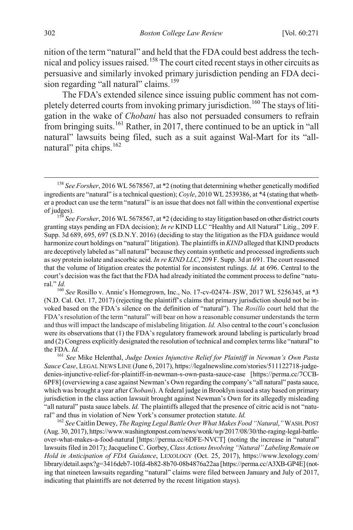nition of the term "natural" and held that the FDA could best address the technical and policy issues raised.[158](#page-32-0) The court cited recent stays in other circuits as persuasive and similarly invoked primary jurisdiction pending an FDA deci-sion regarding "all natural" claims.<sup>[159](#page-32-1)</sup>

The FDA's extended silence since issuing public comment has not com-pletely deterred courts from invoking primary jurisdiction.<sup>[160](#page-32-2)</sup> The stays of litigation in the wake of *Chobani* has also not persuaded consumers to refrain from bringing suits.[161](#page-32-3) Rather, in 2017, there continued to be an uptick in "all natural" lawsuits being filed, such as a suit against Wal-Mart for its "all-natural" pita chips.<sup>[162](#page-32-4)</sup>

<span id="page-32-5"></span><span id="page-32-0"></span> <sup>158</sup> *See Forsher*, 2016 WL 5678567, at \*2 (noting that determining whether genetically modified ingredients are "natural" is a technical question); *Coyle*, 2010 WL 2539386, at \*4 (stating that whether a product can use the term "natural" is an issue that does not fall within the conventional expertise

<span id="page-32-1"></span>of judges). <sup>159</sup> *See Forsher*, 2016 WL 5678567, at \*2 (deciding to stay litigation based on other district courts granting stays pending an FDA decision); *In re* KIND LLC "Healthy and All Natural" Litig., 209 F. Supp. 3d 689, 695, 697 (S.D.N.Y. 2016) (deciding to stay the litigation as the FDA guidance would harmonize court holdings on "natural" litigation). The plaintiffs in *KIND* alleged that KIND products are deceptively labeled as "all natural" because they contain synthetic and processed ingredients such as soy protein isolate and ascorbic acid. *In re KIND LLC*, 209 F. Supp. 3d at 691. The court reasoned that the volume of litigation creates the potential for inconsistent rulings. *Id.* at 696. Central to the court's decision was the fact that the FDA had already initiated the comment process to define "natural." *Id.*

<span id="page-32-2"></span><sup>160</sup> *See* Rosillo v. Annie's Homegrown, Inc., No. 17-cv-02474- JSW, 2017 WL 5256345, at \*3 (N.D. Cal. Oct. 17, 2017) (rejecting the plaintiff's claims that primary jurisdiction should not be invoked based on the FDA's silence on the definition of "natural"). The *Rosillo* court held that the FDA's resolution of the term "natural" will bear on how a reasonable consumer understands the term and thus will impact the landscape of mislabeling litigation. *Id.* Also central to the court's conclusion were its observations that (1) the FDA's regulatory framework around labeling is particularly broad and (2) Congress explicitly designated the resolution of technical and complex terms like "natural" to

<span id="page-32-3"></span>the FDA. *Id.* <sup>161</sup> *See* Mike Helenthal, *Judge Denies Injunctive Relief for Plaintiff in Newman's Own Pasta Sauce Case*, LEGAL NEWS LINE (June 6, 2017), https://legalnewsline.com/stories/511122718-judgedenies-injunctive-relief-for-plaintiff-in-newman-s-own-pasta-sauce-case [https://perma.cc/7CCB-6PF8] (overviewing a case against Newman's Own regarding the company's "all natural" pasta sauce, which was brought a year after *Chobani*). A federal judge in Brooklyn issued a stay based on primary jurisdiction in the class action lawsuit brought against Newman's Own for its allegedly misleading "all natural" pasta sauce labels. *Id.* The plaintiffs alleged that the presence of citric acid is not "natural" and thus in violation of New York's consumer protection statute. *Id.* 

<span id="page-32-4"></span><sup>&</sup>lt;sup>162</sup> See Caitlin Dewey, *The Raging Legal Battle Over What Makes Food "Natural,"* WASH. POST (Aug. 30, 2017), https://www.washingtonpost.com/news/wonk/wp/2017/08/30/the-raging-legal-battleover-what-makes-a-food-natural [https://perma.cc/6DFE-NVCT] (noting the increase in "natural" lawsuits filed in 2017); Jacqueline C. Gorbey, *Class Actions Involving "Natural" Labeling Remain on Hold in Anticipation of FDA Guidance*, LEXOLOGY (Oct. 25, 2017), https://www.lexology.com/ library/detail.aspx?g=3416deb7-10fd-4b82-8b70-08b4876a22aa [https://perma.cc/A3XB-GP4E] (noting that nineteen lawsuits regarding "natural" claims were filed between January and July of 2017, indicating that plaintiffs are not deterred by the recent litigation stays).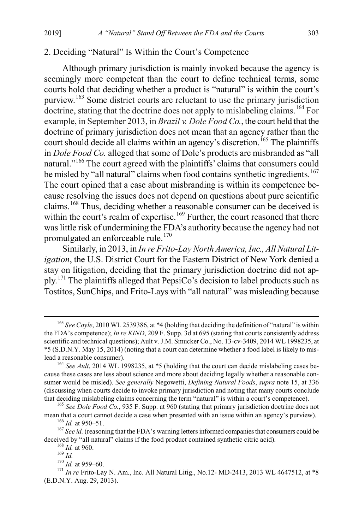#### 2. Deciding "Natural" Is Within the Court's Competence

<span id="page-33-9"></span>Although primary jurisdiction is mainly invoked because the agency is seemingly more competent than the court to define technical terms, some courts hold that deciding whether a product is "natural" is within the court's purview.[163](#page-33-0) Some district courts are reluctant to use the primary jurisdiction doctrine, stating that the doctrine does not apply to mislabeling claims.<sup>[164](#page-33-1)</sup> For example, in September 2013, in *Brazil v. Dole Food Co.*, the court held that the doctrine of primary jurisdiction does not mean that an agency rather than the court should decide all claims within an agency's discretion.<sup>[165](#page-33-2)</sup> The plaintiffs in *Dole Food Co.* alleged that some of Dole's products are misbranded as "all natural."<sup>[166](#page-33-3)</sup> The court agreed with the plaintiffs' claims that consumers could be misled by "all natural" claims when food contains synthetic ingredients.<sup>[167](#page-33-4)</sup> The court opined that a case about misbranding is within its competence because resolving the issues does not depend on questions about pure scientific claims.[168](#page-33-5) Thus, deciding whether a reasonable consumer can be deceived is within the court's realm of expertise.<sup>[169](#page-33-6)</sup> Further, the court reasoned that there was little risk of undermining the FDA's authority because the agency had not promulgated an enforceable rule.<sup>[170](#page-33-7)</sup>

Similarly, in 2013, in *In re Frito-Lay North America, Inc., All Natural Litigation*, the U.S. District Court for the Eastern District of New York denied a stay on litigation, deciding that the primary jurisdiction doctrine did not ap-ply.<sup>[171](#page-33-8)</sup> The plaintiffs alleged that PepsiCo's decision to label products such as Tostitos, SunChips, and Frito-Lays with "all natural" was misleading because

<span id="page-33-0"></span> <sup>163</sup> *See Coyle*, 2010 WL 2539386, at \*4 (holding that deciding the definition of "natural" is within the FDA's competence); *In re KIND*, 209 F. Supp. 3d at 695 (stating that courts consistently address scientific and technical questions); Ault v. J.M. Smucker Co., No. 13-cv-3409, 2014 WL 1998235, at \*5 (S.D.N.Y. May 15, 2014) (noting that a court can determine whether a food label is likely to mislead a reasonable consumer).

<span id="page-33-1"></span><sup>&</sup>lt;sup>164</sup> See Ault, 2014 WL 1998235, at \*5 (holding that the court can decide mislabeling cases because these cases are less about science and more about deciding legally whether a reasonable consumer would be misled). *See generally* Negowetti, *Defining Natural Foods*, *supra* note [15,](#page-5-4) at 336 (discussing when courts decide to invoke primary jurisdiction and noting that many courts conclude that deciding mislabeling claims concerning the term "natural" is within a court's competence). <sup>165</sup> *See Dole Food Co.*, 935 F. Supp. at 960 (stating that primary jurisdiction doctrine does not

<span id="page-33-2"></span>

<span id="page-33-3"></span>mean that a court cannot decide a case when presented with an issue within an agency's purview).<br><sup>166</sup> *Id.* at 950–51.<br><sup>167</sup> *See id.* (reasoning that the FDA's warning letters informed companies that consumers could be

<span id="page-33-8"></span><span id="page-33-7"></span><span id="page-33-6"></span><span id="page-33-5"></span><span id="page-33-4"></span><sup>&</sup>lt;sup>168</sup> *Id.* at 960.<br>
<sup>169</sup> *Id.*<br>
<sup>170</sup> *Id.* at 959–60.<br>
<sup>170</sup> *Id.* at 959–60.<br>
<sup>170</sup> *In re* Frito-Lay N. Am., Inc. All Natural Litig., No.12- MD-2413, 2013 WL 4647512, at \*8 (E.D.N.Y. Aug. 29, 2013).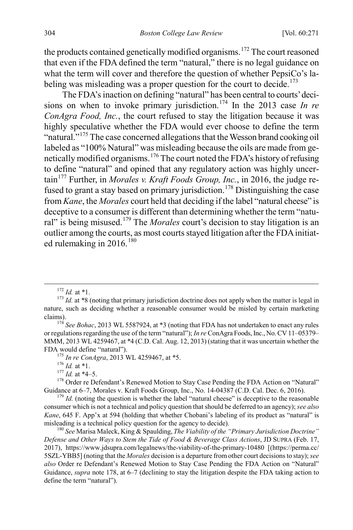the products contained genetically modified organisms.<sup>[172](#page-34-1)</sup> The court reasoned that even if the FDA defined the term "natural," there is no legal guidance on what the term will cover and therefore the question of whether PepsiCo's la-beling was misleading was a proper question for the court to decide.<sup>[173](#page-34-2)</sup>

<span id="page-34-10"></span>The FDA's inaction on defining "natural" has been central to courts' deci-sions on when to invoke primary jurisdiction.<sup>[174](#page-34-3)</sup> In the 2013 case *In re ConAgra Food, Inc.*, the court refused to stay the litigation because it was highly speculative whether the FDA would ever choose to define the term "natural."<sup>[175](#page-34-4)</sup> The case concerned allegations that the Wesson brand cooking oil labeled as "100% Natural" was misleading because the oils are made from genetically modified organisms.[176](#page-34-5) The court noted the FDA's history of refusing to define "natural" and opined that any regulatory action was highly uncer-tain<sup>[177](#page-34-6)</sup> Further, in *Morales v. Kraft Foods Group, Inc.*, in 2016, the judge refused to grant a stay based on primary jurisdiction.[178](#page-34-7) Distinguishing the case from *Kane*, the *Morales* court held that deciding if the label "natural cheese" is deceptive to a consumer is different than determining whether the term "natural" is being misused.[179](#page-34-8) The *Morales* court's decision to stay litigation is an outlier among the courts, as most courts stayed litigation after the FDA initiated rulemaking in  $2016$ .<sup>[180](#page-34-9)</sup>

<span id="page-34-0"></span>

<span id="page-34-2"></span><span id="page-34-1"></span><sup>&</sup>lt;sup>172</sup> *Id.* at \*1.<br><sup>173</sup> *Id.* at \*8 (noting that primary jurisdiction doctrine does not apply when the matter is legal in nature, such as deciding whether a reasonable consumer would be misled by certain marketing claims). <sup>174</sup> *See Bohac*, 2013 WL 5587924, at \*3 (noting that FDA has not undertaken to enact any rules

<span id="page-34-3"></span>or regulations regarding the use of the term "natural"); *In re* ConAgra Foods, Inc., No. CV 11–05379– MMM, 2013 WL 4259467, at \*4 (C.D. Cal. Aug. 12, 2013) (stating that it was uncertain whether the

<span id="page-34-6"></span><span id="page-34-5"></span><span id="page-34-4"></span>FDA would define "natural").<br>
<sup>175</sup> *In re ConAgra*, 2013 WL 4259467, at \*5.<br>
<sup>176</sup> *Id.* at \*4–5.<br>
<sup>178</sup> Order re Defendant's Renewed Motion to Stay Case Pending the FDA Action on "Natural"<br>
Guidance at 6–7, Morales v. Kr

<span id="page-34-8"></span><span id="page-34-7"></span> $^{179}$  *Id.* (noting the question is whether the label "natural cheese" is deceptive to the reasonable consumer which is not a technical and policy question that should be deferred to an agency); *see also Kane*, 645 F. App'x at 594 (holding that whether Chobani's labeling of its product as "natural" is misleading is a technical policy question for the agency to decide). <sup>180</sup> *See* Marisa Maleck, King & Spaulding, *The Viability of the "Primary Jurisdiction Doctrine"* 

<span id="page-34-9"></span>*Defense and Other Ways to Stem the Tide of Food & Beverage Class Actions*, JD SUPRA (Feb. 17, 2017), https://www.jdsupra.com/legalnews/the-viability-of-the-primary-10480 [(https://perma.cc/ 5SZL-YBB5] (noting that the *Morales* decision is a departure from other court decisions to stay); *see also* Order re Defendant's Renewed Motion to Stay Case Pending the FDA Action on "Natural" Guidance, *supra* note [178,](#page-34-0) at 6–7 (declining to stay the litigation despite the FDA taking action to define the term "natural").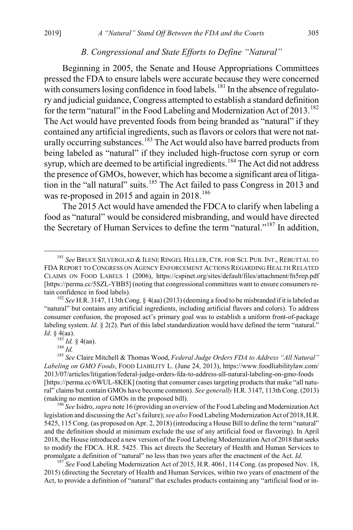# *B. Congressional and State Efforts to Define "Natural"*

Beginning in 2005, the Senate and House Appropriations Committees pressed the FDA to ensure labels were accurate because they were concerned with consumers losing confidence in food labels.<sup>[181](#page-35-0)</sup> In the absence of regulatory and judicial guidance, Congress attempted to establish a standard definition for the term "natural" in the Food Labeling and Modernization Act of  $2013$ .<sup>[182](#page-35-1)</sup> The Act would have prevented foods from being branded as "natural" if they contained any artificial ingredients, such as flavors or colors that were not nat-urally occurring substances.<sup>[183](#page-35-2)</sup> The Act would also have barred products from being labeled as "natural" if they included high-fructose corn syrup or corn syrup, which are deemed to be artificial ingredients.<sup>[184](#page-35-3)</sup> The Act did not address the presence of GMOs, however, which has become a significant area of litiga-tion in the "all natural" suits.<sup>[185](#page-35-4)</sup> The Act failed to pass Congress in 2013 and was re-proposed in 2015 and again in 2018.<sup>[186](#page-35-5)</sup>

The 2015 Act would have amended the FDCA to clarify when labeling a food as "natural" would be considered misbranding, and would have directed the Secretary of Human Services to define the term "natural."<sup>187</sup> In addition,

<span id="page-35-6"></span>2015) (directing the Secretary of Health and Human Services, within two years of enactment of the Act, to provide a definition of "natural" that excludes products containing any "artificial food or in-

<span id="page-35-0"></span> <sup>181</sup> *See* BRUCE SILVERGLAD & ILENE RINGEL HELLER, CTR. FOR SCI. PUB. INT., REBUTTAL TO FDA REPORT TO CONGRESS ON AGENCY ENFORCEMENT ACTIONS REGARDING HEALTH RELATED CLAIMS ON FOOD LABELS 1 (2006), https://cspinet.org/sites/default/files/attachment/fn5rep.pdf [https://perma.cc/5SZL-YBB5] (noting that congressional committees want to ensure consumers retain confidence in food labels). <sup>182</sup> *See* H.R. 3147, 113th Cong. § 4(aa) (2013) (deeming a food to be misbranded if it is labeled as

<span id="page-35-1"></span><sup>&</sup>quot;natural" but contains any artificial ingredients, including artificial flavors and colors). To address consumer confusion, the proposed act's primary goal was to establish a uniform front-of-package labeling system. *Id.* § 2(2). Part of this label standardization would have defined the term "natural." *Id.* § 4(aa).<br> $^{183}$  *Id.* § 4(aa).

<span id="page-35-4"></span><span id="page-35-3"></span><span id="page-35-2"></span><sup>183</sup> *Id.* § 4(aa). <sup>184</sup> *Id.* <sup>185</sup> *See* Claire Mitchell & Thomas Wood, *Federal Judge Orders FDA to Address "All Natural" Labeling on GMO Foods*, FOOD LIABILITY L. (June 24, 2013), https://www.foodliabilitylaw.com/ 2013/07/articles/litigation/federal-judge-orders-fda-to-address-all-natural-labeling-on-gmo-foods [https://perma.cc/6WUL-8KEK] (noting that consumer cases targeting products that make "all natural" claims but contain GMOs have become common). *See generally* H.R. 3147, 113th Cong. (2013) (making no mention of GMOs in the proposed bill). <sup>186</sup> *See* Isidro, *supra* not[e 16](#page-5-3) (providing an overview of the Food Labeling and Modernization Act

<span id="page-35-5"></span>legislation and discussing the Act's failure); *see also* Food Labeling Modernization Act of 2018,H.R. 5425, 115 Cong. (as proposed on Apr. 2, 2018) (introducing a House Bill to define the term "natural" and the definition should at minimum exclude the use of any artificial food or flavoring). In April 2018, the House introduced a new version of the Food Labeling Modernization Act of 2018 that seeks to modify the FDCA. H.R. 5425. This act directs the Secretary of Health and Human Services to promulgate a definition of "natural" no less than two years after the enactment of the Act. *Id.* <sup>187</sup> *See* Food Labeling Modernization Act of 2015, H.R. 4061, 114 Cong. (as proposed Nov. 18,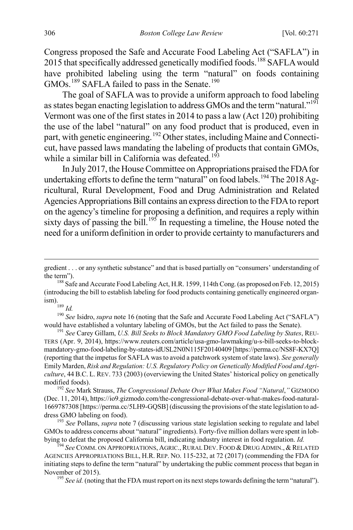Congress proposed the Safe and Accurate Food Labeling Act ("SAFLA") in 2015 that specifically addressed genetically modified foods.<sup>[188](#page-36-0)</sup> SAFLA would have prohibited labeling using the term "natural" on foods containing GMOs.<sup>[189](#page-36-1)</sup> SAFLA failed to pass in the Senate.<sup>[190](#page-36-2)</sup>

The goal of SAFLA was to provide a uniform approach to food labeling as states began enacting legislation to address GMOs and the term "natural."<sup>[191](#page-36-3)</sup> Vermont was one of the first states in 2014 to pass a law (Act 120) prohibiting the use of the label "natural" on any food product that is produced, even in part, with genetic engineering.<sup>[192](#page-36-4)</sup> Other states, including Maine and Connecticut, have passed laws mandating the labeling of products that contain GMOs, while a similar bill in California was defeated.<sup>[193](#page-36-5)</sup>

In July 2017, the House Committee on Appropriations praised the FDA for undertaking efforts to define the term "natural" on food labels.<sup>[194](#page-36-6)</sup> The 2018 Agricultural, Rural Development, Food and Drug Administration and Related Agencies Appropriations Bill contains an express direction to the FDA to report on the agency's timeline for proposing a definition, and requires a reply within sixty days of passing the bill.<sup>[195](#page-36-7)</sup> In requesting a timeline, the House noted the need for a uniform definition in order to provide certainty to manufacturers and

<span id="page-36-2"></span><span id="page-36-1"></span><sup>190</sup> See Isidro, *supra* not[e 16](#page-5-3) (noting that the Safe and Accurate Food Labeling Act ("SAFLA") would have established a voluntary labeling of GMOs, but the Act failed to pass the Senate). <sup>191</sup> *See* Carey Gillam, *U.S. Bill Seeks to Block Mandatory GMO Food Labeling by States*, REU-

<span id="page-36-3"></span>TERS (Apr. 9, 2014), https://www.reuters.com/article/usa-gmo-lawmaking/u-s-bill-seeks-to-blockmandatory-gmo-food-labeling-by-states-idUSL2N0N115F20140409 [https://perma.cc/NS8F-KX7Q] (reporting that the impetus for SAFLA was to avoid a patchwork system of state laws). *See generally* Emily Marden, *Risk and Regulation: U.S. Regulatory Policy on Genetically Modified Food and Agriculture*, 44 B.C. L. REV. 733 (2003) (overviewing the United States' historical policy on genetically

<span id="page-36-4"></span>modified foods). <sup>192</sup> *See* Mark Strauss, *The Congressional Debate Over What Makes Food "Natural*,*"* GIZMODO (Dec. 11, 2014), https://io9.gizmodo.com/the-congressional-debate-over-what-makes-food-natural-1669787308 [https://perma.cc/5LH9-GQSB] (discussing the provisions of the state legislation to address GMO labeling on food). <sup>193</sup> *See* Pollans, *supra* not[e 7](#page-3-5) (discussing various state legislation seeking to regulate and label

<span id="page-36-5"></span>GMOs to address concerns about "natural" ingredients). Forty-five million dollars were spent in lobbying to defeat the proposed California bill, indicating industry interest in food regulation. *Id.* <sup>194</sup> *See* COMM. ON APPROPRIATIONS, AGRIC., RURAL DEV. FOOD & DRUG ADMIN., & RELATED

<span id="page-36-7"></span><span id="page-36-6"></span>AGENCIES APPROPRIATIONS BILL, H.R. REP. NO. 115-232, at 72 (2017) (commending the FDA for initiating steps to define the term "natural" by undertaking the public comment process that began in November of 2015).<br><sup>195</sup> *See id.* (noting that the FDA must report on its next steps towards defining the term "natural").

gredient . . . or any synthetic substance" and that is based partially on "consumers' understanding of the term").<br><sup>188</sup> Safe and Accurate Food Labeling Act, H.R. 1599, 114th Cong. (as proposed on Feb. 12, 2015)

<span id="page-36-0"></span><sup>(</sup>introducing the bill to establish labeling for food products containing genetically engineered organ-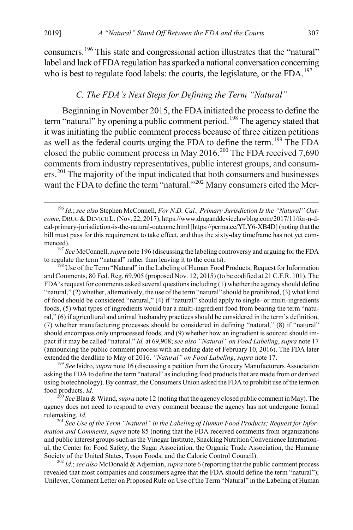<span id="page-37-0"></span>consumers.[196](#page-37-1) This state and congressional action illustrates that the "natural" label and lack of FDA regulation has sparked a national conversation concerning who is best to regulate food labels: the courts, the legislature, or the FDA.<sup>[197](#page-37-2)</sup>

#### <span id="page-37-8"></span>*C. The FDA's Next Steps for Defining the Term "Natural"*

Beginning in November 2015, the FDA initiated the process to define the term "natural" by opening a public comment period.<sup>[198](#page-37-3)</sup> The agency stated that it was initiating the public comment process because of three citizen petitions as well as the federal courts urging the FDA to define the term.<sup>[199](#page-37-4)</sup> The FDA closed the public comment process in May 2016.<sup>[200](#page-37-5)</sup> The FDA received 7,690 comments from industry representatives, public interest groups, and consumers.[201](#page-37-6) The majority of the input indicated that both consumers and businesses want the FDA to define the term "natural."<sup>[202](#page-37-7)</sup> Many consumers cited the Mer-

<span id="page-37-2"></span>menced).<br><sup>197</sup> *See* McConnell, *supra* not[e 196](#page-37-0) (discussing the labeling controversy and arguing for the FDA to regulate the term "natural" rather than leaving it to the courts).

<span id="page-37-3"></span><sup>198</sup> Use of the Term "Natural" in the Labeling of Human Food Products; Request for Information and Comments, 80 Fed. Reg. 69,905 (proposed Nov. 12, 2015) (to be codified at 21C.F.R. 101). The FDA's request for comments asked several questions including (1) whether the agency should define "natural," (2) whether, alternatively, the use of the term "natural" should be prohibited, (3) what kind of food should be considered "natural," (4) if "natural" should apply to single- or multi-ingredients foods, (5) what types of ingredients would bar a multi-ingredient food from bearing the term "natural," (6) if agricultural and animal husbandry practices should be considered in the term's definition, (7) whether manufacturing processes should be considered in defining "natural," (8) if "natural" should encompass only unprocessed foods, and (9) whether how an ingredient is sourced should impact if it may be called "natural." *Id.* at 69,908; *see also "Natural" on Food Labeling*, *supra* note [17](#page-5-5) (announcing the public comment process with an ending date of February 10, 2016). The FDA later extended the deadline to May of 2016. *"Natural" on Food Labeling*, *supra* not[e 17.](#page-5-5) <sup>199</sup> *See* Isidro, *supra* not[e 16](#page-5-3) (discussing a petition from the Grocery Manufacturers Association

<span id="page-37-4"></span>asking the FDA to define the term "natural" as including food products that are made from or derived using biotechnology). By contrast, the Consumers Union asked the FDA to prohibit use of the term on food products. *Id.* <sup>200</sup> *See* Blau & Wiand, *supra* not[e 12](#page-4-0) (noting that the agency closed public comment in May). The

<span id="page-37-5"></span>agency does not need to respond to every comment because the agency has not undergone formal rulemaking. *Id.* <sup>201</sup> *See Use of the Term "Natural" in the Labeling of Human Food Products; Request for Infor-*

<span id="page-37-6"></span>*mation and Comments*, *supra* not[e 85](#page-18-5) (noting that the FDA received comments from organizations and public interest groups such as the Vinegar Institute, Snacking Nutrition Convenience International, the Center for Food Safety, the Sugar Association, the Organic Trade Association, the Humane Society of the United States, Tyson Foods, and the Calorie Control Council). <sup>202</sup> *Id.*; *see also* McDonald & Adjemian, *supra* not[e 6](#page-2-5) (reporting that the public comment process

<span id="page-37-7"></span>revealed that most companies and consumers agree that the FDA should define the term "natural"); Unilever, Comment Letter on Proposed Rule on Use of the Term "Natural" in the Labeling of Human

<span id="page-37-1"></span> <sup>196</sup> *Id.*; *see also* Stephen McConnell, *For N.D. Cal., Primary Jurisdiction Is the "Natural" Out*come, DRUG & DEVICE L. (Nov. 22, 2017), https://www.druganddevicelawblog.com/2017/11/for-n-dcal-primary-jurisdiction-is-the-natural-outcome.html [https://perma.cc/YLY6-XB4D] (noting that the bill must pass for this requirement to take effect, and thus the sixty-day timeframe has not yet com-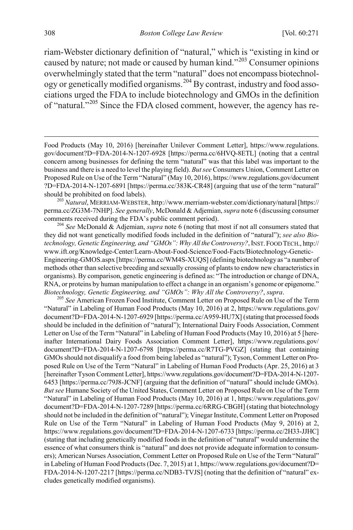<span id="page-38-4"></span>riam-Webster dictionary definition of "natural," which is "existing in kind or caused by nature; not made or caused by human kind."[203](#page-38-0) Consumer opinions overwhelmingly stated that the term "natural" does not encompass biotechnology or genetically modified organisms.[204](#page-38-1) By contrast, industry and food associations urged the FDA to include biotechnology and GMOs in the definition of "natural."[205](#page-38-2) Since the FDA closed comment, however, the agency has re-

<span id="page-38-0"></span>perma.cc/ZG3M-7NHP]. *See generally*, McDonald & Adjemian, *supra* not[e 6](#page-2-5) (discussing consumer

<span id="page-38-1"></span>comments received during the FDA's public comment period). <sup>204</sup> *See* McDonald & Adjemian, *supra* not[e 6](#page-2-5) (noting that most if not all consumers stated that they did not want genetically modified foods included in the definition of "natural"); *see also Biotechnology, Genetic Engineering, and "GMOs": Why All the Controversy?*, INST.FOOD TECH., http:// www.ift.org/Knowledge-Center/Learn-About-Food-Science/Food-Facts/Biotechnology-Genetic-Engineering-GMOS.aspx [https://perma.cc/WM4S-XUQS] (defining biotechnology as "a number of methods other than selective breeding and sexually crossing of plants to endow new characteristics in organisms). By comparison, genetic engineering is defined as: "The introduction or change of DNA, RNA, or proteins by human manipulation to effect a change in an organism's genome or epigenome." *Biotechnology, Genetic Engineering, and "GMOs": Why All the Controversy?*, *supra*. 205 *See* American Frozen Food Institute, Comment Letter on Proposed Rule on Use of the Term

<span id="page-38-2"></span>"Natural" in Labeling of Human Food Products (May 10, 2016) at 2, https://www.regulations.gov/ document?D=FDA-2014-N-1207-6929 [https://perma.cc/A959-HU7X] (stating that processed foods should be included in the definition of "natural"); International Dairy Foods Association, Comment Letter on Use of the Term "Natural" in Labeling of Human Food Products (May 10, 2016) at 5 [hereinafter International Dairy Foods Association Comment Letter], https://www.regulations.gov/ document?D=FDA-2014-N-1207-6798 [https://perma.cc/R7TG-PVGZ] (stating that containing GMOs should not disqualify a food from being labeled as "natural"); Tyson, Comment Letter on Proposed Rule on Use of the Term "Natural" in Labeling of Human Food Products (Apr. 25, 2016) at 3 [hereinafter Tyson Comment Letter], https://www.regulations.gov/document?D=FDA-2014-N-1207- 6453 [https://perma.cc/79J8-JCNF] (arguing that the definition of "natural" should include GMOs). *But see* Humane Society of the United States, Comment Letter on Proposed Rule on Use of the Term "Natural" in Labeling of Human Food Products (May 10, 2016) at 1, https://www.regulations.gov/ document?D=FDA-2014-N-1207-7289 [https://perma.cc/6RRG-CBGH] (stating that biotechnology should not be included in the definition of "natural"); Vinegar Institute, Comment Letter on Proposed Rule on Use of the Term "Natural" in Labeling of Human Food Products (May 9, 2016) at 2, https://www.regulations.gov/document?D=FDA-2014-N-1207-6733 [https://perma.cc/2H33-JJHC] (stating that including genetically modified foods in the definition of "natural" would undermine the essence of what consumers think is "natural" and does not provide adequate information to consumers); American Nurses Association, Comment Letter on Proposed Rule on Use of the Term "Natural" in Labeling of Human Food Products (Dec. 7, 2015) at 1, https://www.regulations.gov/document?D= FDA-2014-N-1207-2217 [https://perma.cc/NDB3-TVJS] (noting that the definition of "natural" excludes genetically modified organisms).

<span id="page-38-3"></span>Food Products (May 10, 2016) [hereinafter Unilever Comment Letter], https://www.regulations. gov/document?D=FDA-2014-N-1207-6928 [https://perma.cc/6HVQ-8ETL] (noting that a central concern among businesses for defining the term "natural" was that this label was important to the business and there is a need to level the playing field). *But see* Consumers Union, Comment Letter on Proposed Rule on Use of the Term "Natural" (May 10, 2016), https://www.regulations.gov/document ?D=FDA-2014-N-1207-6891 [https://perma.cc/383K-CR48] (arguing that use of the term "natural" should be prohibited on food labels). <sup>203</sup> *Natural*, MERRIAM-WEBSTER, http://www.merriam-webster.com/dictionary/natural [https://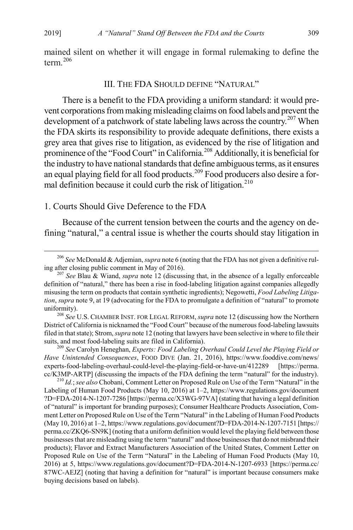<span id="page-39-0"></span>mained silent on whether it will engage in formal rulemaking to define the term.[206](#page-39-2)

#### <span id="page-39-1"></span>III. THE FDA SHOULD DEFINE "NATURAL"

There is a benefit to the FDA providing a uniform standard: it would prevent corporations from making misleading claims on food labels and prevent the development of a patchwork of state labeling laws across the country.<sup>[207](#page-39-3)</sup> When the FDA skirts its responsibility to provide adequate definitions, there exists a grey area that gives rise to litigation, as evidenced by the rise of litigation and prominence of the "Food Court" in California.<sup>[208](#page-39-4)</sup> Additionally, it is beneficial for the industry to have national standards that define ambiguous terms, as it ensures an equal playing field for all food products.<sup>[209](#page-39-5)</sup> Food producers also desire a for-mal definition because it could curb the risk of litigation.<sup>[210](#page-39-6)</sup>

#### 1. Courts Should Give Deference to the FDA

Because of the current tension between the courts and the agency on defining "natural," a central issue is whether the courts should stay litigation in

<span id="page-39-6"></span>Labeling of Human Food Products (May 10, 2016) at 1–2, https://www.regulations.gov/document ?D=FDA-2014-N-1207-7286 [https://perma.cc/X3WG-97VA] (stating that having a legal definition of "natural" is important for branding purposes); Consumer Healthcare Products Association, Comment Letter on Proposed Rule on Use of the Term "Natural" in the Labeling of Human Food Products (May 10, 2016) at 1–2, https://www.regulations.gov/document?D=FDA-2014-N-1207-7151 [https:// perma.cc/ZKQ6-SN9K] (noting that a uniform definition would level the playing field between those businesses that are misleading using the term "natural" and those businesses that do not misbrand their products); Flavor and Extract Manufacturers Association of the United States, Comment Letter on Proposed Rule on Use of the Term "Natural" in the Labeling of Human Food Products (May 10, 2016) at 5, https://www.regulations.gov/document?D=FDA-2014-N-1207-6933 [https://perma.cc/ 87WC-AEJZ] (noting that having a definition for "natural" is important because consumers make buying decisions based on labels).

<span id="page-39-2"></span><sup>&</sup>lt;sup>206</sup> See McDonald & Adjemian, *supra* not[e 6](#page-2-5) (noting that the FDA has not given a definitive rul-<br>ing after closing public comment in May of 2016).

<span id="page-39-3"></span><sup>&</sup>lt;sup>207</sup> See Blau & Wiand, *supra* not[e 12](#page-4-0) (discussing that, in the absence of a legally enforceable definition of "natural," there has been a rise in food-labeling litigation against companies allegedly misusing the term on products that contain synthetic ingredients); Negowetti, *Food Labeling Litigation*, *supra* not[e 9,](#page-3-4) at 19 (advocating for the FDA to promulgate a definition of "natural" to promote uniformity). <sup>208</sup> *See* U.S. CHAMBER INST. FOR LEGAL REFORM, *supra* not[e 12](#page-4-0) (discussing how the Northern

<span id="page-39-4"></span>District of California is nicknamed the "Food Court" because of the numerous food-labeling lawsuits filed in that state); Strom, *supra* not[e 12](#page-4-0) (noting that lawyers have been selective in where to file their suits, and most food-labeling suits are filed in California). <sup>209</sup> *See* Carolyn Heneghan, *Experts: Food Labeling Overhaul Could Level the Playing Field or* 

<span id="page-39-5"></span>*Have Unintended Consequences*, FOOD DIVE (Jan. 21, 2016), https://www.fooddive.com/news/ experts-food-labeling-overhaul-could-level-the-playing-field-or-have-un/412289 [https://perma. cc/K3MP-ARTP] (discussing the impacts of the FDA defining the term "natural" for the industry). <sup>210</sup> *Id.*; *see also* Chobani, Comment Letter on Proposed Rule on Use of the Term "Natural" in the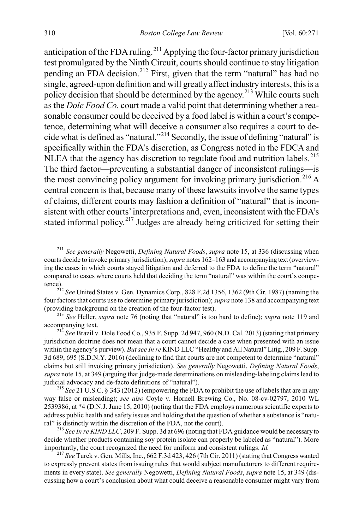anticipation of the FDA ruling.<sup>[211](#page-40-0)</sup> Applying the four-factor primary jurisdiction test promulgated by the Ninth Circuit, courts should continue to stay litigation pending an FDA decision.<sup>[212](#page-40-1)</sup> First, given that the term "natural" has had no single, agreed-upon definition and will greatly affect industry interests, this is a policy decision that should be determined by the agency.<sup>[213](#page-40-2)</sup> While courts such as the *Dole Food Co.* court made a valid point that determining whether a reasonable consumer could be deceived by a food label is within a court's competence, determining what will deceive a consumer also requires a court to decide what is defined as "natural."[214](#page-40-3) Secondly, the issue of defining "natural" is specifically within the FDA's discretion, as Congress noted in the FDCA and NLEA that the agency has discretion to regulate food and nutrition labels.<sup>[215](#page-40-4)</sup> The third factor—preventing a substantial danger of inconsistent rulings—is the most convincing policy argument for invoking primary jurisdiction.<sup>[216](#page-40-5)</sup> A central concern is that, because many of these lawsuits involve the same types of claims, different courts may fashion a definition of "natural" that is inconsistent with other courts' interpretations and, even, inconsistent with the FDA's stated informal policy.<sup>[217](#page-40-6)</sup> Judges are already being criticized for setting their

<span id="page-40-0"></span> <sup>211</sup> *See generally* Negowetti, *Defining Natural Foods*, *supra* not[e 15,](#page-5-4) at 336 (discussing when courts decide to invoke primary jurisdiction); *supra* not[es 162](#page-32-5)[–163](#page-33-9) and accompanying text (overviewing the cases in which courts stayed litigation and deferred to the FDA to define the term "natural" compared to cases where courts held that deciding the term "natural" was within the court's compe-

<span id="page-40-1"></span>tence). <sup>212</sup> *See* United States v. Gen. Dynamics Corp., 828 F.2d 1356, 1362 (9th Cir. 1987) (naming the four factors that courts use to determine primary jurisdiction); *supra* not[e 138](#page-28-3) and accompanying text (providing background on the creation of the four-factor test). <sup>213</sup> *See* Heller, *supra* not[e 76](#page-16-6) (noting that "natural" is too hard to define); *supra* note 119 and

<span id="page-40-2"></span>accompanying text. <sup>214</sup> *See* Brazil v. Dole Food Co., 935 F. Supp. 2d 947, 960 (N.D. Cal. 2013) (stating that primary

<span id="page-40-3"></span>jurisdiction doctrine does not mean that a court cannot decide a case when presented with an issue within the agency's purview). *But see In re* KIND LLC "Healthy and All Natural" Litig., 209 F. Supp. 3d 689, 695 (S.D.N.Y. 2016) (declining to find that courts are not competent to determine "natural" claims but still invoking primary jurisdiction). *See generally* Negowetti, *Defining Natural Foods*, *supra* not[e 15,](#page-5-4) at 349 (arguing that judge-made determinations on misleading-labeling claims lead to judicial advocacy and de-facto definitions of "natural"). <sup>215</sup> *See* 21 U.S.C. § 343 (2012) (empowering the FDA to prohibit the use of labels that are in any

<span id="page-40-4"></span>way false or misleading); *see also* Coyle v. Hornell Brewing Co., No. 08-cv-02797, 2010 WL 2539386, at \*4 (D.N.J. June 15, 2010) (noting that the FDA employs numerous scientific experts to address public health and safety issues and holding that the question of whether a substance is "natural" is distinctly within the discretion of the FDA, not the court).

<span id="page-40-5"></span><sup>216</sup> *See In re KIND LLC*, 209 F. Supp. 3d at 696 (noting that FDA guidance would be necessary to decide whether products containing soy protein isolate can properly be labeled as "natural"). More importantly, the court recognized the need for uniform and consistent rulings. *Id.* <sup>217</sup> *See* Turek v. Gen. Mills, Inc., 662 F.3d 423, 426 (7th Cir. 2011) (stating that Congress wanted

<span id="page-40-6"></span>to expressly prevent states from issuing rules that would subject manufacturers to different requirements in every state). *See generally* Negowetti, *Defining Natural Foods*, *supra* not[e 15,](#page-5-4) at 349 (discussing how a court's conclusion about what could deceive a reasonable consumer might vary from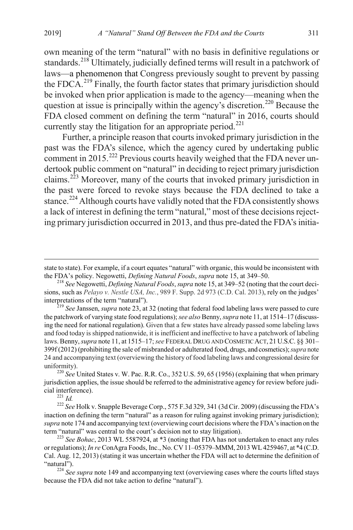own meaning of the term "natural" with no basis in definitive regulations or standards.<sup>[218](#page-41-0)</sup> Ultimately, judicially defined terms will result in a patchwork of laws—a phenomenon that Congress previously sought to prevent by passing the FDC $A^{219}$  $A^{219}$  $A^{219}$  Finally, the fourth factor states that primary jurisdiction should be invoked when prior application is made to the agency—meaning when the question at issue is principally within the agency's discretion.<sup>[220](#page-41-2)</sup> Because the FDA closed comment on defining the term "natural" in 2016, courts should currently stay the litigation for an appropriate period.<sup>[221](#page-41-3)</sup>

Further, a principle reason that courts invoked primary jurisdiction in the past was the FDA's silence, which the agency cured by undertaking public comment in 2015.<sup>[222](#page-41-4)</sup> Previous courts heavily weighed that the FDA never undertook public comment on "natural" in deciding to reject primary jurisdiction claims.<sup>[223](#page-41-5)</sup> Moreover, many of the courts that invoked primary jurisdiction in the past were forced to revoke stays because the FDA declined to take a stance.<sup>[224](#page-41-6)</sup> Although courts have validly noted that the FDA consistently shows a lack of interest in defining the term "natural," most of these decisions rejecting primary jurisdiction occurred in 2013, and thus pre-dated the FDA's initia-

<span id="page-41-1"></span><sup>219</sup> See Janssen, *supra* not[e 23,](#page-7-0) at 32 (noting that federal food labeling laws were passed to cure the patchwork of varying state food regulations); *see also* Benny, *supra* not[e 11,](#page-4-6) at 1514–17 (discussing the need for national regulation). Given that a few states have already passed some labeling laws and food today is shipped nationwide, it is inefficient and ineffective to have a patchwork of labeling laws. Benny, *supra* not[e 11,](#page-4-6) at 1515–17; *see* FEDERAL DRUG AND COSMETIC ACT, 21 U.S.C. §§ 301– 399f (2012) (prohibiting the sale of misbranded or adulterated food, drugs, and cosmetics);*supra* note [24](#page-7-1) and accompanying text (overviewing the history of food labeling laws and congressional desire for

<span id="page-41-2"></span>uniformity). <sup>220</sup> *See* United States v. W. Pac. R.R. Co., 352 U.S. 59, 65 (1956) (explaining that when primary jurisdiction applies, the issue should be referred to the administrative agency for review before judicial interference). <sup>221</sup> *Id.* <sup>222</sup> *See* Holk v. Snapple Beverage Corp., 575 F.3d 329, 341 (3d Cir. 2009) (discussing the FDA's

<span id="page-41-4"></span><span id="page-41-3"></span>inaction on defining the term "natural" as a reason for ruling against invoking primary jurisdiction); *supra* not[e 174](#page-34-10) and accompanying text (overviewing court decisions where the FDA's inaction on the term "natural" was central to the court's decision not to stay litigation). <sup>223</sup> *See Bohac*, 2013 WL 5587924, at \*3 (noting that FDA has not undertaken to enact any rules

<span id="page-41-5"></span>or regulations); *In re* ConAgra Foods, Inc., No. CV 11–05379–MMM, 2013 WL 4259467, at \*4 (C.D. Cal. Aug. 12, 2013) (stating it was uncertain whether the FDA will act to determine the definition of

<span id="page-41-6"></span><sup>224</sup> *See supra* not[e 149](#page-30-6) and accompanying text (overviewing cases where the courts lifted stays because the FDA did not take action to define "natural").

state to state). For example, if a court equates "natural" with organic, this would be inconsistent with the FDA's policy. Negowetti, *Defining Natural Foods*, *supra* not[e 15,](#page-5-4) at 349–50. <sup>218</sup> *See* Negowetti, *Defining Natural Foods*, *supra* not[e 15,](#page-5-4) at 349–52 (noting that the court deci-

<span id="page-41-0"></span>sions, such as *Pelayo v. Nestle USA, Inc.*, 989 F. Supp. 2d 973 (C.D. Cal. 2013), rely on the judges'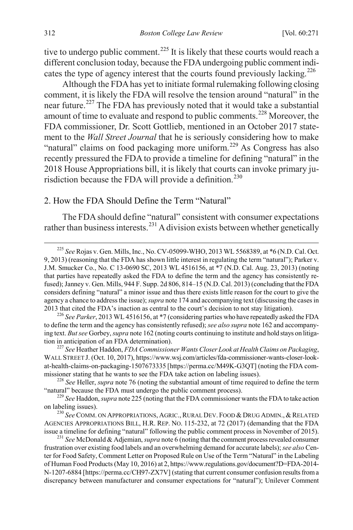<span id="page-42-0"></span>tive to undergo public comment.<sup>[225](#page-42-1)</sup> It is likely that these courts would reach a different conclusion today, because the FDA undergoing public comment indi-cates the type of agency interest that the courts found previously lacking.<sup>[226](#page-42-2)</sup>

Although the FDA has yet to initiate formal rulemaking following closing comment, it is likely the FDA will resolve the tension around "natural" in the near future.[227](#page-42-3) The FDA has previously noted that it would take a substantial amount of time to evaluate and respond to public comments.[228](#page-42-4) Moreover, the FDA commissioner, Dr. Scott Gottlieb, mentioned in an October 2017 statement to the *Wall Street Journal* that he is seriously considering how to make "natural" claims on food packaging more uniform.<sup>[229](#page-42-5)</sup> As Congress has also recently pressured the FDA to provide a timeline for defining "natural" in the 2018 House Appropriations bill, it is likely that courts can invoke primary ju-risdiction because the FDA will provide a definition.<sup>[230](#page-42-6)</sup>

## 2. How the FDA Should Define the Term "Natural"

The FDA should define "natural" consistent with consumer expectations rather than business interests.<sup>[231](#page-42-7)</sup> A division exists between whether genetically

<span id="page-42-1"></span> <sup>225</sup> *See* Rojas v. Gen. Mills, Inc., No. CV-05099-WHO, 2013 WL 5568389, at \*6 (N.D. Cal. Oct. 9, 2013) (reasoning that the FDA has shown little interest in regulating the term "natural"); Parker v. J.M. Smucker Co., No. C 13-0690 SC, 2013 WL 4516156, at \*7 (N.D. Cal. Aug. 23, 2013) (noting that parties have repeatedly asked the FDA to define the term and the agency has consistently refused); Janney v. Gen. Mills, 944 F. Supp. 2d 806, 814–15 (N.D. Cal. 2013) (concluding that the FDA considers defining "natural" a minor issue and thus there exists little reason for the court to give the agency a chance to address the issue); *supra* not[e 174](#page-34-10) and accompanying text (discussing the cases in 2013 that cited the FDA's inaction as central to the court's decision to not stay litigation).

<span id="page-42-2"></span><sup>&</sup>lt;sup>226</sup> See Parker, 2013 WL 4516156, at \*7 (considering parties who have repeatedly asked the FDA to define the term and the agency has consistently refused); *see also supra* not[e 162](#page-32-5) and accompanying text. *But see* Gorbey, *supra* not[e 162](#page-32-5) (noting courts continuing to institute and hold stays on litigation in anticipation of an FDA determination). <sup>227</sup> *See* Heather Haddon, *FDA Commissioner Wants Closer Look at Health Claims on Packaging*,

<span id="page-42-3"></span>WALL STREET J. (Oct. 10, 2017), https://www.wsj.com/articles/fda-commissioner-wants-closer-lookat-health-claims-on-packaging-1507673335 [https://perma.cc/M49K-G3QT] (noting the FDA commissioner stating that he wants to see the FDA take action on labeling issues). <sup>228</sup> *See* Heller, *supra* not[e 76](#page-16-6) (noting the substantial amount of time required to define the term

<span id="page-42-4"></span><sup>&</sup>quot;natural" because the FDA must undergo the public comment process). <sup>229</sup> *See* Haddon, *supra* not[e 225](#page-42-0) (noting that the FDA commissioner wants the FDA to take action

<span id="page-42-5"></span>on labeling issues).<br><sup>230</sup> *See* COMM. ON APPROPRIATIONS, AGRIC., RURAL DEV. FOOD & DRUG ADMIN., & RELATED

<span id="page-42-6"></span>AGENCIES APPROPRIATIONS BILL, H.R. REP. NO. 115-232, at 72 (2017) (demanding that the FDA issue a timeline for defining "natural" following the public comment process in November of 2015). <sup>231</sup> *See* McDonald & Adjemian, *supra* not[e 6](#page-2-5) (noting that the comment process revealed consumer

<span id="page-42-7"></span>frustration over existing food labels and an overwhelming demand for accurate labels); *see also* Center for Food Safety, Comment Letter on Proposed Rule on Use of the Term "Natural" in the Labeling of Human Food Products (May 10, 2016) at 2, https://www.regulations.gov/document?D=FDA-2014- N-1207-6884 [https://perma.cc/CH97-ZX7V] (stating that current consumer confusion results from a discrepancy between manufacturer and consumer expectations for "natural"); Unilever Comment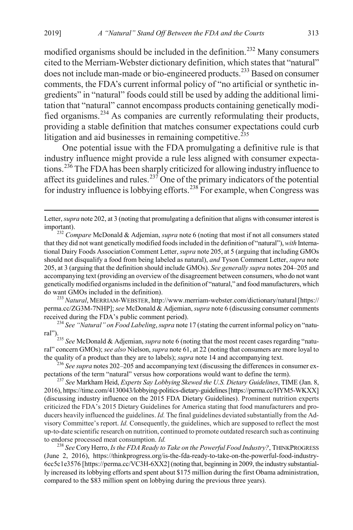modified organisms should be included in the definition.<sup>[232](#page-43-0)</sup> Many consumers cited to the Merriam-Webster dictionary definition, which states that "natural" does not include man-made or bio-engineered products.<sup>[233](#page-43-1)</sup> Based on consumer comments, the FDA's current informal policy of "no artificial or synthetic ingredients" in "natural" foods could still be used by adding the additional limitation that "natural" cannot encompass products containing genetically modified organisms.[234](#page-43-2) As companies are currently reformulating their products, providing a stable definition that matches consumer expectations could curb litigation and aid businesses in remaining competitive.<sup> $235$ </sup>

One potential issue with the FDA promulgating a definitive rule is that industry influence might provide a rule less aligned with consumer expectations.[236](#page-43-4) The FDA has been sharply criticized for allowing industry influence to affect its guidelines and rules.<sup>[237](#page-43-5)</sup> One of the primary indicators of the potential for industry influence is lobbying efforts.<sup>[238](#page-43-6)</sup> For example, when Congress was

<span id="page-43-1"></span>perma.cc/ZG3M-7NHP]; *see* McDonald & Adjemian, *supra* not[e 6](#page-2-5) (discussing consumer comments received during the FDA's public comment period). <sup>234</sup> *See "Natural" on Food Labeling*, *supra* not[e 17](#page-5-5) (stating the current informal policy on "natu-

<span id="page-43-2"></span>ral").

<span id="page-43-3"></span><sup>235</sup> *See* McDonald & Adjemian, *supra* not[e 6](#page-2-5) (noting that the most recent cases regarding "natural" concern GMOs); *see also* Nielson, *supra* not[e 61,](#page-13-7) at 22 (noting that consumers are more loyal to the quality of a product than they are to labels); *supra* not[e 14](#page-4-5) and accompanying text. <sup>236</sup> *See supra* note[s 202–](#page-37-8)[205](#page-38-3) and accompanying text (discussing the differences in consumer ex-

<span id="page-43-4"></span>pectations of the term "natural" versus how corporations would want to define the term). <sup>237</sup> *See* Markham Heid, *Experts Say Lobbying Skewed the U.S. Dietary Guidelines*, TIME (Jan. 8,

<span id="page-43-5"></span>2016), https://time.com/4130043/lobbying-politics-dietary-guidelines [https://perma.cc/HYM5-WKXX] (discussing industry influence on the 2015 FDA Dietary Guidelines). Prominent nutrition experts criticized the FDA's 2015 Dietary Guidelines for America stating that food manufacturers and producers heavily influenced the guidelines. *Id.* The final guidelines deviated substantially from the Advisory Committee's report. *Id.* Consequently, the guidelines, which are supposed to reflect the most up-to-date scientific research on nutrition, continued to promote outdated research such as continuing to endorse processed meat consumption.  $Id$ .

<span id="page-43-6"></span><sup>238</sup> See Cory Herro, *Is the FDA Ready to Take on the Powerful Food Industry?*, THINKPROGRESS (June 2, 2016), https://thinkprogress.org/is-the-fda-ready-to-take-on-the-powerful-food-industry-6cc5c1e3576 [https://perma.cc/VC3H-6XX2] (noting that, beginning in 2009, the industry substantially increased its lobbying efforts and spent about \$175 million during the first Obama administration, compared to the \$83 million spent on lobbying during the previous three years).

Letter, *supra* not[e 202,](#page-37-8) at 3 (noting that promulgating a definition that aligns with consumer interest is important). <sup>232</sup> *Compare* McDonald & Adjemian, *supra* not[e 6](#page-2-5) (noting that most if not all consumers stated

<span id="page-43-0"></span>that they did not want genetically modified foods included in the definition of "natural"), *with* International Dairy Foods Association Comment Letter, *supra* not[e 205,](#page-38-3) at 5 (arguing that including GMOs should not disqualify a food from being labeled as natural), *and* Tyson Comment Letter, *supra* note [205,](#page-38-3) at 3 (arguing that the definition should include GMOs). *See generally supra* note[s 204](#page-38-4)[–205](#page-38-3) and accompanying text (providing an overview of the disagreement between consumers, who do not want genetically modified organisms included in the definition of "natural," and food manufacturers, which do want GMOs included in the definition). <sup>233</sup> *Natural*, MERRIAM-WEBSTER, http://www.merriam-webster.com/dictionary/natural [https://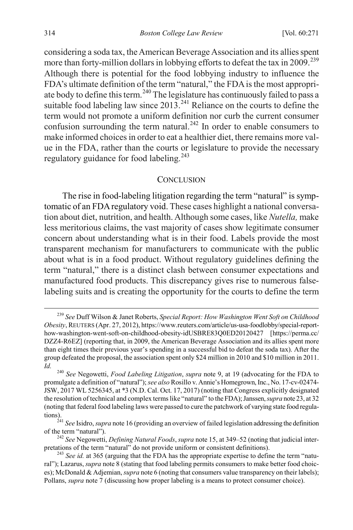considering a soda tax, the American Beverage Association and its allies spent more than forty-million dollars in lobbying efforts to defeat the tax in 2009.<sup>[239](#page-44-1)</sup> Although there is potential for the food lobbying industry to influence the FDA's ultimate definition of the term "natural," the FDA is the most appropri-ate body to define this term.<sup>[240](#page-44-2)</sup> The legislature has continuously failed to pass a suitable food labeling law since  $2013$ <sup>[241](#page-44-3)</sup> Reliance on the courts to define the term would not promote a uniform definition nor curb the current consumer confusion surrounding the term natural.<sup>[242](#page-44-4)</sup> In order to enable consumers to make informed choices in order to eat a healthier diet, there remains more value in the FDA, rather than the courts or legislature to provide the necessary regulatory guidance for food labeling.<sup>[243](#page-44-5)</sup>

#### <span id="page-44-0"></span>**CONCLUSION**

The rise in food-labeling litigation regarding the term "natural" is symptomatic of an FDA regulatory void. These cases highlight a national conversation about diet, nutrition, and health. Although some cases, like *Nutella,* make less meritorious claims, the vast majority of cases show legitimate consumer concern about understanding what is in their food. Labels provide the most transparent mechanism for manufacturers to communicate with the public about what is in a food product. Without regulatory guidelines defining the term "natural," there is a distinct clash between consumer expectations and manufactured food products. This discrepancy gives rise to numerous falselabeling suits and is creating the opportunity for the courts to define the term

<span id="page-44-1"></span> <sup>239</sup> *See* Duff Wilson & Janet Roberts, *Special Report: How Washington Went Soft on Childhood Obesity*, REUTERS (Apr. 27, 2012), https://www.reuters.com/article/us-usa-foodlobby/special-reporthow-washington-went-soft-on-childhood-obesity-idUSBRE83Q0ED20120427 [https://perma.cc/ DZZ4-R6EZ] (reporting that, in 2009, the American Beverage Association and its allies spent more than eight times their previous year's spending in a successful bid to defeat the soda tax). After the group defeated the proposal, the association spent only \$24 million in 2010 and \$10 million in 2011. *Id.* <sup>240</sup> *See* Negowetti, *Food Labeling Litigation*, *supra* note [9,](#page-3-4) at 19 (advocating for the FDA to

<span id="page-44-2"></span>promulgate a definition of "natural"); *see also* Rosillo v. Annie's Homegrown, Inc., No. 17-cv-02474- JSW, 2017 WL 5256345, at \*3 (N.D. Cal. Oct. 17, 2017) (noting that Congress explicitly designated the resolution of technical and complex terms like "natural" to the FDA); Janssen, *supra* not[e 23,](#page-7-0) at 32 (noting that federal food labeling laws were passed to cure the patchwork of varying state food regula-

<span id="page-44-3"></span>tions). <sup>241</sup> *See* Isidro, *supra* not[e 16](#page-5-3) (providing an overview of failed legislation addressing the definition

<span id="page-44-4"></span><sup>&</sup>lt;sup>242</sup> *See* Negowetti, *Defining Natural Foods, <i>supra* not[e 15,](#page-5-4) at 349–52 (noting that judicial inter-<br>pretations of the term "natural" do not provide uniform or consistent definitions).

<span id="page-44-5"></span><sup>&</sup>lt;sup>243</sup> See id. at 365 (arguing that the FDA has the appropriate expertise to define the term "natural"); Lazarus, *supra* not[e 8](#page-3-6) (stating that food labeling permits consumers to make better food choices); McDonald & Adjemian, *supra* not[e 6](#page-2-5) (noting that consumers value transparency on their labels); Pollans, *supra* not[e 7](#page-3-5) (discussing how proper labeling is a means to protect consumer choice).